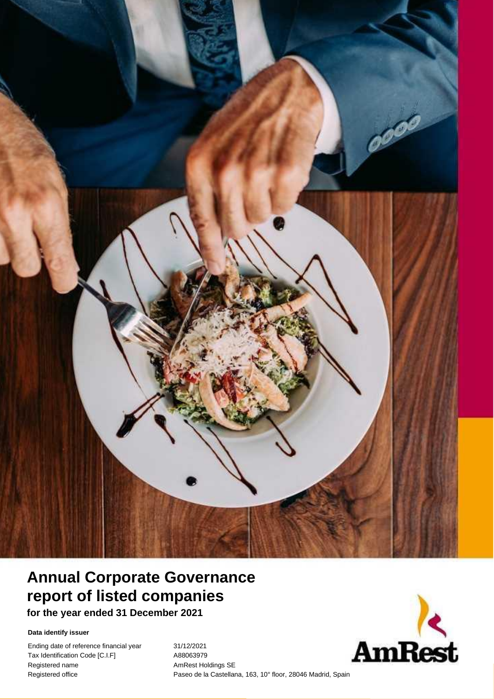

# **Annual Corporate Governance report of listed companies**

**for the year ended 31 December 2021**

**Data identify issuer**

Ending date of reference financial year 31/12/2021 Tax Identification Code [C.I.F] A88063979 Registered name AmRest Holdings SE

Registered office **Companies Corporate Corporate Corporate Paseo de la Castellana, 163, 10° floor, 28046 Madrid, Spain** 

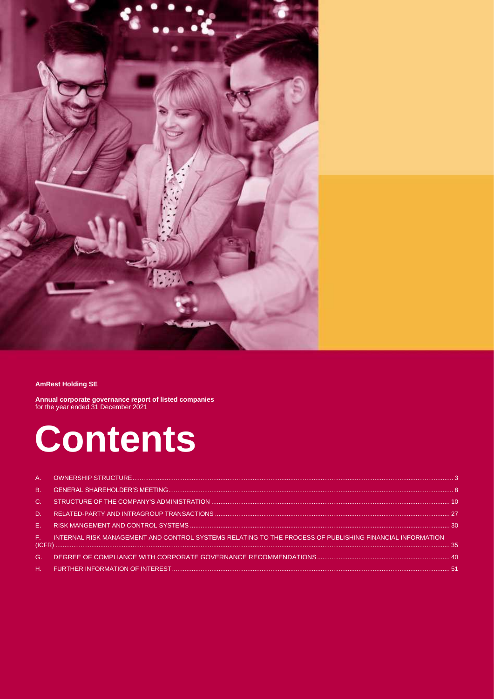

#### **AmRest Holding SE**

**Annual corporate governance report of listed companies** for the year ended 31 December 2021

# **Contents**

| F. INTERNAL RISK MANAGEMENT AND CONTROL SYSTEMS RELATING TO THE PROCESS OF PUBLISHING FINANCIAL INFORMATION |  |
|-------------------------------------------------------------------------------------------------------------|--|
|                                                                                                             |  |
|                                                                                                             |  |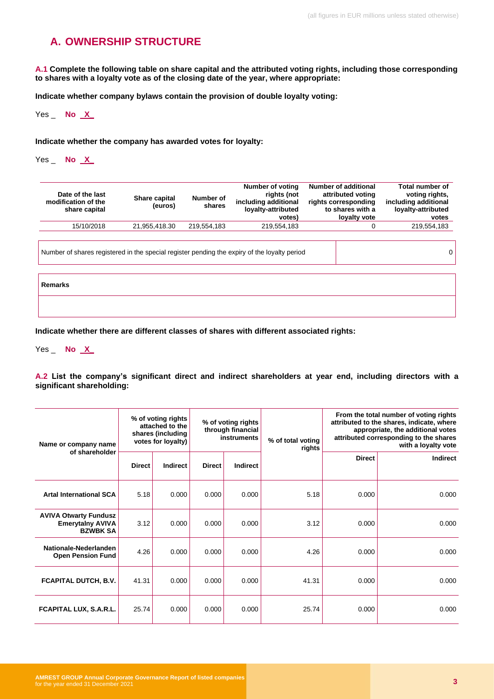# <span id="page-2-0"></span>**A. OWNERSHIP STRUCTURE**

**A.1 Complete the following table on share capital and the attributed voting rights, including those corresponding to shares with a loyalty vote as of the closing date of the year, where appropriate:**

**Indicate whether company bylaws contain the provision of double loyalty voting:**

Yes \_ **No X\_**

**Indicate whether the company has awarded votes for loyalty:**

Yes \_ **No X\_**

| Date of the last<br>modification of the<br>share capital | Share capital<br>(euros) | Number of<br>shares | rights (not<br>including additional<br>loyalty-attributed<br>votes) | attributed voting<br>rights corresponding<br>to shares with a<br>loyalty vote | voting rights,<br>including additional<br>loyalty-attributed<br>votes |
|----------------------------------------------------------|--------------------------|---------------------|---------------------------------------------------------------------|-------------------------------------------------------------------------------|-----------------------------------------------------------------------|
| 15/10/2018                                               | 21.955.418.30            | 219.554.183         | 219.554.183                                                         |                                                                               | 219.554.183                                                           |

Number of shares registered in the special register pending the expiry of the loyalty period 0

**Remarks**

**Indicate whether there are different classes of shares with different associated rights:**

Yes \_ **No X\_**

**A.2 List the company's significant direct and indirect shareholders at year end, including directors with a significant shareholding:**

| Name or company name                                                       |               | % of voting rights<br>attached to the<br>shares (including<br>votes for loyalty) | From the total number of voting rights<br>% of voting rights<br>attributed to the shares, indicate, where<br>through financial<br>attributed corresponding to the shares<br>instruments<br>% of total voting<br>rights |          | appropriate, the additional votes<br>with a loyalty vote |               |                 |
|----------------------------------------------------------------------------|---------------|----------------------------------------------------------------------------------|------------------------------------------------------------------------------------------------------------------------------------------------------------------------------------------------------------------------|----------|----------------------------------------------------------|---------------|-----------------|
| of shareholder                                                             | <b>Direct</b> | <b>Indirect</b>                                                                  | <b>Direct</b>                                                                                                                                                                                                          | Indirect |                                                          | <b>Direct</b> | <b>Indirect</b> |
| <b>Artal International SCA</b>                                             | 5.18          | 0.000                                                                            | 0.000                                                                                                                                                                                                                  | 0.000    | 5.18                                                     | 0.000         | 0.000           |
| <b>AVIVA Otwarty Fundusz</b><br><b>Emerytalny AVIVA</b><br><b>BZWBK SA</b> | 3.12          | 0.000                                                                            | 0.000                                                                                                                                                                                                                  | 0.000    | 3.12                                                     | 0.000         | 0.000           |
| Nationale-Nederlanden<br><b>Open Pension Fund</b>                          | 4.26          | 0.000                                                                            | 0.000                                                                                                                                                                                                                  | 0.000    | 4.26                                                     | 0.000         | 0.000           |
| <b>FCAPITAL DUTCH, B.V.</b>                                                | 41.31         | 0.000                                                                            | 0.000                                                                                                                                                                                                                  | 0.000    | 41.31                                                    | 0.000         | 0.000           |
| FCAPITAL LUX, S.A.R.L.                                                     | 25.74         | 0.000                                                                            | 0.000                                                                                                                                                                                                                  | 0.000    | 25.74                                                    | 0.000         | 0.000           |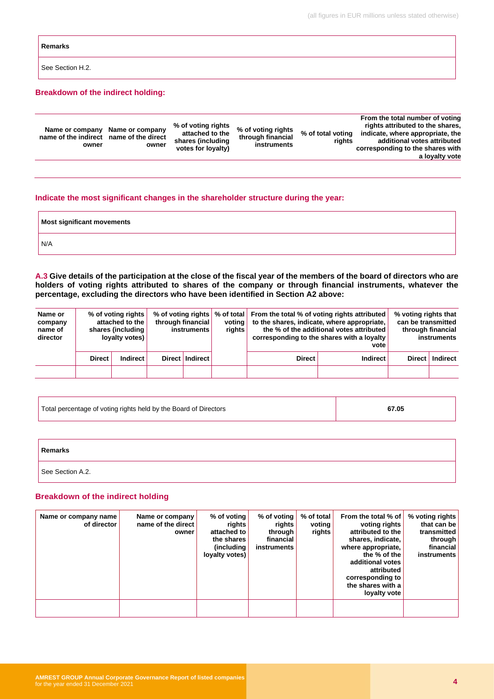#### **Remarks**

See Section H.2.

#### **Breakdown of the indirect holding:**

| Name or company<br>name of the indirect name of the direct<br>owner | % of voting rights<br>Name or company<br>attached to the<br>shares (including<br>owner<br>votes for loyalty) | % of voting rights<br>through financial<br>instruments | % of total voting<br>rights | From the total number of voting<br>rights attributed to the shares,<br>indicate, where appropriate, the<br>additional votes attributed<br>corresponding to the shares with<br>a loyalty vote |
|---------------------------------------------------------------------|--------------------------------------------------------------------------------------------------------------|--------------------------------------------------------|-----------------------------|----------------------------------------------------------------------------------------------------------------------------------------------------------------------------------------------|
|                                                                     |                                                                                                              |                                                        |                             |                                                                                                                                                                                              |

#### **Indicate the most significant changes in the shareholder structure during the year:**

| Most significant movements |  |
|----------------------------|--|
| N/A                        |  |

**A.3 Give details of the participation at the close of the fiscal year of the members of the board of directors who are holders of voting rights attributed to shares of the company or through financial instruments, whatever the percentage, excluding the directors who have been identified in Section A2 above:**

| Name or<br>company<br>name of<br>director |               | % of voting rights<br>attached to the<br>shares (including<br>loyalty votes) | through financial<br>instruments | voting<br><b>rights</b> | % of voting rights   % of total   From the total % of voting rights attributed | to the shares, indicate, where appropriate,<br>the % of the additional votes attributed<br>corresponding to the shares with a loyalty<br>vote | % voting rights that<br>can be transmitted | through financial<br>instruments |
|-------------------------------------------|---------------|------------------------------------------------------------------------------|----------------------------------|-------------------------|--------------------------------------------------------------------------------|-----------------------------------------------------------------------------------------------------------------------------------------------|--------------------------------------------|----------------------------------|
|                                           | <b>Direct</b> | <b>Indirect</b>                                                              | Direct   Indirect                |                         | <b>Direct</b>                                                                  | <b>Indirect</b>                                                                                                                               |                                            | Direct   Indirect                |
|                                           |               |                                                                              |                                  |                         |                                                                                |                                                                                                                                               |                                            |                                  |

| Total percentage of voting rights held by the Board of Directors | 67.05 |
|------------------------------------------------------------------|-------|
|                                                                  |       |

| Remarks          |  |
|------------------|--|
| See Section A.2. |  |

#### **Breakdown of the indirect holding**

| Name or company name<br>of director | Name or company<br>name of the direct<br>owner | % of voting<br>rights<br>attached to<br>the shares<br>(including<br>loyalty votes) | $%$ of voting<br>rights<br>through<br>financial<br>instruments | % of total<br>voting<br>rights | From the total % of<br>voting rights<br>attributed to the<br>shares, indicate,<br>where appropriate,<br>the % of the<br>additional votes<br>attributed<br>corresponding to<br>the shares with a<br>loyalty vote | % voting rights<br>that can be<br>transmitted<br>through<br>financial<br>instruments |
|-------------------------------------|------------------------------------------------|------------------------------------------------------------------------------------|----------------------------------------------------------------|--------------------------------|-----------------------------------------------------------------------------------------------------------------------------------------------------------------------------------------------------------------|--------------------------------------------------------------------------------------|
|                                     |                                                |                                                                                    |                                                                |                                |                                                                                                                                                                                                                 |                                                                                      |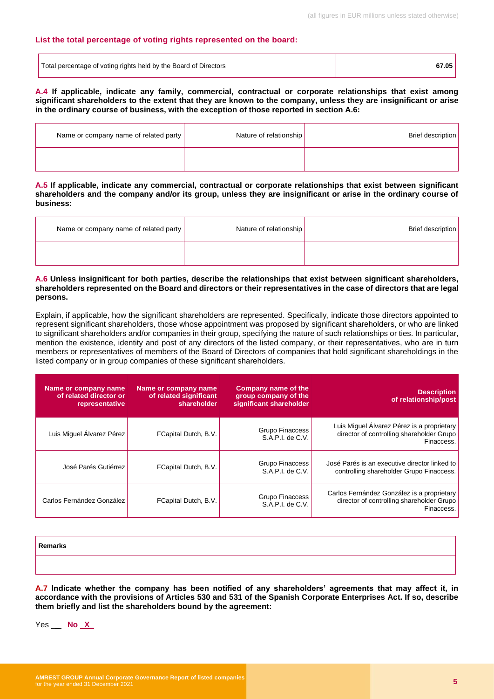#### **List the total percentage of voting rights represented on the board:**

| Total percentage of voting rights held by the Board of Directors | 67.05 |
|------------------------------------------------------------------|-------|
|------------------------------------------------------------------|-------|

**A.4 If applicable, indicate any family, commercial, contractual or corporate relationships that exist among significant shareholders to the extent that they are known to the company, unless they are insignificant or arise in the ordinary course of business, with the exception of those reported in section A.6:**

| Name or company name of related party | Nature of relationship | Brief description |
|---------------------------------------|------------------------|-------------------|
|                                       |                        |                   |

**A.5 If applicable, indicate any commercial, contractual or corporate relationships that exist between significant shareholders and the company and/or its group, unless they are insignificant or arise in the ordinary course of business:**

| Name or company name of related party | Nature of relationship | Brief description |
|---------------------------------------|------------------------|-------------------|
|                                       |                        |                   |

#### **A.6 Unless insignificant for both parties, describe the relationships that exist between significant shareholders, shareholders represented on the Board and directors or their representatives in the case of directors that are legal persons.**

Explain, if applicable, how the significant shareholders are represented. Specifically, indicate those directors appointed to represent significant shareholders, those whose appointment was proposed by significant shareholders, or who are linked to significant shareholders and/or companies in their group, specifying the nature of such relationships or ties. In particular, mention the existence, identity and post of any directors of the listed company, or their representatives, who are in turn members or representatives of members of the Board of Directors of companies that hold significant shareholdings in the listed company or in group companies of these significant shareholders.

| <b>Description</b><br>of relationship/post                                                            | <b>Company name of the</b><br>group company of the<br>significant shareholder | Name or company name<br>of related significant<br>shareholder | Name or company name<br>of related director or<br>representative |
|-------------------------------------------------------------------------------------------------------|-------------------------------------------------------------------------------|---------------------------------------------------------------|------------------------------------------------------------------|
| Luis Miguel Álvarez Pérez is a proprietary<br>director of controlling shareholder Grupo<br>Finaccess. | Grupo Finaccess<br>S.A.P.I. de C.V.                                           | FCapital Dutch, B.V.                                          | Luis Miguel Alvarez Pérez                                        |
| José Parés is an executive director linked to<br>controlling shareholder Grupo Finaccess.             | Grupo Finaccess<br>S.A.P.I. de C.V.                                           | FCapital Dutch, B.V.                                          | José Parés Gutiérrez                                             |
| Carlos Fernández González is a proprietary<br>director of controlling shareholder Grupo<br>Finaccess. | Grupo Finaccess<br>S.A.P.I. de C.V.                                           | FCapital Dutch, B.V.                                          | Carlos Fernández González                                        |

| Remarks |  |
|---------|--|
|         |  |

**A.7 Indicate whether the company has been notified of any shareholders' agreements that may affect it, in accordance with the provisions of Articles 530 and 531 of the Spanish Corporate Enterprises Act. If so, describe them briefly and list the shareholders bound by the agreement:**

Yes \_ **No X\_**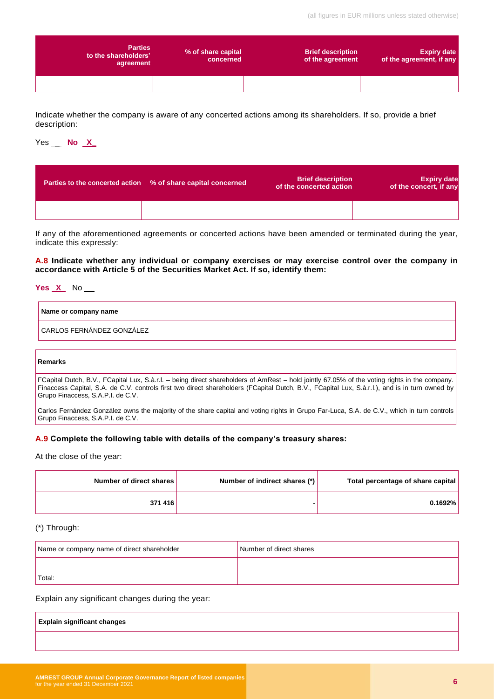| <b>Parties</b><br>to the shareholders'<br>agreement | % of share capital<br>concerned | <b>Brief description</b><br>of the agreement | <b>Expiry date</b><br>of the agreement, if any |
|-----------------------------------------------------|---------------------------------|----------------------------------------------|------------------------------------------------|
|                                                     |                                 |                                              |                                                |

Indicate whether the company is aware of any concerted actions among its shareholders. If so, provide a brief description:

### Yes \_ **No X\_**

| Parties to the concerted action % of share capital concerned | <b>Brief description</b><br>of the concerted action | <b>Expiry date</b><br>of the concert, if any |
|--------------------------------------------------------------|-----------------------------------------------------|----------------------------------------------|
|                                                              |                                                     |                                              |

If any of the aforementioned agreements or concerted actions have been amended or terminated during the year, indicate this expressly:

**A.8 Indicate whether any individual or company exercises or may exercise control over the company in accordance with Article 5 of the Securities Market Act. If so, identify them:**

# **Yes X\_** No \_ **Name or company name**

CARLOS FERNÁNDEZ GONZÁLEZ

#### **Remarks**

FCapital Dutch, B.V., FCapital Lux, S.à.r.l. – being direct shareholders of AmRest – hold jointly 67.05% of the voting rights in the company. Finaccess Capital, S.A. de C.V. controls first two direct shareholders (FCapital Dutch, B.V., FCapital Lux, S.à.r.l.), and is in turn owned by Grupo Finaccess, S.A.P.I. de C.V.

Carlos Fernández González owns the majority of the share capital and voting rights in Grupo Far-Luca, S.A. de C.V., which in turn controls Grupo Finaccess, S.A.P.I. de C.V.

#### **A.9 Complete the following table with details of the company's treasury shares:**

At the close of the year:

| Total percentage of share capital | Number of indirect shares (*) | Number of direct shares |
|-----------------------------------|-------------------------------|-------------------------|
| 0.1692%                           |                               | 371 416                 |

#### (\*) Through:

| Name or company name of direct shareholder | Number of direct shares |
|--------------------------------------------|-------------------------|
|                                            |                         |
| Total:                                     |                         |

Explain any significant changes during the year:

| <b>Explain significant changes</b> |  |  |
|------------------------------------|--|--|
|                                    |  |  |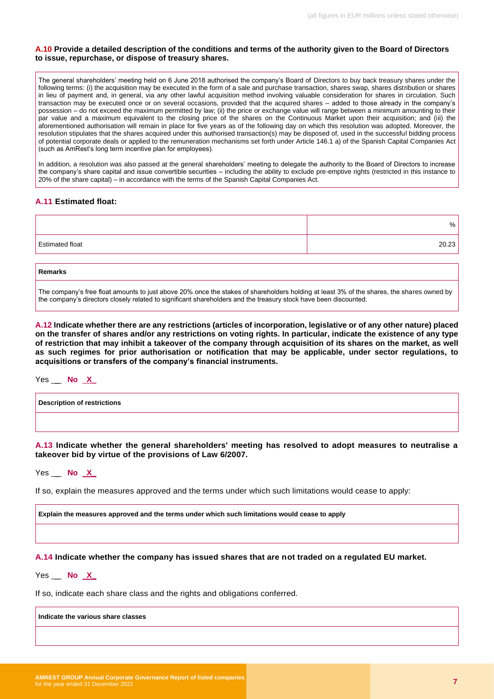#### **A.10 Provide a detailed description of the conditions and terms of the authority given to the Board of Directors to issue, repurchase, or dispose of treasury shares.**

The general shareholders' meeting held on 6 June 2018 authorised the company's Board of Directors to buy back treasury shares under the following terms: (i) the acquisition may be executed in the form of a sale and purchase transaction, shares swap, shares distribution or shares in lieu of payment and, in general, via any other lawful acquisition method involving valuable consideration for shares in circulation. Such transaction may be executed once or on several occasions, provided that the acquired shares – added to those already in the company's possession – do not exceed the maximum permitted by law; (ii) the price or exchange value will range between a minimum amounting to their par value and a maximum equivalent to the closing price of the shares on the Continuous Market upon their acquisition; and (iii) the aforementioned authorisation will remain in place for five years as of the following day on which this resolution was adopted. Moreover, the resolution stipulates that the shares acquired under this authorised transaction(s) may be disposed of, used in the successful bidding process of potential corporate deals or applied to the remuneration mechanisms set forth under Article 146.1 a) of the Spanish Capital Companies Act (such as AmRest's long term incentive plan for employees).

In addition, a resolution was also passed at the general shareholders' meeting to delegate the authority to the Board of Directors to increase the company's share capital and issue convertible securities – including the ability to exclude pre-emptive rights (restricted in this instance to 20% of the share capital) – in accordance with the terms of the Spanish Capital Companies Act.

#### **A.11 Estimated float:**

|                        | %     |
|------------------------|-------|
| <b>Estimated float</b> | 20.23 |
|                        |       |

| <b>Remarks</b>                                                                                                                            |
|-------------------------------------------------------------------------------------------------------------------------------------------|
| The company's free float amounts to just above 20% once the stakes of shareholders holding at least 3% of the shares, the shares owned by |

the company's directors closely related to significant shareholders and the treasury stock have been discounted.

**A.12 Indicate whether there are any restrictions (articles of incorporation, legislative or of any other nature) placed on the transfer of shares and/or any restrictions on voting rights. In particular, indicate the existence of any type of restriction that may inhibit a takeover of the company through acquisition of its shares on the market, as well as such regimes for prior authorisation or notification that may be applicable, under sector regulations, to acquisitions or transfers of the company's financial instruments.**

Yes \_ **No X\_**

**Description of restrictions**

**A.13 Indicate whether the general shareholders' meeting has resolved to adopt measures to neutralise a takeover bid by virtue of the provisions of Law 6/2007.**

Yes \_ **No X\_**

If so, explain the measures approved and the terms under which such limitations would cease to apply:

**Explain the measures approved and the terms under which such limitations would cease to apply**

**A.14 Indicate whether the company has issued shares that are not traded on a regulated EU market.**

Yes \_ **No X\_**

If so, indicate each share class and the rights and obligations conferred.

**Indicate the various share classes**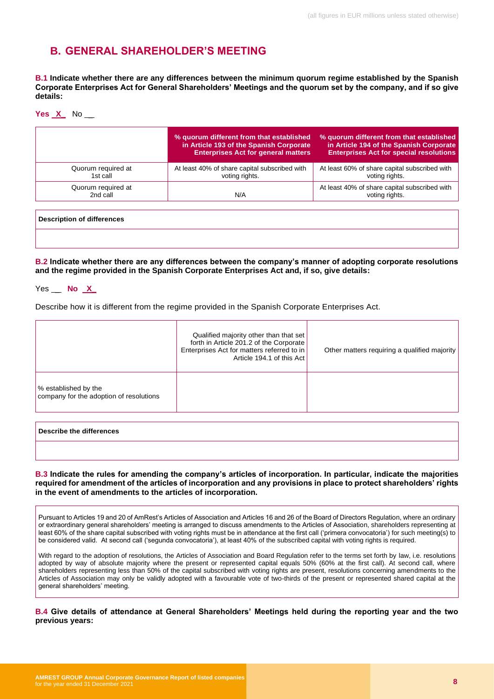# <span id="page-7-0"></span>**B. GENERAL SHAREHOLDER'S MEETING**

**B.1 Indicate whether there are any differences between the minimum quorum regime established by the Spanish Corporate Enterprises Act for General Shareholders' Meetings and the quorum set by the company, and if so give details:**

| Yes | v | No |
|-----|---|----|
|     |   |    |

|                                   | % quorum different from that established<br>in Article 193 of the Spanish Corporate<br><b>Enterprises Act for general matters</b> | % quorum different from that established<br>in Article 194 of the Spanish Corporate<br><b>Enterprises Act for special resolutions</b> |
|-----------------------------------|-----------------------------------------------------------------------------------------------------------------------------------|---------------------------------------------------------------------------------------------------------------------------------------|
| Quorum required at<br>1st call    | At least 40% of share capital subscribed with<br>voting rights.                                                                   | At least 60% of share capital subscribed with<br>voting rights.                                                                       |
| Quorum required at<br>2nd call    | N/A                                                                                                                               | At least 40% of share capital subscribed with<br>voting rights.                                                                       |
| <b>Description of differences</b> |                                                                                                                                   |                                                                                                                                       |

**B.2 Indicate whether there are any differences between the company's manner of adopting corporate resolutions and the regime provided in the Spanish Corporate Enterprises Act and, if so, give details:**

| Yes | No |  |
|-----|----|--|
|-----|----|--|

Describe how it is different from the regime provided in the Spanish Corporate Enterprises Act.

|                                                                 | Qualified majority other than that set<br>forth in Article 201.2 of the Corporate<br>Enterprises Act for matters referred to in<br>Article 194.1 of this Act | Other matters requiring a qualified majority |
|-----------------------------------------------------------------|--------------------------------------------------------------------------------------------------------------------------------------------------------------|----------------------------------------------|
| % established by the<br>company for the adoption of resolutions |                                                                                                                                                              |                                              |
|                                                                 |                                                                                                                                                              |                                              |

#### **Describe the differences**

#### **B.3 Indicate the rules for amending the company's articles of incorporation. In particular, indicate the majorities required for amendment of the articles of incorporation and any provisions in place to protect shareholders' rights in the event of amendments to the articles of incorporation.**

Pursuant to Articles 19 and 20 of AmRest's Articles of Association and Articles 16 and 26 of the Board of Directors Regulation, where an ordinary or extraordinary general shareholders' meeting is arranged to discuss amendments to the Articles of Association, shareholders representing at least 60% of the share capital subscribed with voting rights must be in attendance at the first call ('primera convocatoria') for such meeting(s) to be considered valid. At second call ('segunda convocatoria'), at least 40% of the subscribed capital with voting rights is required.

With regard to the adoption of resolutions, the Articles of Association and Board Regulation refer to the terms set forth by law, i.e. resolutions adopted by way of absolute majority where the present or represented capital equals 50% (60% at the first call). At second call, where shareholders representing less than 50% of the capital subscribed with voting rights are present, resolutions concerning amendments to the Articles of Association may only be validly adopted with a favourable vote of two-thirds of the present or represented shared capital at the general shareholders' meeting.

**B.4 Give details of attendance at General Shareholders' Meetings held during the reporting year and the two previous years:**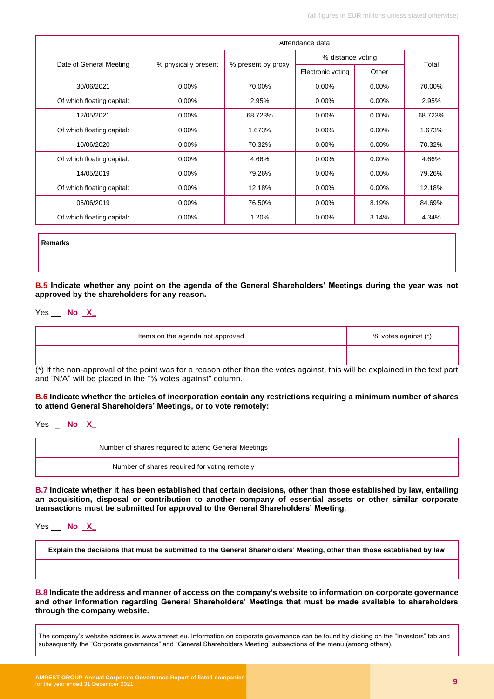|                            | Attendance data      |                    |                   |          |         |
|----------------------------|----------------------|--------------------|-------------------|----------|---------|
|                            |                      |                    | % distance voting |          | Total   |
| Date of General Meeting    | % physically present | % present by proxy | Electronic voting | Other    |         |
| 30/06/2021                 | $0.00\%$             | 70.00%             | $0.00\%$          | $0.00\%$ | 70.00%  |
| Of which floating capital: | $0.00\%$             | 2.95%              | $0.00\%$          | $0.00\%$ | 2.95%   |
| 12/05/2021                 | 0.00%                | 68.723%            | $0.00\%$          | $0.00\%$ | 68.723% |
| Of which floating capital: | $0.00\%$             | 1.673%             | $0.00\%$          | $0.00\%$ | 1.673%  |
| 10/06/2020                 | $0.00\%$             | 70.32%             | $0.00\%$          | $0.00\%$ | 70.32%  |
| Of which floating capital: | $0.00\%$             | 4.66%              | 0.00%             | $0.00\%$ | 4.66%   |
| 14/05/2019                 | $0.00\%$             | 79.26%             | $0.00\%$          | $0.00\%$ | 79.26%  |
| Of which floating capital: | 0.00%                | 12.18%             | $0.00\%$          | $0.00\%$ | 12.18%  |
| 06/06/2019                 | $0.00\%$             | 76.50%             | $0.00\%$          | 8.19%    | 84.69%  |
| Of which floating capital: | $0.00\%$             | 1.20%              | 0.00%             | 3.14%    | 4.34%   |

**Remarks**

**B.5 Indicate whether any point on the agenda of the General Shareholders' Meetings during the year was not approved by the shareholders for any reason.**

Yes \_ **No X\_**

| Items on the agenda not approved                                                                                           | % votes against (*) |
|----------------------------------------------------------------------------------------------------------------------------|---------------------|
|                                                                                                                            |                     |
| (*) If the non approval of the point was far a reason other than the vates against this will be evalsined in the tout part |                     |

(\*) If the non-approval of the point was for a reason other than the votes against, this will be explained in the text part and "N/A" will be placed in the "% votes against" column.

#### **B.6 Indicate whether the articles of incorporation contain any restrictions requiring a minimum number of shares to attend General Shareholders' Meetings, or to vote remotely:**

Yes \_ **No X\_**

| Number of shares required to attend General Meetings |  |
|------------------------------------------------------|--|
| Number of shares required for voting remotely        |  |

**B.7 Indicate whether it has been established that certain decisions, other than those established by law, entailing an acquisition, disposal or contribution to another company of essential assets or other similar corporate transactions must be submitted for approval to the General Shareholders' Meeting.**

Yes \_ **No X\_**

**Explain the decisions that must be submitted to the General Shareholders' Meeting, other than those established by law**

**B.8 Indicate the address and manner of access on the company's website to information on corporate governance and other information regarding General Shareholders' Meetings that must be made available to shareholders through the company website.**

The company's website address is www.amrest.eu. Information on corporate governance can be found by clicking on the "Investors" tab and subsequently the "Corporate governance" and "General Shareholders Meeting" subsections of the menu (among others).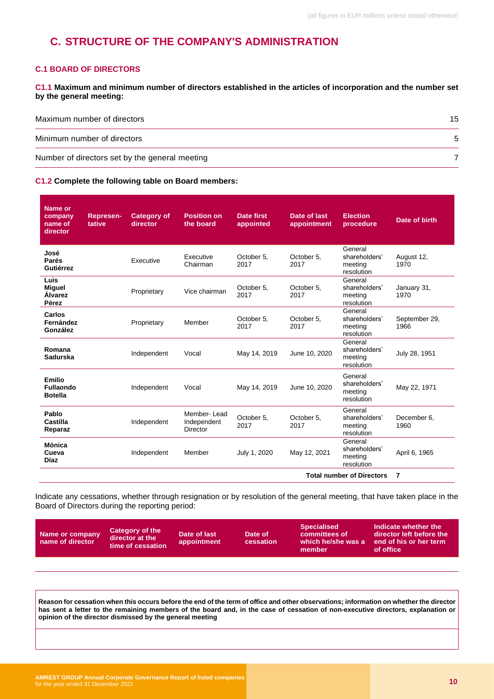# <span id="page-9-0"></span>**C. STRUCTURE OF THE COMPANY'S ADMINISTRATION**

#### **C.1 BOARD OF DIRECTORS**

**C1.1 Maximum and minimum number of directors established in the articles of incorporation and the number set by the general meeting:**

| Maximum number of directors                    | 15 |
|------------------------------------------------|----|
| Minimum number of directors                    |    |
| Number of directors set by the general meeting |    |

#### **C1.2 Complete the following table on Board members:**

| Name or<br>company<br>name of<br>director           | <b>Represen-</b><br>tative | <b>Category of</b><br>director | <b>Position on</b><br>the board        | <b>Date first</b><br>appointed | Date of last<br>appointment | <b>Election</b><br>procedure                      | Date of birth         |
|-----------------------------------------------------|----------------------------|--------------------------------|----------------------------------------|--------------------------------|-----------------------------|---------------------------------------------------|-----------------------|
| José<br>Parés<br>Gutiérrez                          |                            | Executive                      | Executive<br>Chairman                  | October 5,<br>2017             | October 5.<br>2017          | General<br>shareholders'<br>meeting<br>resolution | August 12,<br>1970    |
| Luis<br><b>Miguel</b><br><b>Alvarez</b><br>Pérez    |                            | Proprietary                    | Vice chairman                          | October 5,<br>2017             | October 5,<br>2017          | General<br>shareholders'<br>meeting<br>resolution | January 31,<br>1970   |
| Carlos<br>Fernández<br>González                     |                            | Proprietary                    | Member                                 | October 5,<br>2017             | October 5.<br>2017          | General<br>shareholders'<br>meeting<br>resolution | September 29,<br>1966 |
| Romana<br>Sadurska                                  |                            | Independent                    | Vocal                                  | May 14, 2019                   | June 10, 2020               | General<br>shareholders'<br>meeting<br>resolution | July 28, 1951         |
| <b>Emilio</b><br><b>Fullaondo</b><br><b>Botella</b> |                            | Independent                    | Vocal                                  | May 14, 2019                   | June 10, 2020               | General<br>shareholders'<br>meeting<br>resolution | May 22, 1971          |
| Pablo<br>Castilla<br>Reparaz                        |                            | Independent                    | Member-Lead<br>Independent<br>Director | October 5,<br>2017             | October 5,<br>2017          | General<br>shareholders'<br>meeting<br>resolution | December 6,<br>1960   |
| Mónica<br>Cueva<br><b>Díaz</b>                      |                            | Independent                    | Member                                 | July 1, 2020                   | May 12, 2021                | General<br>shareholders'<br>meeting<br>resolution | April 6, 1965         |
|                                                     |                            |                                |                                        |                                |                             | <b>Total number of Directors</b>                  | 7                     |

Indicate any cessations, whether through resignation or by resolution of the general meeting, that have taken place in the Board of Directors during the reporting period:

| Name or company<br>name of director | Category of the<br>director at the<br>time of cessation | Date of last<br>appointment | Date of<br>cessation | <b>Specialised</b><br>committees of<br>which he/she was a<br>member | Indicate whether the<br>director left before the<br>end of his or her term.<br>of office |
|-------------------------------------|---------------------------------------------------------|-----------------------------|----------------------|---------------------------------------------------------------------|------------------------------------------------------------------------------------------|
|                                     |                                                         |                             |                      |                                                                     |                                                                                          |

**Reason for cessation when this occurs before the end of the term of office and other observations; information on whether the director has sent a letter to the remaining members of the board and, in the case of cessation of non-executive directors, explanation or opinion of the director dismissed by the general meeting**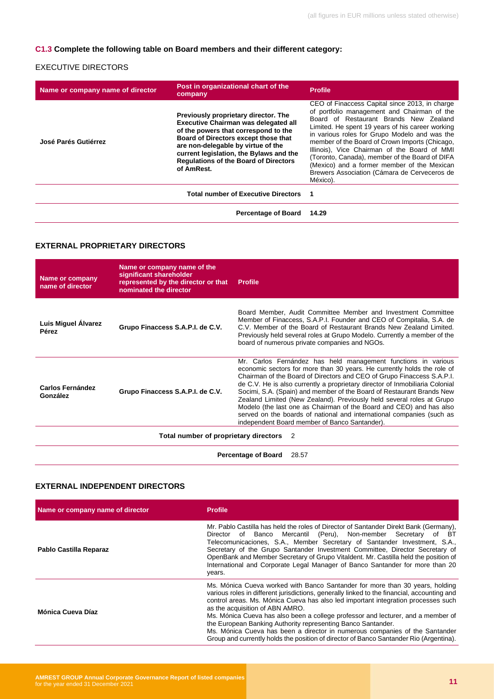#### **C1.3 Complete the following table on Board members and their different category:**

#### EXECUTIVE DIRECTORS

| Name or company name of director | Post in organizational chart of the<br>company                                                                                                                                                                                                                                                                     | <b>Profile</b>                                                                                                                                                                                                                                                                                                                                                                                                                                                                                              |
|----------------------------------|--------------------------------------------------------------------------------------------------------------------------------------------------------------------------------------------------------------------------------------------------------------------------------------------------------------------|-------------------------------------------------------------------------------------------------------------------------------------------------------------------------------------------------------------------------------------------------------------------------------------------------------------------------------------------------------------------------------------------------------------------------------------------------------------------------------------------------------------|
| José Parés Gutiérrez             | Previously proprietary director. The<br><b>Executive Chairman was delegated all</b><br>of the powers that correspond to the<br>Board of Directors except those that<br>are non-delegable by virtue of the<br>current legislation, the Bylaws and the<br><b>Regulations of the Board of Directors</b><br>of AmRest. | CEO of Finaccess Capital since 2013, in charge<br>of portfolio management and Chairman of the<br>Board of Restaurant Brands New Zealand<br>Limited. He spent 19 years of his career working<br>in various roles for Grupo Modelo and was the<br>member of the Board of Crown Imports (Chicago,<br>Illinois), Vice Chairman of the Board of MMI<br>(Toronto, Canada), member of the Board of DIFA<br>(Mexico) and a former member of the Mexican<br>Brewers Association (Cámara de Cerveceros de<br>México). |
|                                  | <b>Total number of Executive Directors</b>                                                                                                                                                                                                                                                                         | $\blacksquare$                                                                                                                                                                                                                                                                                                                                                                                                                                                                                              |
|                                  | <b>Percentage of Board</b>                                                                                                                                                                                                                                                                                         | 14.29                                                                                                                                                                                                                                                                                                                                                                                                                                                                                                       |

#### **EXTERNAL PROPRIETARY DIRECTORS**

| <b>Name or company</b><br>name of director | Name or company name of the<br>significant shareholder<br>represented by the director or that<br>nominated the director | <b>Profile</b>                                                                                                                                                                                                                                                                                                                                                                                                                                                                                                                                                                                                                                        |  |
|--------------------------------------------|-------------------------------------------------------------------------------------------------------------------------|-------------------------------------------------------------------------------------------------------------------------------------------------------------------------------------------------------------------------------------------------------------------------------------------------------------------------------------------------------------------------------------------------------------------------------------------------------------------------------------------------------------------------------------------------------------------------------------------------------------------------------------------------------|--|
| Luis Miguel Alvarez<br>Pérez               | Grupo Finaccess S.A.P.I. de C.V.                                                                                        | Board Member, Audit Committee Member and Investment Committee<br>Member of Finaccess, S.A.P.I. Founder and CEO of Compitalia, S.A. de<br>C.V. Member of the Board of Restaurant Brands New Zealand Limited.<br>Previously held several roles at Grupo Modelo. Currently a member of the<br>board of numerous private companies and NGOs.                                                                                                                                                                                                                                                                                                              |  |
| <b>Carlos Fernández</b><br>González        | Grupo Finaccess S.A.P.I. de C.V.                                                                                        | Mr. Carlos Fernández has held management functions in various<br>economic sectors for more than 30 years. He currently holds the role of<br>Chairman of the Board of Directors and CEO of Grupo Finaccess S.A.P.I.<br>de C.V. He is also currently a proprietary director of Inmobiliaria Colonial<br>Socimi, S.A. (Spain) and member of the Board of Restaurant Brands New<br>Zealand Limited (New Zealand). Previously held several roles at Grupo<br>Modelo (the last one as Chairman of the Board and CEO) and has also<br>served on the boards of national and international companies (such as<br>independent Board member of Banco Santander). |  |
| Total number of proprietary directors<br>2 |                                                                                                                         |                                                                                                                                                                                                                                                                                                                                                                                                                                                                                                                                                                                                                                                       |  |
|                                            |                                                                                                                         | <b>Percentage of Board</b><br>28.57                                                                                                                                                                                                                                                                                                                                                                                                                                                                                                                                                                                                                   |  |

#### **EXTERNAL INDEPENDENT DIRECTORS**

| Name or company name of director | <b>Profile</b>                                                                                                                                                                                                                                                                                                                                                                                                                                                                                                                                                                                                                   |
|----------------------------------|----------------------------------------------------------------------------------------------------------------------------------------------------------------------------------------------------------------------------------------------------------------------------------------------------------------------------------------------------------------------------------------------------------------------------------------------------------------------------------------------------------------------------------------------------------------------------------------------------------------------------------|
| Pablo Castilla Reparaz           | Mr. Pablo Castilla has held the roles of Director of Santander Direkt Bank (Germany),<br>Mercantil (Peru), Non-member Secretary<br>of Banco<br>of BT<br>Director<br>Telecomunicaciones, S.A., Member Secretary of Santander Investment, S.A.,<br>Secretary of the Grupo Santander Investment Committee, Director Secretary of<br>OpenBank and Member Secretary of Grupo Vitaldent. Mr. Castilla held the position of<br>International and Corporate Legal Manager of Banco Santander for more than 20<br>years.                                                                                                                  |
| Mónica Cueva Díaz                | Ms. Mónica Cueva worked with Banco Santander for more than 30 years, holding<br>various roles in different jurisdictions, generally linked to the financial, accounting and<br>control areas. Ms. Mónica Cueva has also led important integration processes such<br>as the acquisition of ABN AMRO.<br>Ms. Mónica Cueva has also been a college professor and lecturer, and a member of<br>the European Banking Authority representing Banco Santander.<br>Ms. Mónica Cueva has been a director in numerous companies of the Santander<br>Group and currently holds the position of director of Banco Santander Rio (Argentina). |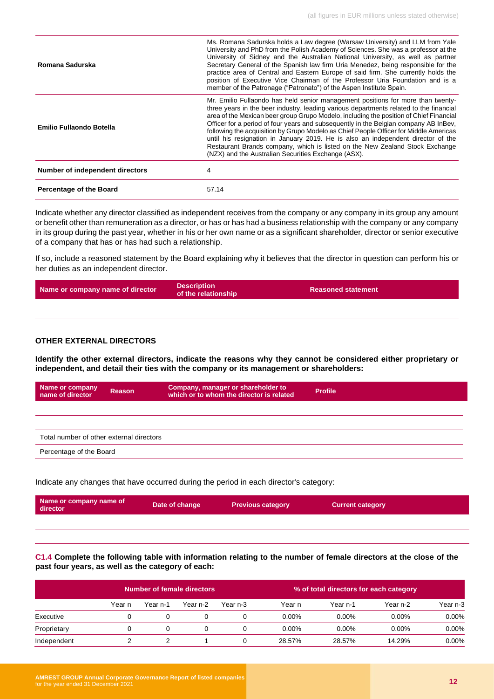| Romana Sadurska                 | Ms. Romana Sadurska holds a Law degree (Warsaw University) and LLM from Yale<br>University and PhD from the Polish Academy of Sciences. She was a professor at the<br>University of Sidney and the Australian National University, as well as partner<br>Secretary General of the Spanish law firm Uria Menedez, being responsible for the<br>practice area of Central and Eastern Europe of said firm. She currently holds the<br>position of Executive Vice Chairman of the Professor Uria Foundation and is a<br>member of the Patronage ("Patronato") of the Aspen Institute Spain.                                                                                         |
|---------------------------------|---------------------------------------------------------------------------------------------------------------------------------------------------------------------------------------------------------------------------------------------------------------------------------------------------------------------------------------------------------------------------------------------------------------------------------------------------------------------------------------------------------------------------------------------------------------------------------------------------------------------------------------------------------------------------------|
| Emilio Fullaondo Botella        | Mr. Emilio Fullaondo has held senior management positions for more than twenty-<br>three years in the beer industry, leading various departments related to the financial<br>area of the Mexican beer group Grupo Modelo, including the position of Chief Financial<br>Officer for a period of four years and subsequently in the Belgian company AB InBev,<br>following the acquisition by Grupo Modelo as Chief People Officer for Middle Americas<br>until his resignation in January 2019. He is also an independent director of the<br>Restaurant Brands company, which is listed on the New Zealand Stock Exchange<br>(NZX) and the Australian Securities Exchange (ASX). |
| Number of independent directors | 4                                                                                                                                                                                                                                                                                                                                                                                                                                                                                                                                                                                                                                                                               |
| <b>Percentage of the Board</b>  | 57.14                                                                                                                                                                                                                                                                                                                                                                                                                                                                                                                                                                                                                                                                           |

Indicate whether any director classified as independent receives from the company or any company in its group any amount or benefit other than remuneration as a director, or has or has had a business relationship with the company or any company in its group during the past year, whether in his or her own name or as a significant shareholder, director or senior executive of a company that has or has had such a relationship.

If so, include a reasoned statement by the Board explaining why it believes that the director in question can perform his or her duties as an independent director.

| Name or company name of director | <b>Description</b><br>of the relationship | <b>Reasoned statement</b> |
|----------------------------------|-------------------------------------------|---------------------------|
|                                  |                                           |                           |

#### **OTHER EXTERNAL DIRECTORS**

**Identify the other external directors, indicate the reasons why they cannot be considered either proprietary or independent, and detail their ties with the company or its management or shareholders:**

| Name or company<br>name of director      | Reason | Company, manager or shareholder to<br>which or to whom the director is related | <b>Profile</b> |
|------------------------------------------|--------|--------------------------------------------------------------------------------|----------------|
|                                          |        |                                                                                |                |
|                                          |        |                                                                                |                |
| Total number of other external directors |        |                                                                                |                |
| Percentage of the Board                  |        |                                                                                |                |

Indicate any changes that have occurred during the period in each director's category:

| Name or company name of<br>director | Date of change | <b>Previous category</b> | <b>Current category</b> |
|-------------------------------------|----------------|--------------------------|-------------------------|
|                                     |                |                          |                         |

**C1.4 Complete the following table with information relating to the number of female directors at the close of the past four years, as well as the category of each:**

|             | Number of female directors |          |          |          |          | % of total directors for each category |          |          |
|-------------|----------------------------|----------|----------|----------|----------|----------------------------------------|----------|----------|
|             | Year n                     | Year n-1 | Year n-2 | Year n-3 | Year n   | Year n-1                               | Year n-2 | Year n-3 |
| Executive   |                            |          |          |          | $0.00\%$ | $0.00\%$                               | $0.00\%$ | $0.00\%$ |
| Proprietary |                            |          |          |          | $0.00\%$ | $0.00\%$                               | $0.00\%$ | $0.00\%$ |
| Independent |                            |          |          |          | 28.57%   | 28.57%                                 | 14.29%   | $0.00\%$ |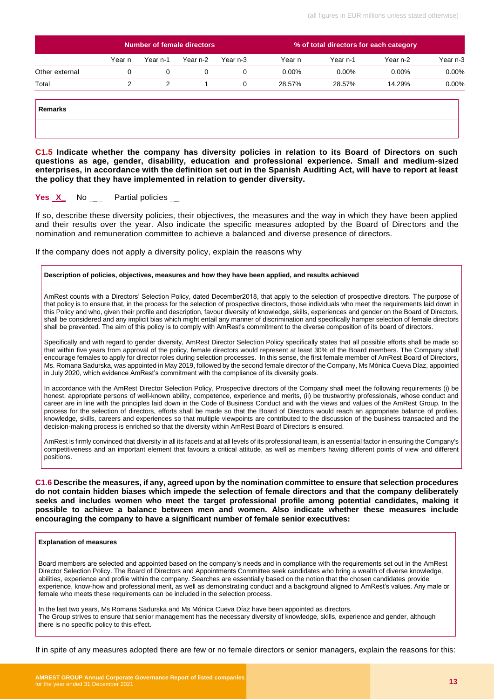|                | <b>Number of female directors</b> |          |          |          | % of total directors for each category |          |          |          |
|----------------|-----------------------------------|----------|----------|----------|----------------------------------------|----------|----------|----------|
|                | Year n                            | Year n-1 | Year n-2 | Year n-3 | Year n                                 | Year n-1 | Year n-2 | Year n-3 |
| Other external |                                   |          |          |          | $0.00\%$                               | $0.00\%$ | $0.00\%$ | 0.00%    |
| Total          |                                   |          |          |          | 28.57%                                 | 28.57%   | 14.29%   | 0.00%    |
|                |                                   |          |          |          |                                        |          |          |          |

**C1.5 Indicate whether the company has diversity policies in relation to its Board of Directors on such questions as age, gender, disability, education and professional experience. Small and medium-sized enterprises, in accordance with the definition set out in the Spanish Auditing Act, will have to report at least the policy that they have implemented in relation to gender diversity.**

#### **Yes X** No Partial policies

If so, describe these diversity policies, their objectives, the measures and the way in which they have been applied and their results over the year. Also indicate the specific measures adopted by the Board of Directors and the nomination and remuneration committee to achieve a balanced and diverse presence of directors.

If the company does not apply a diversity policy, explain the reasons why

#### **Description of policies, objectives, measures and how they have been applied, and results achieved**

AmRest counts with a Directors' Selection Policy, dated December2018, that apply to the selection of prospective directors. The purpose of that policy is to ensure that, in the process for the selection of prospective directors, those individuals who meet the requirements laid down in this Policy and who, given their profile and description, favour diversity of knowledge, skills, experiences and gender on the Board of Directors, shall be considered and any implicit bias which might entail any manner of discrimination and specifically hamper selection of female directors shall be prevented. The aim of this policy is to comply with AmRest's commitment to the diverse composition of its board of directors.

Specifically and with regard to gender diversity, AmRest Director Selection Policy specifically states that all possible efforts shall be made so that within five years from approval of the policy, female directors would represent at least 30% of the Board members. The Company shall encourage females to apply for director roles during selection processes. In this sense, the first female member of AmRest Board of Directors, Ms. Romana Sadurska, was appointed in May 2019, followed by the second female director of the Company, Ms Mónica Cueva Díaz, appointed in July 2020, which evidence AmRest's commitment with the compliance of its diversity goals.

In accordance with the AmRest Director Selection Policy, Prospective directors of the Company shall meet the following requirements (i) be honest, appropriate persons of well-known ability, competence, experience and merits, (ii) be trustworthy professionals, whose conduct and career are in line with the principles laid down in the Code of Business Conduct and with the views and values of the AmRest Group. In the process for the selection of directors, efforts shall be made so that the Board of Directors would reach an appropriate balance of profiles, knowledge, skills, careers and experiences so that multiple viewpoints are contributed to the discussion of the business transacted and the decision-making process is enriched so that the diversity within AmRest Board of Directors is ensured.

AmRest is firmly convinced that diversity in all its facets and at all levels of its professional team, is an essential factor in ensuring the Company's competitiveness and an important element that favours a critical attitude, as well as members having different points of view and different positions.

**C1.6 Describe the measures, if any, agreed upon by the nomination committee to ensure that selection procedures do not contain hidden biases which impede the selection of female directors and that the company deliberately seeks and includes women who meet the target professional profile among potential candidates, making it possible to achieve a balance between men and women. Also indicate whether these measures include encouraging the company to have a significant number of female senior executives:**

#### **Explanation of measures**

Board members are selected and appointed based on the company's needs and in compliance with the requirements set out in the AmRest Director Selection Policy. The Board of Directors and Appointments Committee seek candidates who bring a wealth of diverse knowledge, abilities, experience and profile within the company. Searches are essentially based on the notion that the chosen candidates provide experience, know-how and professional merit, as well as demonstrating conduct and a background aligned to AmRest's values. Any male or female who meets these requirements can be included in the selection process.

In the last two years, Ms Romana Sadurska and Ms Mónica Cueva Díaz have been appointed as directors. The Group strives to ensure that senior management has the necessary diversity of knowledge, skills, experience and gender, although there is no specific policy to this effect.

If in spite of any measures adopted there are few or no female directors or senior managers, explain the reasons for this: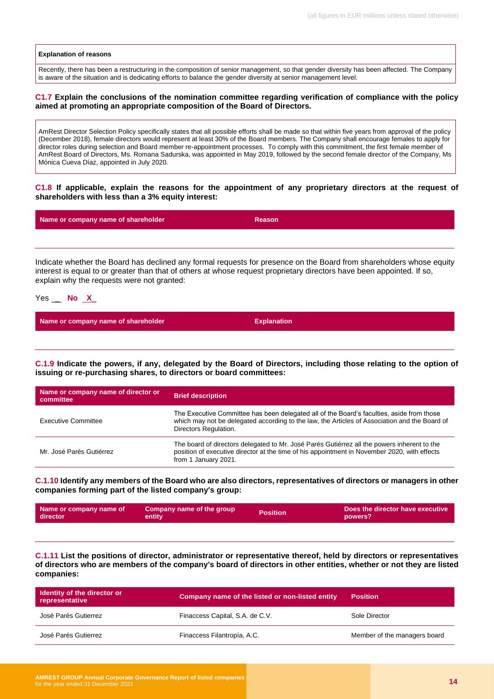#### **Explanation of reasons**

Recently, there has been a restructuring in the composition of senior management, so that gender diversity has been affected. The Company is aware of the situation and is dedicating efforts to balance the gender diversity at senior management level.

#### **C1.7 Explain the conclusions of the nomination committee regarding verification of compliance with the policy aimed at promoting an appropriate composition of the Board of Directors.**

AmRest Director Selection Policy specifically states that all possible efforts shall be made so that within five years from approval of the policy (December 2018), female directors would represent at least 30% of the Board members. The Company shall encourage females to apply for director roles during selection and Board member re-appointment processes. To comply with this commitment, the first female member of AmRest Board of Directors, Ms. Romana Sadurska, was appointed in May 2019, followed by the second female director of the Company, Ms Mónica Cueva Díaz, appointed in July 2020.

**C1.8 If applicable, explain the reasons for the appointment of any proprietary directors at the request of shareholders with less than a 3% equity interest:**

| Name or company name of shareholder | <b>Reason</b> |
|-------------------------------------|---------------|
|                                     |               |

Indicate whether the Board has declined any formal requests for presence on the Board from shareholders whose equity interest is equal to or greater than that of others at whose request proprietary directors have been appointed. If so, explain why the requests were not granted:

Yes \_ **No X\_**

**Name or company name of shareholder Explanation** 

**C.1.9 Indicate the powers, if any, delegated by the Board of Directors, including those relating to the option of issuing or re-purchasing shares, to directors or board committees:**

| Name or company name of director or<br>committee | <b>Brief description</b>                                                                                                                                                                                            |
|--------------------------------------------------|---------------------------------------------------------------------------------------------------------------------------------------------------------------------------------------------------------------------|
| <b>Executive Committee</b>                       | The Executive Committee has been delegated all of the Board's faculties, aside from those<br>which may not be delegated according to the law, the Articles of Association and the Board of<br>Directors Regulation. |
| Mr. José Parés Gutiérrez                         | The board of directors delegated to Mr. José Parés Gutiérrez all the powers inherent to the<br>position of executive director at the time of his appointment in November 2020, with effects<br>from 1 January 2021. |

**C.1.10 Identify any members of the Board who are also directors, representatives of directors or managers in other companies forming part of the listed company's group:**

| Name or company name of | Company name of the group ' | <b>Position</b> | . Does the director have executive $\,$ |
|-------------------------|-----------------------------|-----------------|-----------------------------------------|
| director                | entity                      |                 | powers?                                 |
|                         |                             |                 |                                         |

**C.1.11 List the positions of director, administrator or representative thereof, held by directors or representatives of directors who are members of the company's board of directors in other entities, whether or not they are listed companies:**

| <b>Identity of the director or</b><br>representative | Company name of the listed or non-listed entity | <b>Position</b>              |
|------------------------------------------------------|-------------------------------------------------|------------------------------|
| José Parés Gutierrez                                 | Finaccess Capital, S.A. de C.V.                 | Sole Director                |
| José Parés Gutierrez                                 | Finaccess Filantropía, A.C.                     | Member of the managers board |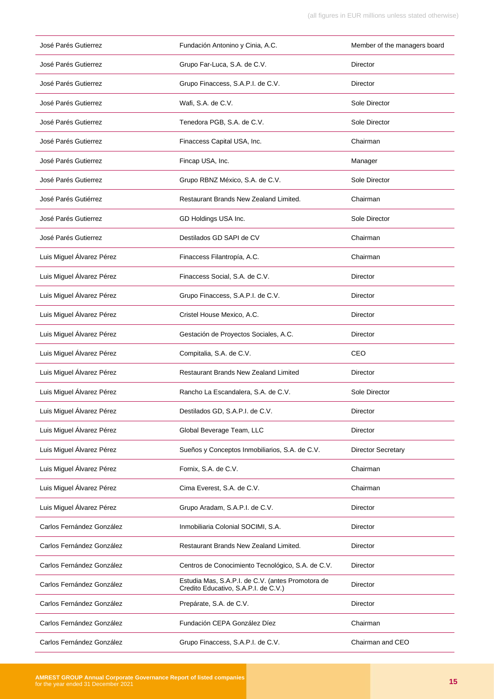| José Parés Gutierrez      | Fundación Antonino y Cinia, A.C.                                                          | Member of the managers board |
|---------------------------|-------------------------------------------------------------------------------------------|------------------------------|
| José Parés Gutierrez      | Grupo Far-Luca, S.A. de C.V.                                                              | Director                     |
| José Parés Gutierrez      | Grupo Finaccess, S.A.P.I. de C.V.                                                         | Director                     |
| José Parés Gutierrez      | Wafi, S.A. de C.V.                                                                        | Sole Director                |
| José Parés Gutierrez      | Tenedora PGB, S.A. de C.V.                                                                | Sole Director                |
| José Parés Gutierrez      | Finaccess Capital USA, Inc.                                                               | Chairman                     |
| José Parés Gutierrez      | Fincap USA, Inc.                                                                          | Manager                      |
| José Parés Gutierrez      | Grupo RBNZ México, S.A. de C.V.                                                           | Sole Director                |
| José Parés Gutiérrez      | Restaurant Brands New Zealand Limited.                                                    | Chairman                     |
| José Parés Gutierrez      | GD Holdings USA Inc.                                                                      | Sole Director                |
| José Parés Gutierrez      | Destilados GD SAPI de CV                                                                  | Chairman                     |
| Luis Miguel Álvarez Pérez | Finaccess Filantropía, A.C.                                                               | Chairman                     |
| Luis Miguel Álvarez Pérez | Finaccess Social, S.A. de C.V.                                                            | Director                     |
| Luis Miguel Álvarez Pérez | Grupo Finaccess, S.A.P.I. de C.V.                                                         | Director                     |
| Luis Miguel Álvarez Pérez | Cristel House Mexico, A.C.                                                                | Director                     |
| Luis Miguel Álvarez Pérez | Gestación de Proyectos Sociales, A.C.                                                     | Director                     |
| Luis Miguel Álvarez Pérez | Compitalia, S.A. de C.V.                                                                  | CEO                          |
| Luis Miguel Álvarez Pérez | <b>Restaurant Brands New Zealand Limited</b>                                              | Director                     |
| Luis Miguel Álvarez Pérez | Rancho La Escandalera, S.A. de C.V.                                                       | Sole Director                |
| Luis Miguel Álvarez Pérez | Destilados GD, S.A.P.I. de C.V.                                                           | Director                     |
| Luis Miguel Álvarez Pérez | Global Beverage Team, LLC                                                                 | Director                     |
| Luis Miguel Álvarez Pérez | Sueños y Conceptos Inmobiliarios, S.A. de C.V.                                            | <b>Director Secretary</b>    |
| Luis Miguel Álvarez Pérez | Fornix, S.A. de C.V.                                                                      | Chairman                     |
| Luis Miguel Álvarez Pérez | Cima Everest, S.A. de C.V.                                                                | Chairman                     |
| Luis Miguel Álvarez Pérez | Grupo Aradam, S.A.P.I. de C.V.                                                            | Director                     |
| Carlos Fernández González | Inmobiliaria Colonial SOCIMI, S.A.                                                        | Director                     |
| Carlos Fernández González | Restaurant Brands New Zealand Limited.                                                    | Director                     |
| Carlos Fernández González | Centros de Conocimiento Tecnológico, S.A. de C.V.                                         | Director                     |
| Carlos Fernández González | Estudia Mas, S.A.P.I. de C.V. (antes Promotora de<br>Credito Educativo, S.A.P.I. de C.V.) | Director                     |
| Carlos Fernández González | Prepárate, S.A. de C.V.                                                                   | Director                     |
| Carlos Fernández González | Fundación CEPA González Díez                                                              | Chairman                     |
| Carlos Fernández González | Grupo Finaccess, S.A.P.I. de C.V.                                                         | Chairman and CEO             |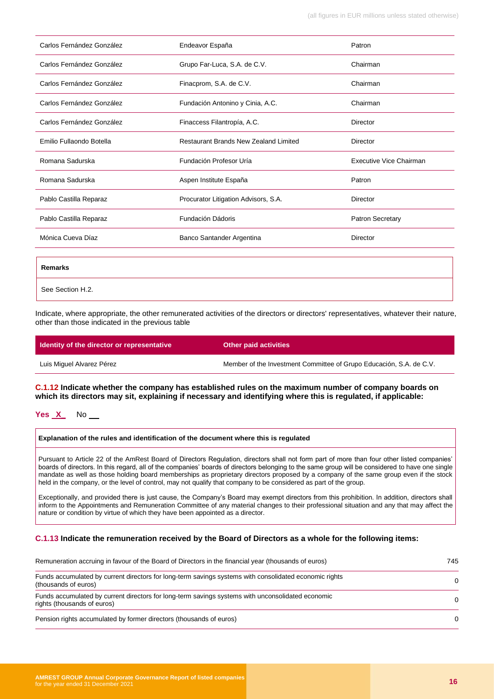| Carlos Fernández González | Endeavor España                              | Patron                         |
|---------------------------|----------------------------------------------|--------------------------------|
| Carlos Fernández González | Grupo Far-Luca, S.A. de C.V.                 | Chairman                       |
| Carlos Fernández González | Finacprom, S.A. de C.V.                      | Chairman                       |
| Carlos Fernández González | Fundación Antonino y Cinia, A.C.             | Chairman                       |
| Carlos Fernández González | Finaccess Filantropía, A.C.                  | <b>Director</b>                |
| Emilio Fullaondo Botella  | <b>Restaurant Brands New Zealand Limited</b> | <b>Director</b>                |
| Romana Sadurska           | Fundación Profesor Uría                      | <b>Executive Vice Chairman</b> |
| Romana Sadurska           | Aspen Institute España                       | Patron                         |
| Pablo Castilla Reparaz    | Procurator Litigation Advisors, S.A.         | Director                       |
| Pablo Castilla Reparaz    | Fundación Dádoris                            | Patron Secretary               |
| Mónica Cueva Díaz         | Banco Santander Argentina                    | <b>Director</b>                |
|                           |                                              |                                |
| <b>Remarks</b>            |                                              |                                |
| See Section H.2.          |                                              |                                |

Indicate, where appropriate, the other remunerated activities of the directors or directors' representatives, whatever their nature, other than those indicated in the previous table

| <b>Identity of the director or representative</b> | <b>Other paid activities</b>                                        |
|---------------------------------------------------|---------------------------------------------------------------------|
| Luis Miguel Alvarez Pérez                         | Member of the Investment Committee of Grupo Educación, S.A. de C.V. |

**C.1.12 Indicate whether the company has established rules on the maximum number of company boards on which its directors may sit, explaining if necessary and identifying where this is regulated, if applicable:**

#### **Yes X\_** No \_

**Explanation of the rules and identification of the document where this is regulated**

Pursuant to Article 22 of the AmRest Board of Directors Regulation, directors shall not form part of more than four other listed companies' boards of directors. In this regard, all of the companies' boards of directors belonging to the same group will be considered to have one single mandate as well as those holding board memberships as proprietary directors proposed by a company of the same group even if the stock held in the company, or the level of control, may not qualify that company to be considered as part of the group.

Exceptionally, and provided there is just cause, the Company's Board may exempt directors from this prohibition. In addition, directors shall inform to the Appointments and Remuneration Committee of any material changes to their professional situation and any that may affect the nature or condition by virtue of which they have been appointed as a director.

#### **C.1.13 Indicate the remuneration received by the Board of Directors as a whole for the following items:**

| Remuneration accruing in favour of the Board of Directors in the financial year (thousands of euros)                             |  |
|----------------------------------------------------------------------------------------------------------------------------------|--|
| Funds accumulated by current directors for long-term savings systems with consolidated economic rights<br>(thousands of euros)   |  |
| Funds accumulated by current directors for long-term savings systems with unconsolidated economic<br>rights (thousands of euros) |  |
| Pension rights accumulated by former directors (thousands of euros)                                                              |  |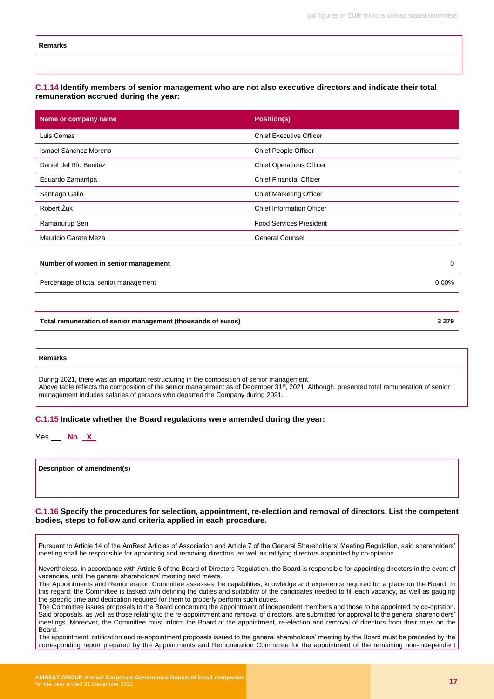#### **C.1.14 Identify members of senior management who are not also executive directors and indicate their total remuneration accrued during the year:**

| Name or company name   | <b>Position(s)</b>               |
|------------------------|----------------------------------|
| Luis Comas             | <b>Chief Executive Officer</b>   |
| Ismael Sánchez Moreno  | Chief People Officer             |
| Daniel del Río Benitez | <b>Chief Operations Officer</b>  |
| Eduardo Zamarripa      | <b>Chief Financial Officer</b>   |
| Santiago Gallo         | <b>Chief Marketing Officer</b>   |
| Robert Żuk             | <b>Chief Information Officer</b> |
| Ramanurup Sen          | <b>Food Services President</b>   |
| Mauricio Gárate Meza   | <b>General Counsel</b>           |
|                        |                                  |

#### **Number of women in senior management** 0

Percentage of total senior management 0.00% and the contract of the contract of the contract of the contract of the contract of the contract of the contract of the contract of the contract of the contract of the contract o

**Total remuneration of senior management (thousands of euros) 3 279**

**Remarks** During 2021, there was an important restructuring in the composition of senior management. Above table reflects the composition of the senior management as of December 31<sup>st</sup>, 2021. Although, presented total remuneration of senior management includes salaries of persons who departed the Company during 2021.

#### **C.1.15 Indicate whether the Board regulations were amended during the year:**

| Yes | No |  |
|-----|----|--|
|-----|----|--|

**Description of amendment(s)**

#### **C.1.16 Specify the procedures for selection, appointment, re-election and removal of directors. List the competent bodies, steps to follow and criteria applied in each procedure.**

Pursuant to Article 14 of the AmRest Articles of Association and Article 7 of the General Shareholders' Meeting Regulation, said shareholders' meeting shall be responsible for appointing and removing directors, as well as ratifying directors appointed by co-optation.

Nevertheless, in accordance with Article 6 of the Board of Directors Regulation, the Board is responsible for appointing directors in the event of vacancies, until the general shareholders' meeting next meets.

The Appointments and Remuneration Committee assesses the capabilities, knowledge and experience required for a place on the Board. In this regard, the Committee is tasked with defining the duties and suitability of the candidates needed to fill each vacancy, as well as gauging the specific time and dedication required for them to properly perform such duties.

The Committee issues proposals to the Board concerning the appointment of independent members and those to be appointed by co-optation. Said proposals, as well as those relating to the re-appointment and removal of directors, are submitted for approval to the general shareholders' meetings. Moreover, the Committee must inform the Board of the appointment, re-election and removal of directors from their roles on the Board.

The appointment, ratification and re-appointment proposals issued to the general shareholders' meeting by the Board must be preceded by the corresponding report prepared by the Appointments and Remuneration Committee for the appointment of the remaining non-independent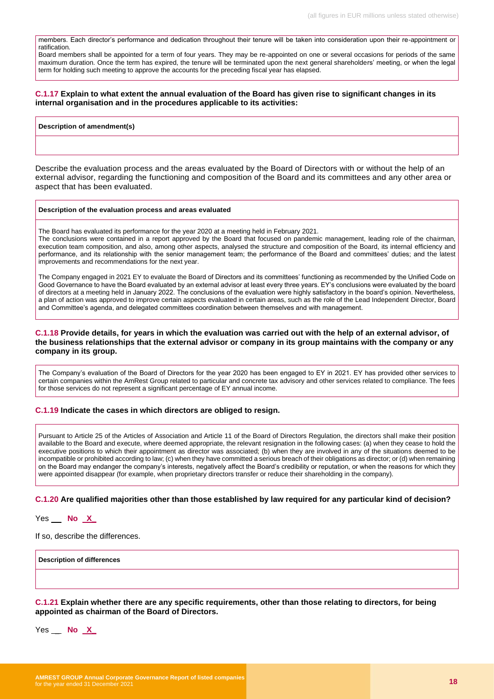members. Each director's performance and dedication throughout their tenure will be taken into consideration upon their re-appointment or ratification.

Board members shall be appointed for a term of four years. They may be re-appointed on one or several occasions for periods of the same maximum duration. Once the term has expired, the tenure will be terminated upon the next general shareholders' meeting, or when the legal term for holding such meeting to approve the accounts for the preceding fiscal year has elapsed.

#### **C.1.17 Explain to what extent the annual evaluation of the Board has given rise to significant changes in its internal organisation and in the procedures applicable to its activities:**

#### **Description of amendment(s)**

Describe the evaluation process and the areas evaluated by the Board of Directors with or without the help of an external advisor, regarding the functioning and composition of the Board and its committees and any other area or aspect that has been evaluated.

#### **Description of the evaluation process and areas evaluated**

The Board has evaluated its performance for the year 2020 at a meeting held in February 2021.

The conclusions were contained in a report approved by the Board that focused on pandemic management, leading role of the chairman, execution team composition, and also, among other aspects, analysed the structure and composition of the Board, its internal efficiency and performance, and its relationship with the senior management team; the performance of the Board and committees' duties; and the latest improvements and recommendations for the next year.

The Company engaged in 2021 EY to evaluate the Board of Directors and its committees' functioning as recommended by the Unified Code on Good Governance to have the Board evaluated by an external advisor at least every three years. EY's conclusions were evaluated by the board of directors at a meeting held in January 2022. The conclusions of the evaluation were highly satisfactory in the board's opinion. Nevertheless, a plan of action was approved to improve certain aspects evaluated in certain areas, such as the role of the Lead Independent Director, Board and Committee's agenda, and delegated committees coordination between themselves and with management.

#### **C.1.18 Provide details, for years in which the evaluation was carried out with the help of an external advisor, of the business relationships that the external advisor or company in its group maintains with the company or any company in its group.**

The Company's evaluation of the Board of Directors for the year 2020 has been engaged to EY in 2021. EY has provided other services to certain companies within the AmRest Group related to particular and concrete tax advisory and other services related to compliance. The fees for those services do not represent a significant percentage of EY annual income.

#### **C.1.19 Indicate the cases in which directors are obliged to resign.**

Pursuant to Article 25 of the Articles of Association and Article 11 of the Board of Directors Regulation, the directors shall make their position available to the Board and execute, where deemed appropriate, the relevant resignation in the following cases: (a) when they cease to hold the executive positions to which their appointment as director was associated; (b) when they are involved in any of the situations deemed to be incompatible or prohibited according to law; (c) when they have committed a serious breach of their obligations as director; or (d) when remaining on the Board may endanger the company's interests, negatively affect the Board's credibility or reputation, or when the reasons for which they were appointed disappear (for example, when proprietary directors transfer or reduce their shareholding in the company).

#### **C.1.20 Are qualified majorities other than those established by law required for any particular kind of decision?**

Yes \_ **No X\_**

If so, describe the differences.

**Description of differences**

**C.1.21 Explain whether there are any specific requirements, other than those relating to directors, for being appointed as chairman of the Board of Directors.** 

Yes \_ **No X\_**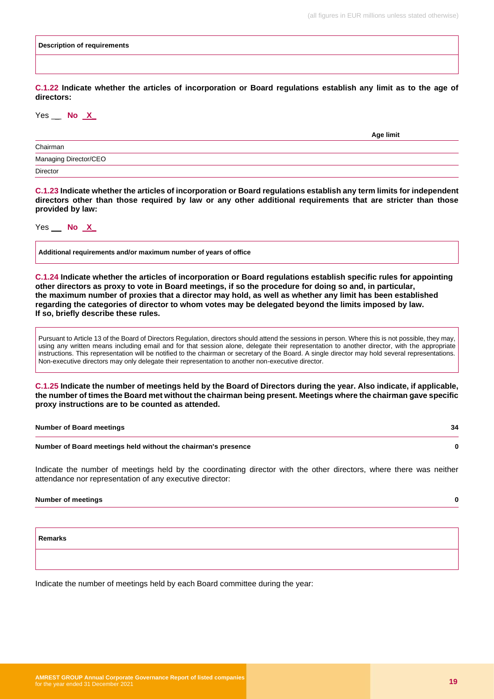#### **Description of requirements**

**C.1.22 Indicate whether the articles of incorporation or Board regulations establish any limit as to the age of directors:**

#### Yes \_ **No X\_**

|                       | Age limit |  |
|-----------------------|-----------|--|
| Chairman              |           |  |
| Managing Director/CEO |           |  |
| Director              |           |  |
|                       |           |  |

**C.1.23 Indicate whether the articles of incorporation or Board regulations establish any term limits for independent directors other than those required by law or any other additional requirements that are stricter than those provided by law:**

Yes \_ **No X\_**

**Additional requirements and/or maximum number of years of office**

**C.1.24 Indicate whether the articles of incorporation or Board regulations establish specific rules for appointing other directors as proxy to vote in Board meetings, if so the procedure for doing so and, in particular, the maximum number of proxies that a director may hold, as well as whether any limit has been established regarding the categories of director to whom votes may be delegated beyond the limits imposed by law. If so, briefly describe these rules.**

Pursuant to Article 13 of the Board of Directors Regulation, directors should attend the sessions in person. Where this is not possible, they may, using any written means including email and for that session alone, delegate their representation to another director, with the appropriate instructions. This representation will be notified to the chairman or secretary of the Board. A single director may hold several representations. Non-executive directors may only delegate their representation to another non-executive director.

**C.1.25 Indicate the number of meetings held by the Board of Directors during the year. Also indicate, if applicable, the number of times the Board met without the chairman being present. Meetings where the chairman gave specific proxy instructions are to be counted as attended.**

| <b>Number of Board meetings</b>                               |  |
|---------------------------------------------------------------|--|
| Number of Board meetings held without the chairman's presence |  |

Indicate the number of meetings held by the coordinating director with the other directors, where there was neither attendance nor representation of any executive director:

**Number of meetings 0**

**Remarks**

Indicate the number of meetings held by each Board committee during the year: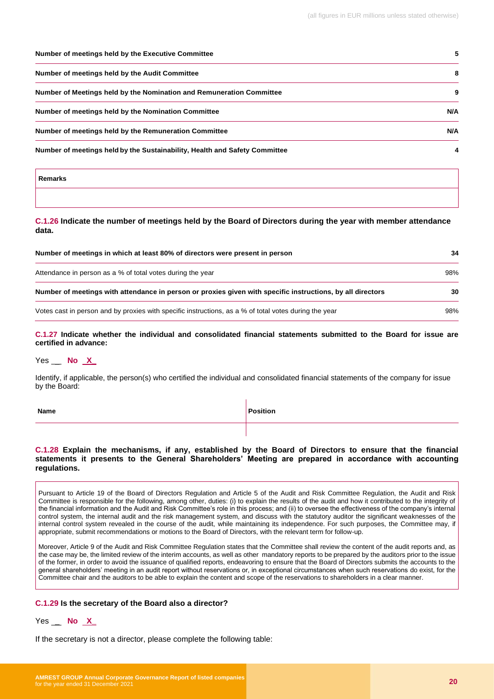| Number of meetings held by the Executive Committee                         | 5   |
|----------------------------------------------------------------------------|-----|
| Number of meetings held by the Audit Committee                             | 8   |
| Number of Meetings held by the Nomination and Remuneration Committee       | 9   |
| Number of meetings held by the Nomination Committee                        | N/A |
| Number of meetings held by the Remuneration Committee                      | N/A |
| Number of meetings held by the Sustainability, Health and Safety Committee | 4   |
| <b>Remarks</b>                                                             |     |

#### **C.1.26 Indicate the number of meetings held by the Board of Directors during the year with member attendance data.**

| Number of meetings in which at least 80% of directors were present in person                               |     |
|------------------------------------------------------------------------------------------------------------|-----|
| Attendance in person as a % of total votes during the year                                                 | 98% |
| Number of meetings with attendance in person or proxies given with specific instructions, by all directors | 30  |
| Votes cast in person and by proxies with specific instructions, as a % of total votes during the year      | 98% |

**C.1.27 Indicate whether the individual and consolidated financial statements submitted to the Board for issue are certified in advance:** 

#### Yes \_ **No X\_**

Identify, if applicable, the person(s) who certified the individual and consolidated financial statements of the company for issue by the Board:

| Name | Position |
|------|----------|
|      |          |

#### **C.1.28 Explain the mechanisms, if any, established by the Board of Directors to ensure that the financial statements it presents to the General Shareholders' Meeting are prepared in accordance with accounting regulations.**

Pursuant to Article 19 of the Board of Directors Regulation and Article 5 of the Audit and Risk Committee Regulation, the Audit and Risk Committee is responsible for the following, among other, duties: (i) to explain the results of the audit and how it contributed to the integrity of the financial information and the Audit and Risk Committee's role in this process; and (ii) to oversee the effectiveness of the company's internal control system, the internal audit and the risk management system, and discuss with the statutory auditor the significant weaknesses of the internal control system revealed in the course of the audit, while maintaining its independence. For such purposes, the Committee may, if appropriate, submit recommendations or motions to the Board of Directors, with the relevant term for follow-up.

Moreover, Article 9 of the Audit and Risk Committee Regulation states that the Committee shall review the content of the audit reports and, as the case may be, the limited review of the interim accounts, as well as other mandatory reports to be prepared by the auditors prior to the issue of the former, in order to avoid the issuance of qualified reports, endeavoring to ensure that the Board of Directors submits the accounts to the general shareholders' meeting in an audit report without reservations or, in exceptional circumstances when such reservations do exist, for the Committee chair and the auditors to be able to explain the content and scope of the reservations to shareholders in a clear manner.

#### **C.1.29 Is the secretary of the Board also a director?**

#### Yes \_ **No X\_**

If the secretary is not a director, please complete the following table: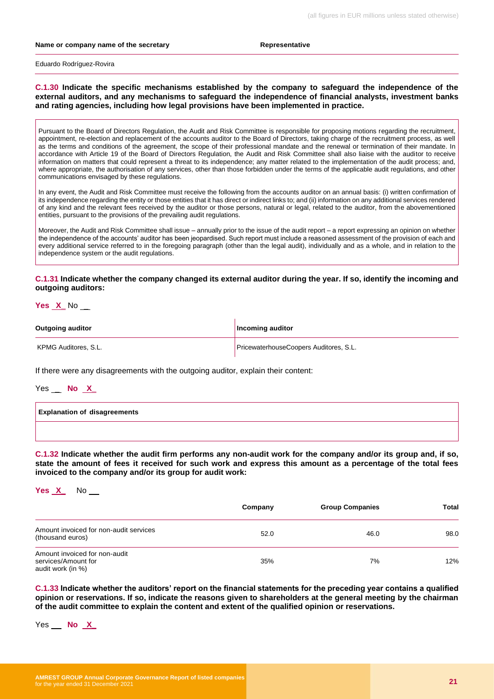#### **Name or company name of the secretary <b>Representative** Representative

Eduardo Rodríguez-Rovira

**C.1.30 Indicate the specific mechanisms established by the company to safeguard the independence of the external auditors, and any mechanisms to safeguard the independence of financial analysts, investment banks and rating agencies, including how legal provisions have been implemented in practice.**

Pursuant to the Board of Directors Regulation, the Audit and Risk Committee is responsible for proposing motions regarding the recruitment, appointment, re-election and replacement of the accounts auditor to the Board of Directors, taking charge of the recruitment process, as well as the terms and conditions of the agreement, the scope of their professional mandate and the renewal or termination of their mandate. In accordance with Article 19 of the Board of Directors Regulation, the Audit and Risk Committee shall also liaise with the auditor to receive information on matters that could represent a threat to its independence; any matter related to the implementation of the audit process; and, where appropriate, the authorisation of any services, other than those forbidden under the terms of the applicable audit regulations, and other communications envisaged by these regulations.

In any event, the Audit and Risk Committee must receive the following from the accounts auditor on an annual basis: (i) written confirmation of its independence regarding the entity or those entities that it has direct or indirect links to; and (ii) information on any additional services rendered of any kind and the relevant fees received by the auditor or those persons, natural or legal, related to the auditor, from the abovementioned entities, pursuant to the provisions of the prevailing audit regulations.

Moreover, the Audit and Risk Committee shall issue – annually prior to the issue of the audit report – a report expressing an opinion on whether the independence of the accounts' auditor has been jeopardised. Such report must include a reasoned assessment of the provision of each and every additional service referred to in the foregoing paragraph (other than the legal audit), individually and as a whole, and in relation to the independence system or the audit regulations.

**C.1.31 Indicate whether the company changed its external auditor during the year. If so, identify the incoming and outgoing auditors:**

**Yes X\_** No \_

| <b>Outgoing auditor</b> | Incoming auditor                       |
|-------------------------|----------------------------------------|
| KPMG Auditores, S.L.    | PricewaterhouseCoopers Auditores, S.L. |

If there were any disagreements with the outgoing auditor, explain their content:

Yes \_ **No X\_**

| <b>Explanation of disagreements</b> |  |
|-------------------------------------|--|
|                                     |  |

**C.1.32 Indicate whether the audit firm performs any non-audit work for the company and/or its group and, if so, state the amount of fees it received for such work and express this amount as a percentage of the total fees invoiced to the company and/or its group for audit work:** 

**Yes X\_** No \_

|                                                                           | Company | <b>Group Companies</b> | <b>Total</b> |
|---------------------------------------------------------------------------|---------|------------------------|--------------|
| Amount invoiced for non-audit services<br>(thousand euros)                | 52.0    | 46.0                   | 98.0         |
| Amount invoiced for non-audit<br>services/Amount for<br>audit work (in %) | 35%     | 7%                     | 12%          |

**C.1.33 Indicate whether the auditors' report on the financial statements for the preceding year contains a qualified opinion or reservations. If so, indicate the reasons given to shareholders at the general meeting by the chairman of the audit committee to explain the content and extent of the qualified opinion or reservations.** 

Yes \_ **No X\_**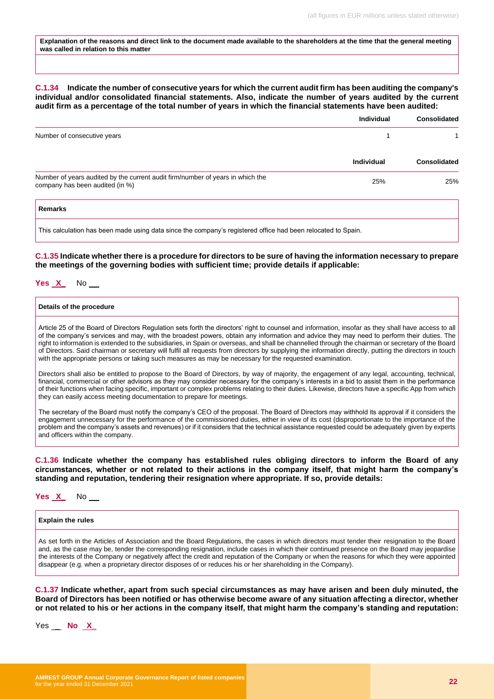**Explanation of the reasons and direct link to the document made available to the shareholders at the time that the general meeting was called in relation to this matter**

#### **C.1.34 Indicate the number of consecutive years for which the current audit firm has been auditing the company's individual and/or consolidated financial statements. Also, indicate the number of years audited by the current audit firm as a percentage of the total number of years in which the financial statements have been audited:**

|                                                                                                                   | <b>Individual</b> | <b>Consolidated</b> |
|-------------------------------------------------------------------------------------------------------------------|-------------------|---------------------|
| Number of consecutive years                                                                                       |                   |                     |
|                                                                                                                   | <b>Individual</b> | <b>Consolidated</b> |
| Number of years audited by the current audit firm/number of years in which the<br>company has been audited (in %) | 25%               | 25%                 |
| Remarks                                                                                                           |                   |                     |

This calculation has been made using data since the company's registered office had been relocated to Spain.

**C.1.35 Indicate whether there is a procedure for directors to be sure of having the information necessary to prepare the meetings of the governing bodies with sufficient time; provide details if applicable:**

#### **Yes X\_** No \_

#### **Details of the procedure**

Article 25 of the Board of Directors Regulation sets forth the directors' right to counsel and information, insofar as they shall have access to all of the company's services and may, with the broadest powers, obtain any information and advice they may need to perform their duties. The right to information is extended to the subsidiaries, in Spain or overseas, and shall be channelled through the chairman or secretary of the Board of Directors. Said chairman or secretary will fulfil all requests from directors by supplying the information directly, putting the directors in touch with the appropriate persons or taking such measures as may be necessary for the requested examination.

Directors shall also be entitled to propose to the Board of Directors, by way of majority, the engagement of any legal, accounting, technical, financial, commercial or other advisors as they may consider necessary for the company's interests in a bid to assist them in the performance of their functions when facing specific, important or complex problems relating to their duties. Likewise, directors have a specific App from which they can easily access meeting documentation to prepare for meetings.

The secretary of the Board must notify the company's CEO of the proposal. The Board of Directors may withhold its approval if it considers the engagement unnecessary for the performance of the commissioned duties, either in view of its cost (disproportionate to the importance of the problem and the company's assets and revenues) or if it considers that the technical assistance requested could be adequately given by experts and officers within the company.

**C.1.36 Indicate whether the company has established rules obliging directors to inform the Board of any circumstances, whether or not related to their actions in the company itself, that might harm the company's standing and reputation, tendering their resignation where appropriate. If so, provide details:**

**Yes X\_** No \_

#### **Explain the rules**

As set forth in the Articles of Association and the Board Regulations, the cases in which directors must tender their resignation to the Board and, as the case may be, tender the corresponding resignation, include cases in which their continued presence on the Board may jeopardise the interests of the Company or negatively affect the credit and reputation of the Company or when the reasons for which they were appointed disappear (e.g. when a proprietary director disposes of or reduces his or her shareholding in the Company).

**C.1.37 Indicate whether, apart from such special circumstances as may have arisen and been duly minuted, the Board of Directors has been notified or has otherwise become aware of any situation affecting a director, whether or not related to his or her actions in the company itself, that might harm the company's standing and reputation:** 

Yes \_ **No X\_**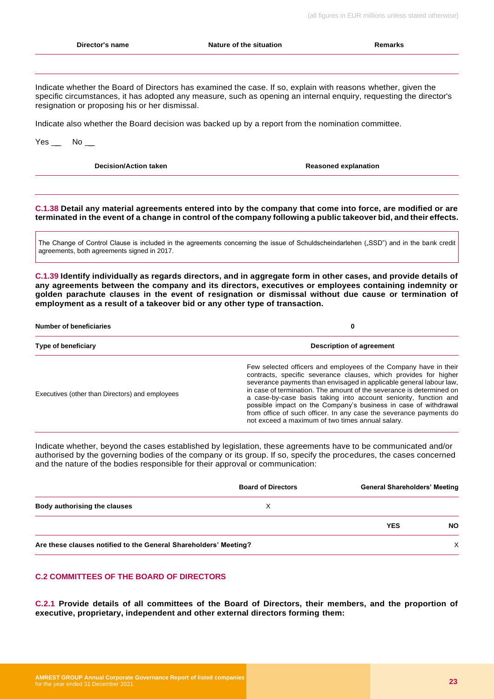# **Director's name Nature of the situation Remarks** Indicate whether the Board of Directors has examined the case. If so, explain with reasons whether, given the specific circumstances, it has adopted any measure, such as opening an internal enquiry, requesting the director's resignation or proposing his or her dismissal. Indicate also whether the Board decision was backed up by a report from the nomination committee. Yes No **Decision/Action taken Reasoned explanation Reasoned explanation C.1.38 Detail any material agreements entered into by the company that come into force, are modified or are terminated in the event of a change in control of the company following a public takeover bid, and their effects.**  The Change of Control Clause is included in the agreements concerning the issue of Schuldscheindarlehen ("SSD") and in the bank credit agreements, both agreements signed in 2017. **C.1.39 Identify individually as regards directors, and in aggregate form in other cases, and provide details of any agreements between the company and its directors, executives or employees containing indemnity or golden parachute clauses in the event of resignation or dismissal without due cause or termination of employment as a result of a takeover bid or any other type of transaction. Number of beneficiaries 0 Type of beneficiary Description of agreement** Executives (other than Directors) and employees Few selected officers and employees of the Company have in their contracts, specific severance clauses, which provides for higher severance payments than envisaged in applicable general labour law, in case of termination. The amount of the severance is determined on a case-by-case basis taking into account seniority, function and possible impact on the Company's business in case of withdrawal from office of such officer. In any case the severance payments do not exceed a maximum of two times annual salary. Indicate whether, beyond the cases established by legislation, these agreements have to be communicated and/or authorised by the governing bodies of the company or its group. If so, specify the procedures, the cases concerned and the nature of the bodies responsible for their approval or communication: **Board of Directors General Shareholders' Meeting Body authorising the clauses** X

Are these clauses notified to the General Shareholders' Meeting?<br>
X

## **C.2 COMMITTEES OF THE BOARD OF DIRECTORS**

**C.2.1 Provide details of all committees of the Board of Directors, their members, and the proportion of executive, proprietary, independent and other external directors forming them:**

**YES NO**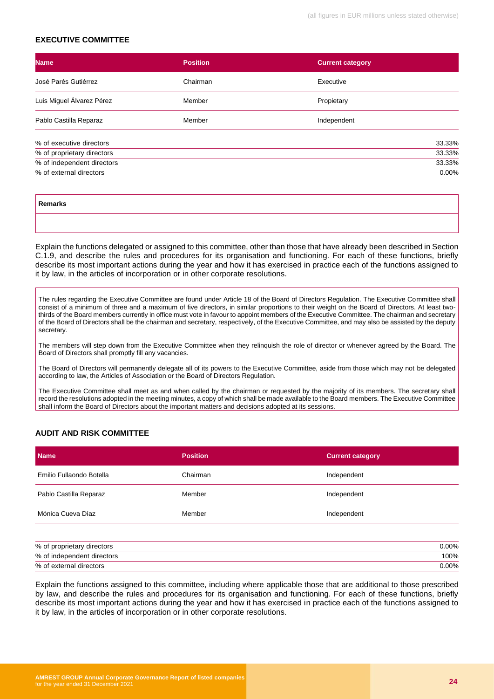#### **EXECUTIVE COMMITTEE**

| <b>Name</b>                | <b>Position</b> | <b>Current category</b> |        |  |  |  |  |
|----------------------------|-----------------|-------------------------|--------|--|--|--|--|
| José Parés Gutiérrez       | Chairman        | Executive               |        |  |  |  |  |
| Luis Miguel Álvarez Pérez  | Member          | Propietary              |        |  |  |  |  |
| Pablo Castilla Reparaz     | Member          | Independent             |        |  |  |  |  |
| % of executive directors   |                 |                         | 33.33% |  |  |  |  |
| % of proprietary directors |                 |                         | 33.33% |  |  |  |  |
| % of independent directors |                 |                         | 33.33% |  |  |  |  |
| % of external directors    |                 |                         | 0.00%  |  |  |  |  |

| <b>Remarks</b> |  |
|----------------|--|
|                |  |

Explain the functions delegated or assigned to this committee, other than those that have already been described in Section C.1.9, and describe the rules and procedures for its organisation and functioning. For each of these functions, briefly describe its most important actions during the year and how it has exercised in practice each of the functions assigned to it by law, in the articles of incorporation or in other corporate resolutions.

The rules regarding the Executive Committee are found under Article 18 of the Board of Directors Regulation. The Executive Committee shall consist of a minimum of three and a maximum of five directors, in similar proportions to their weight on the Board of Directors. At least twothirds of the Board members currently in office must vote in favour to appoint members of the Executive Committee. The chairman and secretary of the Board of Directors shall be the chairman and secretary, respectively, of the Executive Committee, and may also be assisted by the deputy secretary.

The members will step down from the Executive Committee when they relinquish the role of director or whenever agreed by the Board. The Board of Directors shall promptly fill any vacancies.

The Board of Directors will permanently delegate all of its powers to the Executive Committee, aside from those which may not be delegated according to law, the Articles of Association or the Board of Directors Regulation.

The Executive Committee shall meet as and when called by the chairman or requested by the majority of its members. The secretary shall record the resolutions adopted in the meeting minutes, a copy of which shall be made available to the Board members. The Executive Committee shall inform the Board of Directors about the important matters and decisions adopted at its sessions.

#### **AUDIT AND RISK COMMITTEE**

| <b>Name</b>              | <b>Position</b> | <b>Current category</b> |
|--------------------------|-----------------|-------------------------|
| Emilio Fullaondo Botella | Chairman        | Independent             |
| Pablo Castilla Reparaz   | Member          | Independent             |
| Mónica Cueva Díaz        | Member          | Independent             |

| % of<br>directors<br>proprietary | .00% |
|----------------------------------|------|
| % of<br>independent directors    | 100% |
| % of external<br>directors       | .00% |

Explain the functions assigned to this committee, including where applicable those that are additional to those prescribed by law, and describe the rules and procedures for its organisation and functioning. For each of these functions, briefly describe its most important actions during the year and how it has exercised in practice each of the functions assigned to it by law, in the articles of incorporation or in other corporate resolutions.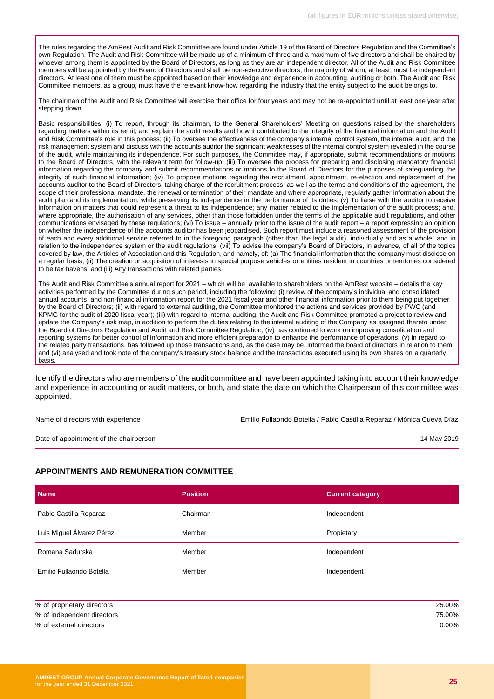The rules regarding the AmRest Audit and Risk Committee are found under Article 19 of the Board of Directors Regulation and the Committee's own Regulation. The Audit and Risk Committee will be made up of a minimum of three and a maximum of five directors and shall be chaired by whoever among them is appointed by the Board of Directors, as long as they are an independent director. All of the Audit and Risk Committee members will be appointed by the Board of Directors and shall be non-executive directors, the majority of whom, at least, must be independent directors. At least one of them must be appointed based on their knowledge and experience in accounting, auditing or both. The Audit and Risk Committee members, as a group, must have the relevant know-how regarding the industry that the entity subject to the audit belongs to.

The chairman of the Audit and Risk Committee will exercise their office for four years and may not be re-appointed until at least one year after stepping down.

Basic responsibilities: (i) To report, through its chairman, to the General Shareholders' Meeting on questions raised by the shareholders regarding matters within its remit, and explain the audit results and how it contributed to the integrity of the financial information and the Audit and Risk Committee's role in this process; (ii) To oversee the effectiveness of the company's internal control system, the internal audit, and the risk management system and discuss with the accounts auditor the significant weaknesses of the internal control system revealed in the course of the audit, while maintaining its independence. For such purposes, the Committee may, if appropriate, submit recommendations or motions to the Board of Directors, with the relevant term for follow-up; (iii) To oversee the process for preparing and disclosing mandatory financial information regarding the company and submit recommendations or motions to the Board of Directors for the purposes of safeguarding the integrity of such financial information; (iv) To propose motions regarding the recruitment, appointment, re-election and replacement of the accounts auditor to the Board of Directors, taking charge of the recruitment process, as well as the terms and conditions of the agreement, the scope of their professional mandate, the renewal or termination of their mandate and where appropriate, regularly gather information about the audit plan and its implementation, while preserving its independence in the performance of its duties; (v) To liaise with the auditor to receive information on matters that could represent a threat to its independence; any matter related to the implementation of the audit process; and, where appropriate, the authorisation of any services, other than those forbidden under the terms of the applicable audit regulations, and other communications envisaged by these regulations; (vi) To issue – annually prior to the issue of the audit report – a report expressing an opinion on whether the independence of the accounts auditor has been jeopardised. Such report must include a reasoned assessment of the provision of each and every additional service referred to in the foregoing paragraph (other than the legal audit), individually and as a whole, and in relation to the independence system or the audit regulations; (vii) To advise the company's Board of Directors, in advance, of all of the topics covered by law, the Articles of Association and this Regulation, and namely, of: (a) The financial information that the company must disclose on a regular basis; (ii) The creation or acquisition of interests in special purpose vehicles or entities resident in countries or territories considered to be tax havens; and (iii) Any transactions with related parties.

The Audit and Risk Committee's annual report for 2021 – which will be available to shareholders on the AmRest website – details the key activities performed by the Committee during such period, including the following: (i) review of the company's individual and consolidated annual accounts and non-financial information report for the 2021 fiscal year and other financial information prior to them being put together by the Board of Directors; (ii) with regard to external auditing, the Committee monitored the actions and services provided by PWC (and KPMG for the audit of 2020 fiscal year); (iii) with regard to internal auditing, the Audit and Risk Committee promoted a project to review and update the Company's risk map, in addition to perform the duties relating to the internal auditing of the Company as assigned thereto under the Board of Directors Regulation and Audit and Risk Committee Regulation; (iv) has continued to work on improving consolidation and reporting systems for better control of information and more efficient preparation to enhance the performance of operations; (v) in regard to the related party transactions, has followed up those transactions and, as the case may be, informed the board of directors in relation to them, and (vi) analysed and took note of the company's treasury stock balance and the transactions executed using its own shares on a quarterly basis.

Identify the directors who are members of the audit committee and have been appointed taking into account their knowledge and experience in accounting or audit matters, or both, and state the date on which the Chairperson of this committee was appointed.

Name of directors with experience Emilio Fullaondo Botella / Pablo Castilla Reparaz / Mónica Cueva Díaz Date of appointment of the chairperson 14 May 2019

#### **APPOINTMENTS AND REMUNERATION COMMITTEE**

| <b>Name</b>               | <b>Position</b> | <b>Current category</b> |
|---------------------------|-----------------|-------------------------|
| Pablo Castilla Reparaz    | Chairman        | Independent             |
| Luis Miguel Álvarez Pérez | Member          | Propietary              |
| Romana Sadurska           | Member          | Independent             |
| Emilio Fullaondo Botella  | Member          | Independent             |

| % of proprietary directors | 25.00% |
|----------------------------|--------|
| % of independent directors | 75.00% |
| % of external directors    | ገ.00%  |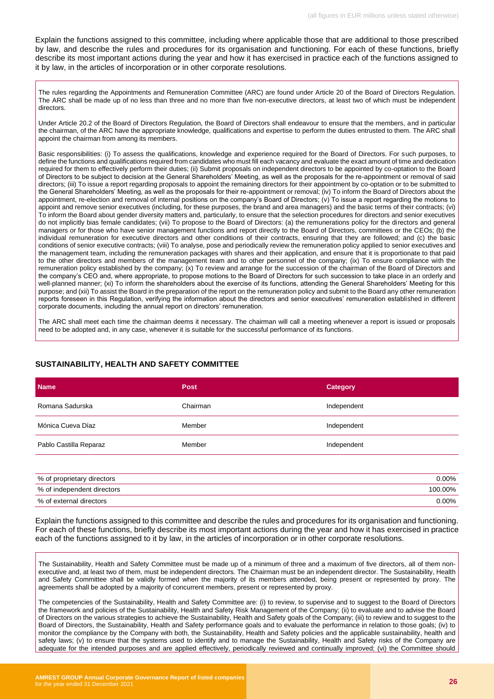Explain the functions assigned to this committee, including where applicable those that are additional to those prescribed by law, and describe the rules and procedures for its organisation and functioning. For each of these functions, briefly describe its most important actions during the year and how it has exercised in practice each of the functions assigned to it by law, in the articles of incorporation or in other corporate resolutions.

The rules regarding the Appointments and Remuneration Committee (ARC) are found under Article 20 of the Board of Directors Regulation. The ARC shall be made up of no less than three and no more than five non-executive directors, at least two of which must be independent directors.

Under Article 20.2 of the Board of Directors Regulation, the Board of Directors shall endeavour to ensure that the members, and in particular the chairman, of the ARC have the appropriate knowledge, qualifications and expertise to perform the duties entrusted to them. The ARC shall appoint the chairman from among its members.

Basic responsibilities: (i) To assess the qualifications, knowledge and experience required for the Board of Directors. For such purposes, to define the functions and qualifications required from candidates who must fill each vacancy and evaluate the exact amount of time and dedication required for them to effectively perform their duties; (ii) Submit proposals on independent directors to be appointed by co-optation to the Board of Directors to be subject to decision at the General Shareholders' Meeting, as well as the proposals for the re-appointment or removal of said directors; (iii) To issue a report regarding proposals to appoint the remaining directors for their appointment by co-optation or to be submitted to the General Shareholders' Meeting, as well as the proposals for their re-appointment or removal; (iv) To inform the Board of Directors about the appointment, re-election and removal of internal positions on the company's Board of Directors; (v) To issue a report regarding the motions to appoint and remove senior executives (including, for these purposes, the brand and area managers) and the basic terms of their contracts; (vi) To inform the Board about gender diversity matters and, particularly, to ensure that the selection procedures for directors and senior executives do not implicitly bias female candidates; (vii) To propose to the Board of Directors: (a) the remunerations policy for the directors and general managers or for those who have senior management functions and report directly to the Board of Directors, committees or the CEOs; (b) the individual remuneration for executive directors and other conditions of their contracts, ensuring that they are followed; and (c) the basic conditions of senior executive contracts; (viii) To analyse, pose and periodically review the remuneration policy applied to senior executives and the management team, including the remuneration packages with shares and their application, and ensure that it is proportionate to that paid to the other directors and members of the management team and to other personnel of the company; (ix) To ensure compliance with the remuneration policy established by the company; (x) To review and arrange for the succession of the chairman of the Board of Directors and the company's CEO and, where appropriate, to propose motions to the Board of Directors for such succession to take place in an orderly and well-planned manner; (xi) To inform the shareholders about the exercise of its functions, attending the General Shareholders' Meeting for this purpose; and (xii) To assist the Board in the preparation of the report on the remuneration policy and submit to the Board any other remuneration reports foreseen in this Regulation, verifying the information about the directors and senior executives' remuneration established in different corporate documents, including the annual report on directors' remuneration.

The ARC shall meet each time the chairman deems it necessary. The chairman will call a meeting whenever a report is issued or proposals need to be adopted and, in any case, whenever it is suitable for the successful performance of its functions.

#### **SUSTAINABILITY, HEALTH AND SAFETY COMMITTEE**

| <b>Name</b>            | <b>Post</b> | <b>Category</b> |
|------------------------|-------------|-----------------|
| Romana Sadurska        | Chairman    | Independent     |
| Mónica Cueva Díaz      | Member      | Independent     |
| Pablo Castilla Reparaz | Member      | Independent     |

| % of proprietary directors | $0.00\%$ |
|----------------------------|----------|
| % of independent directors | 100.00%  |
| % of external directors    | 0.00%    |

Explain the functions assigned to this committee and describe the rules and procedures for its organisation and functioning. For each of these functions, briefly describe its most important actions during the year and how it has exercised in practice each of the functions assigned to it by law, in the articles of incorporation or in other corporate resolutions.

The Sustainability, Health and Safety Committee must be made up of a minimum of three and a maximum of five directors, all of them nonexecutive and, at least two of them, must be independent directors. The Chairman must be an independent director. The Sustainability, Health and Safety Committee shall be validly formed when the majority of its members attended, being present or represented by proxy. The agreements shall be adopted by a majority of concurrent members, present or represented by proxy.

The competencies of the Sustainability, Health and Safety Committee are: (i) to review, to supervise and to suggest to the Board of Directors the framework and policies of the Sustainability, Health and Safety Risk Management of the Company; (ii) to evaluate and to advise the Board of Directors on the various strategies to achieve the Sustainability, Health and Safety goals of the Company; (iii) to review and to suggest to the Board of Directors, the Sustainability, Health and Safety performance goals and to evaluate the performance in relation to those goals; (iv) to monitor the compliance by the Company with both, the Sustainability, Health and Safety policies and the applicable sustainability, health and safety laws; (v) to ensure that the systems used to identify and to manage the Sustainability, Health and Safety risks of the Company are adequate for the intended purposes and are applied effectively, periodically reviewed and continually improved; (vi) the Committee should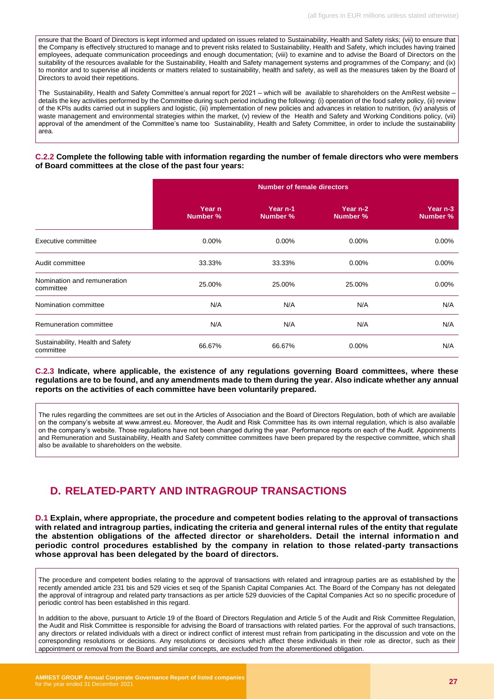ensure that the Board of Directors is kept informed and updated on issues related to Sustainability, Health and Safety risks; (vii) to ensure that the Company is effectively structured to manage and to prevent risks related to Sustainability, Health and Safety, which includes having trained employees, adequate communication proceedings and enough documentation; (viii) to examine and to advise the Board of Directors on the suitability of the resources available for the Sustainability, Health and Safety management systems and programmes of the Company; and (ix) to monitor and to supervise all incidents or matters related to sustainability, health and safety, as well as the measures taken by the Board of Directors to avoid their repetitions.

The Sustainability, Health and Safety Committee's annual report for 2021 – which will be available to shareholders on the AmRest website details the key activities performed by the Committee during such period including the following: (i) operation of the food safety policy, (ii) review of the KPIs audits carried out in suppliers and logistic, (iii) implementation of new policies and advances in relation to nutrition, (iv) analysis of waste management and environmental strategies within the market, (v) review of the Health and Safety and Working Conditions policy, (vii) approval of the amendment of the Committee's name too Sustainability, Health and Safety Committee, in order to include the sustainability area.

#### **C.2.2 Complete the following table with information regarding the number of female directors who were members of Board committees at the close of the past four years:**

|                                                | <b>Number of female directors</b> |                                 |                      |                      |  |
|------------------------------------------------|-----------------------------------|---------------------------------|----------------------|----------------------|--|
|                                                | Year n<br>Number %                | Year <sub>n-1</sub><br>Number % | Year n-2<br>Number % | Year n-3<br>Number % |  |
| Executive committee                            | 0.00%                             | 0.00%                           | 0.00%                | 0.00%                |  |
| Audit committee                                | 33.33%                            | 33.33%                          | 0.00%                | 0.00%                |  |
| Nomination and remuneration<br>committee       | 25.00%                            | 25.00%                          | 25.00%               | $0.00\%$             |  |
| Nomination committee                           | N/A                               | N/A                             | N/A                  | N/A                  |  |
| Remuneration committee                         | N/A                               | N/A                             | N/A                  | N/A                  |  |
| Sustainability, Health and Safety<br>committee | 66.67%                            | 66.67%                          | 0.00%                | N/A                  |  |

#### **C.2.3 Indicate, where applicable, the existence of any regulations governing Board committees, where these regulations are to be found, and any amendments made to them during the year. Also indicate whether any annual reports on the activities of each committee have been voluntarily prepared.**

The rules regarding the committees are set out in the Articles of Association and the Board of Directors Regulation, both of which are available on the company's website at www.amrest.eu. Moreover, the Audit and Risk Committee has its own internal regulation, which is also available on the company's website. Those regulations have not been changed during the year. Performance reports on each of the Audit. Appoinments and Remuneration and Sustainability, Health and Safety committee committees have been prepared by the respective committee, which shall also be available to shareholders on the website.

# <span id="page-26-0"></span>**D. RELATED-PARTY AND INTRAGROUP TRANSACTIONS**

**D.1 Explain, where appropriate, the procedure and competent bodies relating to the approval of transactions with related and intragroup parties, indicating the criteria and general internal rules of the entity that regulate the abstention obligations of the affected director or shareholders. Detail the internal information and periodic control procedures established by the company in relation to those related-party transactions whose approval has been delegated by the board of directors.**

The procedure and competent bodies relating to the approval of transactions with related and intragroup parties are as established by the recently amended article 231 bis and 529 vicies et seq of the Spanish Capital Companies Act. The Board of the Company has not delegated the approval of intragroup and related party transactions as per article 529 duovicies of the Capital Companies Act so no specific procedure of periodic control has been established in this regard.

In addition to the above, pursuant to Article 19 of the Board of Directors Regulation and Article 5 of the Audit and Risk Committee Regulation, the Audit and Risk Committee is responsible for advising the Board of transactions with related parties. For the approval of such transactions, any directors or related individuals with a direct or indirect conflict of interest must refrain from participating in the discussion and vote on the corresponding resolutions or decisions. Any resolutions or decisions which affect these individuals in their role as director, such as their appointment or removal from the Board and similar concepts, are excluded from the aforementioned obligation.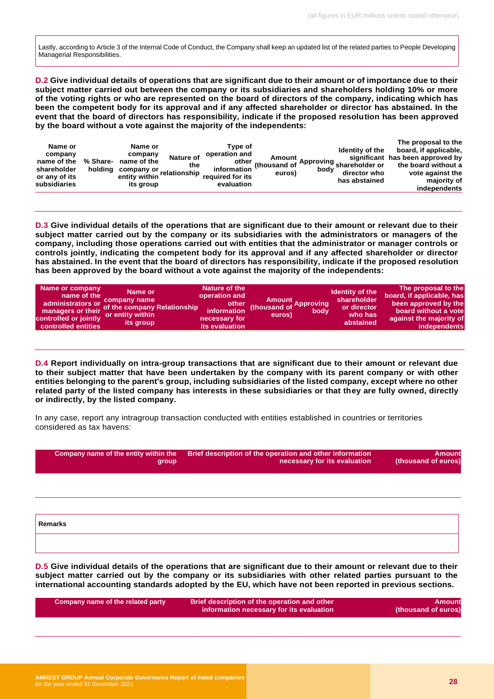Lastly, according to Article 3 of the Internal Code of Conduct, the Company shall keep an updated list of the related parties to People Developing Managerial Responsibilities.

**D.2 Give individual details of operations that are significant due to their amount or of importance due to their subject matter carried out between the company or its subsidiaries and shareholders holding 10% or more of the voting rights or who are represented on the board of directors of the company, indicating which has been the competent body for its approval and if any affected shareholder or director has abstained. In the event that the board of directors has responsibility, indicate if the proposed resolution has been approved by the board without a vote against the majority of the independents:** 

| Name or<br>company<br>name of the<br>shareholder<br>or any of its<br>subsidiaries | % Share-<br>holding | Name or<br>company<br>name of the<br>company or relationship<br>entity within<br>its group | <b>Nature of</b><br>the | Tvpe of<br>operation and<br>information<br>required for its<br>evaluation | euros) | bodv | <b>Identity of the</b><br>other Amount Approving significant<br>other (thousand of Approving shareholder or<br>director who<br>has abstained | The proposal to the<br>board, if applicable,<br>significant has been approved by<br>the board without a<br>vote against the<br>majority of<br>independents |
|-----------------------------------------------------------------------------------|---------------------|--------------------------------------------------------------------------------------------|-------------------------|---------------------------------------------------------------------------|--------|------|----------------------------------------------------------------------------------------------------------------------------------------------|------------------------------------------------------------------------------------------------------------------------------------------------------------|
|-----------------------------------------------------------------------------------|---------------------|--------------------------------------------------------------------------------------------|-------------------------|---------------------------------------------------------------------------|--------|------|----------------------------------------------------------------------------------------------------------------------------------------------|------------------------------------------------------------------------------------------------------------------------------------------------------------|

**D.3 Give individual details of the operations that are significant due to their amount or relevant due to their subject matter carried out by the company or its subsidiaries with the administrators or managers of the company, including those operations carried out with entities that the administrator or manager controls or controls jointly, indicating the competent body for its approval and if any affected shareholder or director has abstained. In the event that the board of directors has responsibility, indicate if the proposed resolution has been approved by the board without a vote against the majority of the independents:** 

| Name or company<br>Name or<br>name of the<br>administrators or company name<br>managers or their carective company Relationship<br>or entity within<br>controlled or jointly<br>its group<br>controlled entities | Nature of the<br>operation and<br>other<br>information<br>necessary for<br>its evaluation | Amount<br>thousand of Approving<br>body<br>euros) | Identity of the<br>shareholder<br>or director<br>who has<br>abstained | The proposal to the<br>board, if applicable, has<br>been approved by the<br>board without a vote<br>against the majority of<br>independents |
|------------------------------------------------------------------------------------------------------------------------------------------------------------------------------------------------------------------|-------------------------------------------------------------------------------------------|---------------------------------------------------|-----------------------------------------------------------------------|---------------------------------------------------------------------------------------------------------------------------------------------|
|------------------------------------------------------------------------------------------------------------------------------------------------------------------------------------------------------------------|-------------------------------------------------------------------------------------------|---------------------------------------------------|-----------------------------------------------------------------------|---------------------------------------------------------------------------------------------------------------------------------------------|

**D.4 Report individually on intra-group transactions that are significant due to their amount or relevant due to their subject matter that have been undertaken by the company with its parent company or with other entities belonging to the parent's group, including subsidiaries of the listed company, except where no other related party of the listed company has interests in these subsidiaries or that they are fully owned, directly or indirectly, by the listed company.**

In any case, report any intragroup transaction conducted with entities established in countries or territories considered as tax havens:

| Company name of the entity within the<br>group | Brief description of the operation and other information<br>necessary for its evaluation | <b>Amount</b><br>(thousand of euros) |
|------------------------------------------------|------------------------------------------------------------------------------------------|--------------------------------------|
|                                                |                                                                                          |                                      |
| Remarks                                        |                                                                                          |                                      |
|                                                |                                                                                          |                                      |

**D.5 Give individual details of the operations that are significant due to their amount or relevant due to their subject matter carried out by the company or its subsidiaries with other related parties pursuant to the international accounting standards adopted by the EU, which have not been reported in previous sections.** 

| Company name of the related party | Brief description of the operation and other<br>information necessary for its evaluation | Amount<br>(thousand of euros) |
|-----------------------------------|------------------------------------------------------------------------------------------|-------------------------------|
|                                   |                                                                                          |                               |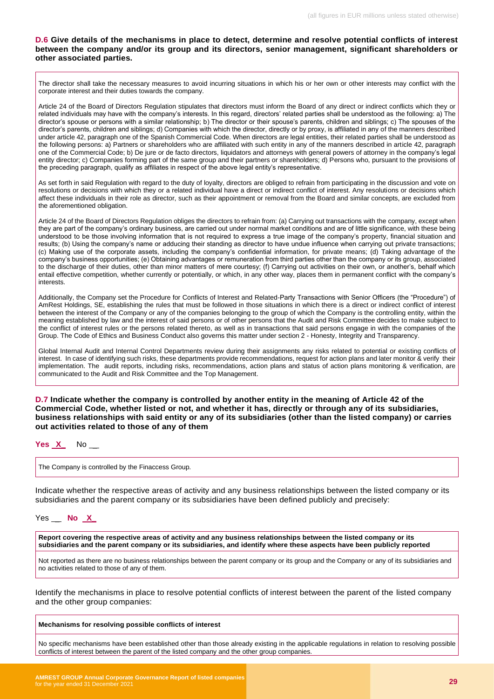#### **D.6 Give details of the mechanisms in place to detect, determine and resolve potential conflicts of interest between the company and/or its group and its directors, senior management, significant shareholders or other associated parties.**

The director shall take the necessary measures to avoid incurring situations in which his or her own or other interests may conflict with the corporate interest and their duties towards the company.

Article 24 of the Board of Directors Regulation stipulates that directors must inform the Board of any direct or indirect conflicts which they or related individuals may have with the company's interests. In this regard, directors' related parties shall be understood as the following: a) The director's spouse or persons with a similar relationship; b) The director or their spouse's parents, children and siblings; c) The spouses of the director's parents, children and siblings; d) Companies with which the director, directly or by proxy, is affiliated in any of the manners described under article 42, paragraph one of the Spanish Commercial Code. When directors are legal entities, their related parties shall be understood as the following persons: a) Partners or shareholders who are affiliated with such entity in any of the manners described in article 42, paragraph one of the Commercial Code; b) De jure or de facto directors, liquidators and attorneys with general powers of attorney in the company's legal entity director; c) Companies forming part of the same group and their partners or shareholders; d) Persons who, pursuant to the provisions of the preceding paragraph, qualify as affiliates in respect of the above legal entity's representative.

As set forth in said Regulation with regard to the duty of loyalty, directors are obliged to refrain from participating in the discussion and vote on resolutions or decisions with which they or a related individual have a direct or indirect conflict of interest. Any resolutions or decisions which affect these individuals in their role as director, such as their appointment or removal from the Board and similar concepts, are excluded from the aforementioned obligation.

Article 24 of the Board of Directors Regulation obliges the directors to refrain from: (a) Carrying out transactions with the company, except when they are part of the company's ordinary business, are carried out under normal market conditions and are of little significance, with these being understood to be those involving information that is not required to express a true image of the company's property, financial situation and results; (b) Using the company's name or adducing their standing as director to have undue influence when carrying out private transactions; (c) Making use of the corporate assets, including the company's confidential information, for private means; (d) Taking advantage of the company's business opportunities; (e) Obtaining advantages or remuneration from third parties other than the company or its group, associated to the discharge of their duties, other than minor matters of mere courtesy; (f) Carrying out activities on their own, or another's, behalf which entail effective competition, whether currently or potentially, or which, in any other way, places them in permanent conflict with the company's interests.

Additionally, the Company set the Procedure for Conflicts of Interest and Related-Party Transactions with Senior Officers (the "Procedure") of AmRest Holdings, SE, establishing the rules that must be followed in those situations in which there is a direct or indirect conflict of interest between the interest of the Company or any of the companies belonging to the group of which the Company is the controlling entity, within the meaning established by law and the interest of said persons or of other persons that the Audit and Risk Committee decides to make subject to the conflict of interest rules or the persons related thereto, as well as in transactions that said persons engage in with the companies of the Group. The Code of Ethics and Business Conduct also governs this matter under section 2 - Honesty, Integrity and Transparency.

Global Internal Audit and Internal Control Departments review during their assignments any risks related to potential or existing conflicts of interest. In case of identifying such risks, these departments provide recommendations, request for action plans and later monitor & verify their implementation. The audit reports, including risks, recommendations, action plans and status of action plans monitoring & verification, are communicated to the Audit and Risk Committee and the Top Management.

**D.7 Indicate whether the company is controlled by another entity in the meaning of Article 42 of the Commercial Code, whether listed or not, and whether it has, directly or through any of its subsidiaries, business relationships with said entity or any of its subsidiaries (other than the listed company) or carries out activities related to those of any of them**

| Υ<br>- 25 | ., | N٥ |
|-----------|----|----|
|           |    |    |

The Company is controlled by the Finaccess Group.

Indicate whether the respective areas of activity and any business relationships between the listed company or its subsidiaries and the parent company or its subsidiaries have been defined publicly and precisely:

Yes \_ **No X\_**

**Report covering the respective areas of activity and any business relationships between the listed company or its subsidiaries and the parent company or its subsidiaries, and identify where these aspects have been publicly reported**

Not reported as there are no business relationships between the parent company or its group and the Company or any of its subsidiaries and no activities related to those of any of them.

Identify the mechanisms in place to resolve potential conflicts of interest between the parent of the listed company and the other group companies:

#### **Mechanisms for resolving possible conflicts of interest**

No specific mechanisms have been established other than those already existing in the applicable regulations in relation to resolving possible conflicts of interest between the parent of the listed company and the other group companies.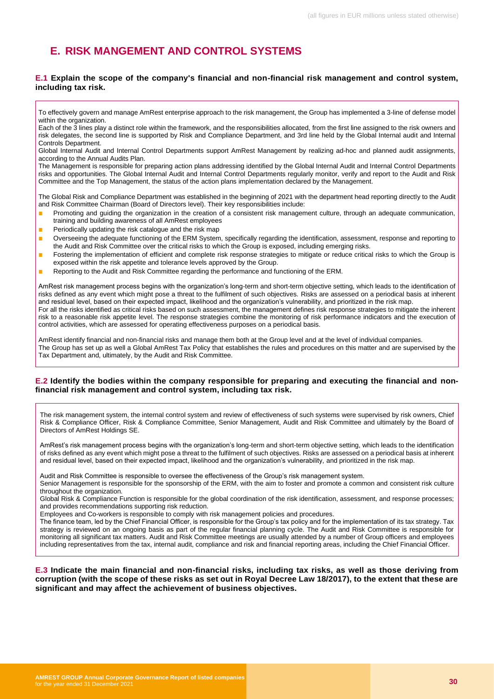# <span id="page-29-0"></span>**E. RISK MANGEMENT AND CONTROL SYSTEMS**

#### **E.1 Explain the scope of the company's financial and non-financial risk management and control system, including tax risk.**

The Management is responsible for preparing action plans addressing identified by the Global Internal Audit and Internal Control Departments risks and opportunities. The Global Internal Audit and Internal Control Departments regularly monitor, verify and report to the Audit and Risk Committee and the Top Management, the status of the action plans implementation declared by the Management.

The Global Risk and Compliance Department was established in the beginning of 2021 with the department head reporting directly to the Audit and Risk Committee Chairman (Board of Directors level). Their key responsibilities include:

- Promoting and guiding the organization in the creation of a consistent risk management culture, through an adequate communication, training and building awareness of all AmRest employees
- Periodically updating the risk catalogue and the risk map
- Overseeing the adequate functioning of the ERM System, specifically regarding the identification, assessment, response and reporting to the Audit and Risk Committee over the critical risks to which the Group is exposed, including emerging risks.
- Fostering the implementation of efficient and complete risk response strategies to mitigate or reduce critical risks to which the Group is exposed within the risk appetite and tolerance levels approved by the Group.
- Reporting to the Audit and Risk Committee regarding the performance and functioning of the ERM.

AmRest risk management process begins with the organization's long-term and short-term objective setting, which leads to the identification of risks defined as any event which might pose a threat to the fulfilment of such objectives. Risks are assessed on a periodical basis at inherent and residual level, based on their expected impact, likelihood and the organization's vulnerability, and prioritized in the risk map. For all the risks identified as critical risks based on such assessment, the management defines risk response strategies to mitigate the inherent risk to a reasonable risk appetite level. The response strategies combine the monitoring of risk performance indicators and the execution of control activities, which are assessed for operating effectiveness purposes on a periodical basis.

AmRest identify financial and non-financial risks and manage them both at the Group level and at the level of individual companies. The Group has set up as well a Global AmRest Tax Policy that establishes the rules and procedures on this matter and are supervised by the Tax Department and, ultimately, by the Audit and Risk Committee.

#### **E.2 Identify the bodies within the company responsible for preparing and executing the financial and nonfinancial risk management and control system, including tax risk.**

The risk management system, the internal control system and review of effectiveness of such systems were supervised by risk owners, Chief Risk & Compliance Officer, Risk & Compliance Committee, Senior Management, Audit and Risk Committee and ultimately by the Board of Directors of AmRest Holdings SE.

AmRest's risk management process begins with the organization's long-term and short-term objective setting, which leads to the identification of risks defined as any event which might pose a threat to the fulfilment of such objectives. Risks are assessed on a periodical basis at inherent and residual level, based on their expected impact, likelihood and the organization's vulnerability, and prioritized in the risk map.

Audit and Risk Committee is responsible to oversee the effectiveness of the Group's risk management system.

Senior Management is responsible for the sponsorship of the ERM, with the aim to foster and promote a common and consistent risk culture throughout the organization.

Global Risk & Compliance Function is responsible for the global coordination of the risk identification, assessment, and response processes; and provides recommendations supporting risk reduction.

Employees and Co-workers is responsible to comply with risk management policies and procedures.

The finance team, led by the Chief Financial Officer, is responsible for the Group's tax policy and for the implementation of its tax strategy. Tax strategy is reviewed on an ongoing basis as part of the regular financial planning cycle. The Audit and Risk Committee is responsible for monitoring all significant tax matters. Audit and Risk Committee meetings are usually attended by a number of Group officers and employees including representatives from the tax, internal audit, compliance and risk and financial reporting areas, including the Chief Financial Officer.

**E.3 Indicate the main financial and non-financial risks, including tax risks, as well as those deriving from corruption (with the scope of these risks as set out in Royal Decree Law 18/2017), to the extent that these are significant and may affect the achievement of business objectives.**

To effectively govern and manage AmRest enterprise approach to the risk management, the Group has implemented a 3-line of defense model within the organization.

Each of the 3 lines play a distinct role within the framework, and the responsibilities allocated, from the first line assigned to the risk owners and risk delegates, the second line is supported by Risk and Compliance Department, and 3rd line held by the Global Internal audit and Internal Controls Department.

Global Internal Audit and Internal Control Departments support AmRest Management by realizing ad-hoc and planned audit assignments, according to the Annual Audits Plan.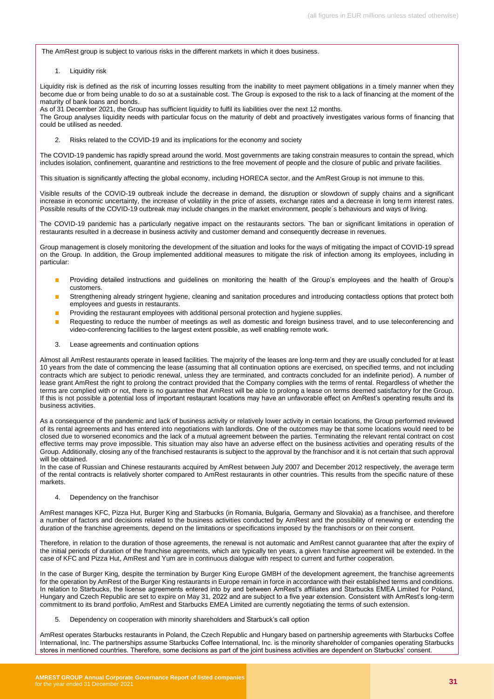The AmRest group is subject to various risks in the different markets in which it does business.

1. Liquidity risk

Liquidity risk is defined as the risk of incurring losses resulting from the inability to meet payment obligations in a timely manner when they become due or from being unable to do so at a sustainable cost. The Group is exposed to the risk to a lack of financing at the moment of the maturity of bank loans and bonds.

As of 31 December 2021, the Group has sufficient liquidity to fulfil its liabilities over the next 12 months. The Group analyses liquidity needs with particular focus on the maturity of debt and proactively investigates various forms of financing that could be utilised as needed.

2. Risks related to the COVID-19 and its implications for the economy and society

The COVID-19 pandemic has rapidly spread around the world. Most governments are taking constrain measures to contain the spread, which includes isolation, confinement, quarantine and restrictions to the free movement of people and the closure of public and private facilities.

This situation is significantly affecting the global economy, including HORECA sector, and the AmRest Group is not immune to this.

Visible results of the COVID-19 outbreak include the decrease in demand, the disruption or slowdown of supply chains and a significant increase in economic uncertainty, the increase of volatility in the price of assets, exchange rates and a decrease in long term interest rates. Possible results of the COVID-19 outbreak may include changes in the market environment, people´s behaviours and ways of living.

The COVID-19 pandemic has a particularly negative impact on the restaurants sectors. The ban or significant limitations in operation of restaurants resulted in a decrease in business activity and customer demand and consequently decrease in revenues.

Group management is closely monitoring the development of the situation and looks for the ways of mitigating the impact of COVID-19 spread on the Group. In addition, the Group implemented additional measures to mitigate the risk of infection among its employees, including in particular:

- Providing detailed instructions and guidelines on monitoring the health of the Group's employees and the health of Group's customers.
- Strengthening already stringent hygiene, cleaning and sanitation procedures and introducing contactless options that protect both employees and guests in restaurants.
- Providing the restaurant employees with additional personal protection and hygiene supplies.
- Requesting to reduce the number of meetings as well as domestic and foreign business travel, and to use teleconferencing and video-conferencing facilities to the largest extent possible, as well enabling remote work.
- 3. Lease agreements and continuation options

Almost all AmRest restaurants operate in leased facilities. The majority of the leases are long-term and they are usually concluded for at least 10 years from the date of commencing the lease (assuming that all continuation options are exercised, on specified terms, and not including contracts which are subject to periodic renewal, unless they are terminated, and contracts concluded for an indefinite period). A number of lease grant AmRest the right to prolong the contract provided that the Company complies with the terms of rental. Regardless of whether the terms are complied with or not, there is no guarantee that AmRest will be able to prolong a lease on terms deemed satisfactory for the Group. If this is not possible a potential loss of important restaurant locations may have an unfavorable effect on AmRest's operating results and its business activities.

As a consequence of the pandemic and lack of business activity or relatively lower activity in certain locations, the Group performed reviewed of its rental agreements and has entered into negotiations with landlords. One of the outcomes may be that some locations would need to be closed due to worsened economics and the lack of a mutual agreement between the parties. Terminating the relevant rental contract on cost effective terms may prove impossible. This situation may also have an adverse effect on the business activities and operating results of the Group. Additionally, closing any of the franchised restaurants is subject to the approval by the franchisor and it is not certain that such approval will be obtained.

In the case of Russian and Chinese restaurants acquired by AmRest between July 2007 and December 2012 respectively, the average term of the rental contracts is relatively shorter compared to AmRest restaurants in other countries. This results from the specific nature of these markets.

4. Dependency on the franchisor

AmRest manages KFC, Pizza Hut, Burger King and Starbucks (in Romania, Bulgaria, Germany and Slovakia) as a franchisee, and therefore a number of factors and decisions related to the business activities conducted by AmRest and the possibility of renewing or extending the duration of the franchise agreements, depend on the limitations or specifications imposed by the franchisors or on their consent.

Therefore, in relation to the duration of those agreements, the renewal is not automatic and AmRest cannot guarantee that after the expiry of the initial periods of duration of the franchise agreements, which are typically ten years, a given franchise agreement will be extended. In the case of KFC and Pizza Hut, AmRest and Yum are in continuous dialogue with respect to current and further cooperation.

In the case of Burger King, despite the termination by Burger King Europe GMBH of the development agreement, the franchise agreements for the operation by AmRest of the Burger King restaurants in Europe remain in force in accordance with their established terms and conditions. In relation to Starbucks, the license agreements entered into by and between AmRest's affiliates and Starbucks EMEA Limited for Poland, Hungary and Czech Republic are set to expire on May 31, 2022 and are subject to a five year extension. Consistent with AmRest's long-term commitment to its brand portfolio, AmRest and Starbucks EMEA Limited are currently negotiating the terms of such extension.

5. Dependency on cooperation with minority shareholders and Starbuck's call option

AmRest operates Starbucks restaurants in Poland, the Czech Republic and Hungary based on partnership agreements with Starbucks Coffee International, Inc. The partnerships assume Starbucks Coffee International, Inc. is the minority shareholder of companies operating Starbucks stores in mentioned countries. Therefore, some decisions as part of the joint business activities are dependent on Starbucks' consent.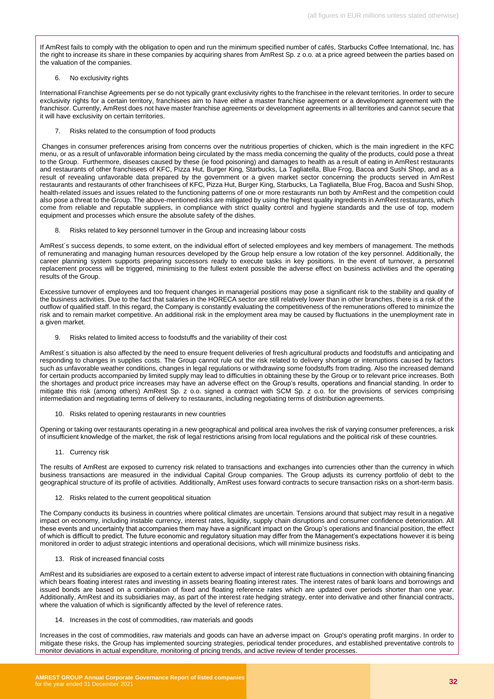If AmRest fails to comply with the obligation to open and run the minimum specified number of cafés, Starbucks Coffee International, Inc. has the right to increase its share in these companies by acquiring shares from AmRest Sp. z o.o. at a price agreed between the parties based on the valuation of the companies.

#### 6. No exclusivity rights

International Franchise Agreements per se do not typically grant exclusivity rights to the franchisee in the relevant territories. In order to secure exclusivity rights for a certain territory, franchisees aim to have either a master franchise agreement or a development agreement with the franchisor. Currently, AmRest does not have master franchise agreements or development agreements in all territories and cannot secure that it will have exclusivity on certain territories.

7. Risks related to the consumption of food products

Changes in consumer preferences arising from concerns over the nutritious properties of chicken, which is the main ingredient in the KFC menu, or as a result of unfavorable information being circulated by the mass media concerning the quality of the products, could pose a threat to the Group. Furthermore, diseases caused by these (ie food poisoning) and damages to health as a result of eating in AmRest restaurants and restaurants of other franchisees of KFC, Pizza Hut, Burger King, Starbucks, La Tagliatella, Blue Frog, Bacoa and Sushi Shop, and as a result of revealing unfavorable data prepared by the government or a given market sector concerning the products served in AmRest restaurants and restaurants of other franchisees of KFC, Pizza Hut, Burger King, Starbucks, La Tagliatella, Blue Frog, Bacoa and Sushi Shop, health-related issues and issues related to the functioning patterns of one or more restaurants run both by AmRest and the competition could also pose a threat to the Group. The above-mentioned risks are mitigated by using the highest quality ingredients in AmRest restaurants, which come from reliable and reputable suppliers, in compliance with strict quality control and hygiene standards and the use of top, modern equipment and processes which ensure the absolute safety of the dishes.

8. Risks related to key personnel turnover in the Group and increasing labour costs

AmRest´s success depends, to some extent, on the individual effort of selected employees and key members of management. The methods of remunerating and managing human resources developed by the Group help ensure a low rotation of the key personnel. Additionally, the career planning system supports preparing successors ready to execute tasks in key positions. In the event of turnover, a personnel replacement process will be triggered, minimising to the fullest extent possible the adverse effect on business activities and the operating results of the Group.

Excessive turnover of employees and too frequent changes in managerial positions may pose a significant risk to the stability and quality of the business activities. Due to the fact that salaries in the HORECA sector are still relatively lower than in other branches, there is a risk of the outflow of qualified staff. In this regard, the Company is constantly evaluating the competitiveness of the remunerations offered to minimize the risk and to remain market competitive. An additional risk in the employment area may be caused by fluctuations in the unemployment rate in a given market.

9. Risks related to limited access to foodstuffs and the variability of their cost

AmRest´s situation is also affected by the need to ensure frequent deliveries of fresh agricultural products and foodstuffs and anticipating and responding to changes in supplies costs. The Group cannot rule out the risk related to delivery shortage or interruptions caused by factors such as unfavorable weather conditions, changes in legal regulations or withdrawing some foodstuffs from trading. Also the increased demand for certain products accompanied by limited supply may lead to difficulties in obtaining these by the Group or to relevant price increases. Both the shortages and product price increases may have an adverse effect on the Group's results, operations and financial standing. In order to mitigate this risk (among others) AmRest Sp. z o.o. signed a contract with SCM Sp. z o.o. for the provisions of services comprising intermediation and negotiating terms of delivery to restaurants, including negotiating terms of distribution agreements.

10. Risks related to opening restaurants in new countries

Opening or taking over restaurants operating in a new geographical and political area involves the risk of varying consumer preferences, a risk of insufficient knowledge of the market, the risk of legal restrictions arising from local regulations and the political risk of these countries.

11. Currency risk

The results of AmRest are exposed to currency risk related to transactions and exchanges into currencies other than the currency in which business transactions are measured in the individual Capital Group companies. The Group adjusts its currency portfolio of debt to the geographical structure of its profile of activities. Additionally, AmRest uses forward contracts to secure transaction risks on a short-term basis.

12. Risks related to the current geopolitical situation

The Company conducts its business in countries where political climates are uncertain. Tensions around that subject may result in a negative impact on economy, including instable currency, interest rates, liquidity, supply chain disruptions and consumer confidence deterioration. All these events and uncertainty that accompanies them may have a significant impact on the Group's operations and financial position, the effect of which is difficult to predict. The future economic and regulatory situation may differ from the Management's expectations however it is being monitored in order to adjust strategic intentions and operational decisions, which will minimize business risks.

13. Risk of increased financial costs

AmRest and its subsidiaries are exposed to a certain extent to adverse impact of interest rate fluctuations in connection with obtaining financing which bears floating interest rates and investing in assets bearing floating interest rates. The interest rates of bank loans and borrowings and issued bonds are based on a combination of fixed and floating reference rates which are updated over periods shorter than one year. Additionally, AmRest and its subsidiaries may, as part of the interest rate hedging strategy, enter into derivative and other financial contracts, where the valuation of which is significantly affected by the level of reference rates.

14. Increases in the cost of commodities, raw materials and goods

Increases in the cost of commodities, raw materials and goods can have an adverse impact on Group's operating profit margins. In order to mitigate these risks, the Group has implemented sourcing strategies, periodical tender procedures, and established preventative controls to monitor deviations in actual expenditure, monitoring of pricing trends, and active review of tender processes.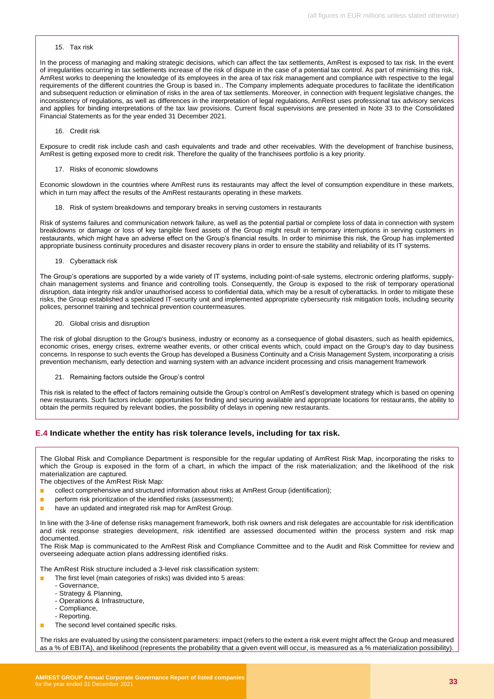#### 15. Tax risk

In the process of managing and making strategic decisions, which can affect the tax settlements, AmRest is exposed to tax risk. In the event of irregularities occurring in tax settlements increase of the risk of dispute in the case of a potential tax control. As part of minimising this risk, AmRest works to deepening the knowledge of its employees in the area of tax risk management and compliance with respective to the legal requirements of the different countries the Group is based in.. The Company implements adequate procedures to facilitate the identification and subsequent reduction or elimination of risks in the area of tax settlements. Moreover, in connection with frequent legislative changes, the inconsistency of regulations, as well as differences in the interpretation of legal regulations, AmRest uses professional tax advisory services and applies for binding interpretations of the tax law provisions. Current fiscal supervisions are presented in Note 33 to the Consolidated Financial Statements as for the year ended 31 December 2021.

16. Credit risk

Exposure to credit risk include cash and cash equivalents and trade and other receivables. With the development of franchise business, AmRest is getting exposed more to credit risk. Therefore the quality of the franchisees portfolio is a key priority.

17. Risks of economic slowdowns

Economic slowdown in the countries where AmRest runs its restaurants may affect the level of consumption expenditure in these markets, which in turn may affect the results of the AmRest restaurants operating in these markets.

18. Risk of system breakdowns and temporary breaks in serving customers in restaurants

Risk of systems failures and communication network failure, as well as the potential partial or complete loss of data in connection with system breakdowns or damage or loss of key tangible fixed assets of the Group might result in temporary interruptions in serving customers in restaurants, which might have an adverse effect on the Group's financial results. In order to minimise this risk, the Group has implemented appropriate business continuity procedures and disaster recovery plans in order to ensure the stability and reliability of its IT systems.

19. Cyberattack risk

The Group's operations are supported by a wide variety of IT systems, including point-of-sale systems, electronic ordering platforms, supplychain management systems and finance and controlling tools. Consequently, the Group is exposed to the risk of temporary operational disruption, data integrity risk and/or unauthorised access to confidential data, which may be a result of cyberattacks. In order to mitigate these risks, the Group established a specialized IT-security unit and implemented appropriate cybersecurity risk mitigation tools, including security polices, personnel training and technical prevention countermeasures.

20. Global crisis and disruption

The risk of global disruption to the Group's business, industry or economy as a consequence of global disasters, such as health epidemics, economic crises, energy crises, extreme weather events, or other critical events which, could impact on the Group's day to day business concerns. In response to such events the Group has developed a Business Continuity and a Crisis Management System, incorporating a crisis prevention mechanism, early detection and warning system with an advance incident processing and crisis management framework

21. Remaining factors outside the Group's control

This risk is related to the effect of factors remaining outside the Group's control on AmRest's development strategy which is based on opening new restaurants. Such factors include: opportunities for finding and securing available and appropriate locations for restaurants, the ability to obtain the permits required by relevant bodies, the possibility of delays in opening new restaurants.

#### **E.4 Indicate whether the entity has risk tolerance levels, including for tax risk.**

The Global Risk and Compliance Department is responsible for the regular updating of AmRest Risk Map, incorporating the risks to which the Group is exposed in the form of a chart, in which the impact of the risk materialization; and the likelihood of the risk materialization are captured.

The objectives of the AmRest Risk Map:

- collect comprehensive and structured information about risks at AmRest Group (identification);
- perform risk prioritization of the identified risks (assessment);
- have an updated and integrated risk map for AmRest Group.

In line with the 3-line of defense risks management framework, both risk owners and risk delegates are accountable for risk identification and risk response strategies development, risk identified are assessed documented within the process system and risk map documented.

The Risk Map is communicated to the AmRest Risk and Compliance Committee and to the Audit and Risk Committee for review and overseeing adequate action plans addressing identified risks.

The AmRest Risk structure included a 3-level risk classification system:

- The first level (main categories of risks) was divided into 5 areas:
- Governance,
- Strategy & Planning,
- Operations & Infrastructure,
- Compliance,
- Reporting.
- The second level contained specific risks.

The risks are evaluated by using the consistent parameters: impact (refers to the extent a risk event might affect the Group and measured as a % of EBITA), and likelihood (represents the probability that a given event will occur, is measured as a % materialization possibility).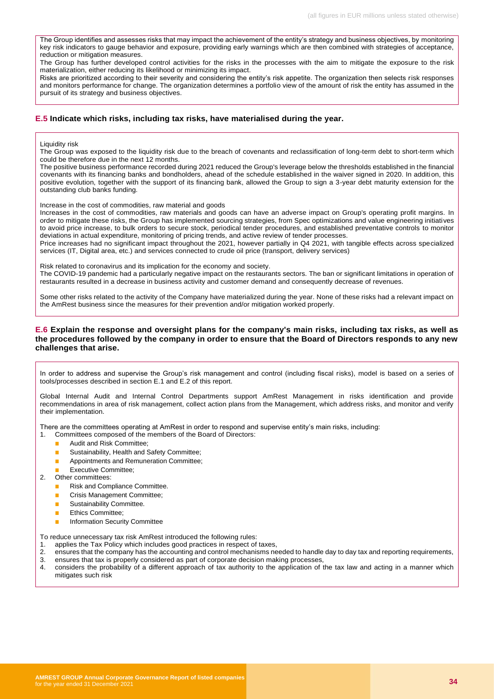The Group identifies and assesses risks that may impact the achievement of the entity's strategy and business objectives, by monitoring key risk indicators to gauge behavior and exposure, providing early warnings which are then combined with strategies of acceptance, reduction or mitigation measures.

The Group has further developed control activities for the risks in the processes with the aim to mitigate the exposure to the risk materialization, either reducing its likelihood or minimizing its impact.

Risks are prioritized according to their severity and considering the entity's risk appetite. The organization then selects risk responses and monitors performance for change. The organization determines a portfolio view of the amount of risk the entity has assumed in the pursuit of its strategy and business objectives.

#### **E.5 Indicate which risks, including tax risks, have materialised during the year.**

#### Liquidity risk

The Group was exposed to the liquidity risk due to the breach of covenants and reclassification of long-term debt to short-term which could be therefore due in the next 12 months.

The positive business performance recorded during 2021 reduced the Group's leverage below the thresholds established in the financial covenants with its financing banks and bondholders, ahead of the schedule established in the waiver signed in 2020. In addition, this positive evolution, together with the support of its financing bank, allowed the Group to sign a 3-year debt maturity extension for the outstanding club banks funding.

Increase in the cost of commodities, raw material and goods

Increases in the cost of commodities, raw materials and goods can have an adverse impact on Group's operating profit margins. In order to mitigate these risks, the Group has implemented sourcing strategies, from Spec optimizations and value engineering initiatives to avoid price increase, to bulk orders to secure stock, periodical tender procedures, and established preventative controls to monitor deviations in actual expenditure, monitoring of pricing trends, and active review of tender processes.

Price increases had no significant impact throughout the 2021, however partially in Q4 2021, with tangible effects across specialized services (IT, Digital area, etc.) and services connected to crude oil price (transport, delivery services)

Risk related to coronavirus and its implication for the economy and society.

The COVID-19 pandemic had a particularly negative impact on the restaurants sectors. The ban or significant limitations in operation of restaurants resulted in a decrease in business activity and customer demand and consequently decrease of revenues.

Some other risks related to the activity of the Company have materialized during the year. None of these risks had a relevant impact on the AmRest business since the measures for their prevention and/or mitigation worked properly.

#### **E.6 Explain the response and oversight plans for the company's main risks, including tax risks, as well as the procedures followed by the company in order to ensure that the Board of Directors responds to any new challenges that arise.**

In order to address and supervise the Group's risk management and control (including fiscal risks), model is based on a series of tools/processes described in section E.1 and E.2 of this report.

Global Internal Audit and Internal Control Departments support AmRest Management in risks identification and provide recommendations in area of risk management, collect action plans from the Management, which address risks, and monitor and verify their implementation.

There are the committees operating at AmRest in order to respond and supervise entity's main risks, including:

- 1. Committees composed of the members of the Board of Directors:
	- Audit and Risk Committee:
	- Sustainability, Health and Safety Committee:
	- **■** Appointments and Remuneration Committee;
	- **Executive Committee;**
- 2. Other committees:
	- Risk and Compliance Committee.
	- Crisis Management Committee:
	- Sustainability Committee.
	- Ethics Committee:
	- Information Security Committee
- To reduce unnecessary tax risk AmRest introduced the following rules:
- 1. applies the Tax Policy which includes good practices in respect of taxes,
- 
- 2. ensures that the company has the accounting and control mechanisms needed to handle day to day tax and reporting requirements,<br>3. ensures that tax is properly considered as part of corporate decision making processes. 3. ensures that tax is properly considered as part of corporate decision making processes,<br>4. considers the probability of a different approach of tax authority to the application of t
- considers the probability of a different approach of tax authority to the application of the tax law and acting in a manner which mitigates such risk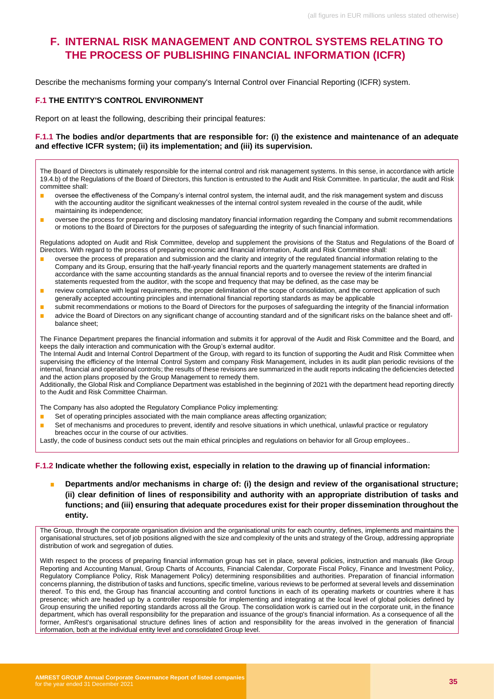# <span id="page-34-0"></span>**F. INTERNAL RISK MANAGEMENT AND CONTROL SYSTEMS RELATING TO THE PROCESS OF PUBLISHING FINANCIAL INFORMATION (ICFR)**

Describe the mechanisms forming your company's Internal Control over Financial Reporting (ICFR) system.

#### **F.1 THE ENTITY'S CONTROL ENVIRONMENT**

Report on at least the following, describing their principal features:

#### **F.1.1 The bodies and/or departments that are responsible for: (i) the existence and maintenance of an adequate and effective ICFR system; (ii) its implementation; and (iii) its supervision.**

The Board of Directors is ultimately responsible for the internal control and risk management systems. In this sense, in accordance with article 19.4.b) of the Regulations of the Board of Directors, this function is entrusted to the Audit and Risk Committee. In particular, the audit and Risk committee shall:

- oversee the effectiveness of the Company's internal control system, the internal audit, and the risk management system and discuss with the accounting auditor the significant weaknesses of the internal control system revealed in the course of the audit, while maintaining its independence;
- oversee the process for preparing and disclosing mandatory financial information regarding the Company and submit recommendations or motions to the Board of Directors for the purposes of safeguarding the integrity of such financial information.

Regulations adopted on Audit and Risk Committee, develop and supplement the provisions of the Status and Regulations of the Board of Directors. With regard to the process of preparing economic and financial information, Audit and Risk Committee shall:

- oversee the process of preparation and submission and the clarity and integrity of the regulated financial information relating to the Company and its Group, ensuring that the half-yearly financial reports and the quarterly management statements are drafted in accordance with the same accounting standards as the annual financial reports and to oversee the review of the interim financial statements requested from the auditor, with the scope and frequency that may be defined, as the case may be
- review compliance with legal requirements, the proper delimitation of the scope of consolidation, and the correct application of such generally accepted accounting principles and international financial reporting standards as may be applicable
- submit recommendations or motions to the Board of Directors for the purposes of safeguarding the integrity of the financial information
- advice the Board of Directors on any significant change of accounting standard and of the significant risks on the balance sheet and offbalance sheet;

The Finance Department prepares the financial information and submits it for approval of the Audit and Risk Committee and the Board, and keeps the daily interaction and communication with the Group's external auditor.

The Internal Audit and Internal Control Department of the Group, with regard to its function of supporting the Audit and Risk Committee when supervising the efficiency of the Internal Control System and company Risk Management, includes in its audit plan periodic revisions of the internal, financial and operational controls; the results of these revisions are summarized in the audit reports indicating the deficiencies detected and the action plans proposed by the Group Management to remedy them.

Additionally, the Global Risk and Compliance Department was established in the beginning of 2021 with the department head reporting directly to the Audit and Risk Committee Chairman.

The Company has also adopted the Regulatory Compliance Policy implementing:

- Set of operating principles associated with the main compliance areas affecting organization;
- Set of mechanisms and procedures to prevent, identify and resolve situations in which unethical, unlawful practice or regulatory breaches occur in the course of our activities.

Lastly, the code of business conduct sets out the main ethical principles and regulations on behavior for all Group employees..

#### **F.1.2 Indicate whether the following exist, especially in relation to the drawing up of financial information:**

Departments and/or mechanisms in charge of: (i) the design and review of the organisational structure; **(ii) clear definition of lines of responsibility and authority with an appropriate distribution of tasks and functions; and (iii) ensuring that adequate procedures exist for their proper dissemination throughout the entity.**

The Group, through the corporate organisation division and the organisational units for each country, defines, implements and maintains the organisational structures, set of job positions aligned with the size and complexity of the units and strategy of the Group, addressing appropriate distribution of work and segregation of duties.

With respect to the process of preparing financial information group has set in place, several policies, instruction and manuals (like Group Reporting and Accounting Manual, Group Charts of Accounts, Financial Calendar, Corporate Fiscal Policy, Finance and Investment Policy, Regulatory Compliance Policy, Risk Management Policy) determining responsibilities and authorities. Preparation of financial information concerns planning, the distribution of tasks and functions, specific timeline, various reviews to be performed at several levels and dissemination thereof. To this end, the Group has financial accounting and control functions in each of its operating markets or countries where it has presence; which are headed up by a controller responsible for implementing and integrating at the local level of global policies defined by Group ensuring the unified reporting standards across all the Group. The consolidation work is carried out in the corporate unit, in the finance department, which has overall responsibility for the preparation and issuance of the group's financial information. As a consequence of all the former, AmRest's organisational structure defines lines of action and responsibility for the areas involved in the generation of financial information, both at the individual entity level and consolidated Group level.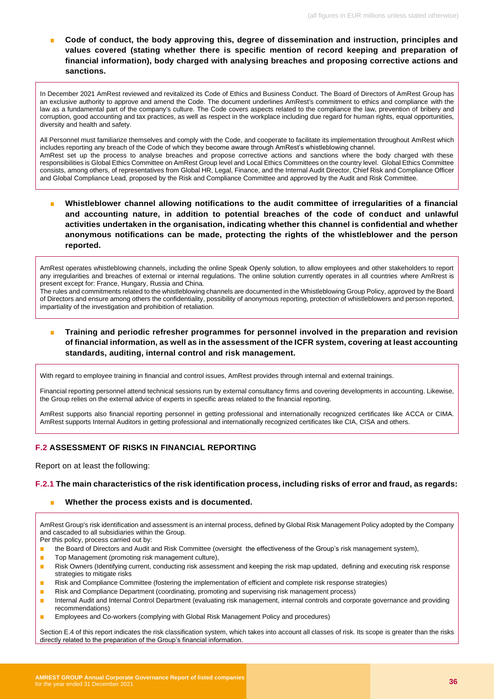Code of conduct, the body approving this, degree of dissemination and instruction, principles and **values covered (stating whether there is specific mention of record keeping and preparation of financial information), body charged with analysing breaches and proposing corrective actions and sanctions.**

In December 2021 AmRest reviewed and revitalized its Code of Ethics and Business Conduct. The Board of Directors of AmRest Group has an exclusive authority to approve and amend the Code. The document underlines AmRest's commitment to ethics and compliance with the law as a fundamental part of the company's culture. The Code covers aspects related to the compliance the law, prevention of bribery and corruption, good accounting and tax practices, as well as respect in the workplace including due regard for human rights, equal opportunities, diversity and health and safety.

All Personnel must familiarize themselves and comply with the Code, and cooperate to facilitate its implementation throughout AmRest which includes reporting any breach of the Code of which they become aware through AmRest's whistleblowing channel. AmRest set up the process to analyse breaches and propose corrective actions and sanctions where the body charged with these responsibilities is Global Ethics Committee on AmRest Group level and Local Ethics Committees on the country level. Global Ethics Committee consists, among others, of representatives from Global HR, Legal, Finance, and the Internal Audit Director, Chief Risk and Compliance Officer and Global Compliance Lead, proposed by the Risk and Compliance Committee and approved by the Audit and Risk Committee.

■ Whistleblower channel allowing notifications to the audit committee of irregularities of a financial **and accounting nature, in addition to potential breaches of the code of conduct and unlawful activities undertaken in the organisation, indicating whether this channel is confidential and whether anonymous notifications can be made, protecting the rights of the whistleblower and the person reported.**

AmRest operates whistleblowing channels, including the online Speak Openly solution, to allow employees and other stakeholders to report any irregularities and breaches of external or internal regulations. The online solution currently operates in all countries where AmRrest is present except for: France, Hungary, Russia and China.

The rules and commitments related to the whistleblowing channels are documented in the Whistleblowing Group Policy, approved by the Board of Directors and ensure among others the confidentiality, possibility of anonymous reporting, protection of whistleblowers and person reported, impartiality of the investigation and prohibition of retaliation.

#### **Training and periodic refresher programmes for personnel involved in the preparation and revision of financial information, as well as in the assessment of the ICFR system, covering at least accounting standards, auditing, internal control and risk management.**

With regard to employee training in financial and control issues, AmRest provides through internal and external trainings.

Financial reporting personnel attend technical sessions run by external consultancy firms and covering developments in accounting. Likewise, the Group relies on the external advice of experts in specific areas related to the financial reporting.

AmRest supports also financial reporting personnel in getting professional and internationally recognized certificates like ACCA or CIMA. AmRest supports Internal Auditors in getting professional and internationally recognized certificates like CIA, CISA and others.

#### **F.2 ASSESSMENT OF RISKS IN FINANCIAL REPORTING**

Report on at least the following:

#### **F.2.1 The main characteristics of the risk identification process, including risks of error and fraud, as regards:**

#### Whether the process exists and is documented.

AmRest Group's risk identification and assessment is an internal process, defined by Global Risk Management Policy adopted by the Company and cascaded to all subsidiaries within the Group.

Per this policy, process carried out by:

- the Board of Directors and Audit and Risk Committee (oversight the effectiveness of the Group's risk management system),
- Top Management (promoting risk management culture),
- Risk Owners (Identifying current, conducting risk assessment and keeping the risk map updated, defining and executing risk response strategies to mitigate risks
- Risk and Compliance Committee (fostering the implementation of efficient and complete risk response strategies)
- Risk and Compliance Department (coordinating, promoting and supervising risk management process)
- Internal Audit and Internal Control Department (evaluating risk management, internal controls and corporate governance and providing recommendations)
- **■** Employees and Co-workers (complying with Global Risk Management Policy and procedures)

Section E.4 of this report indicates the risk classification system, which takes into account all classes of risk. Its scope is greater than the risks directly related to the preparation of the Group's financial information.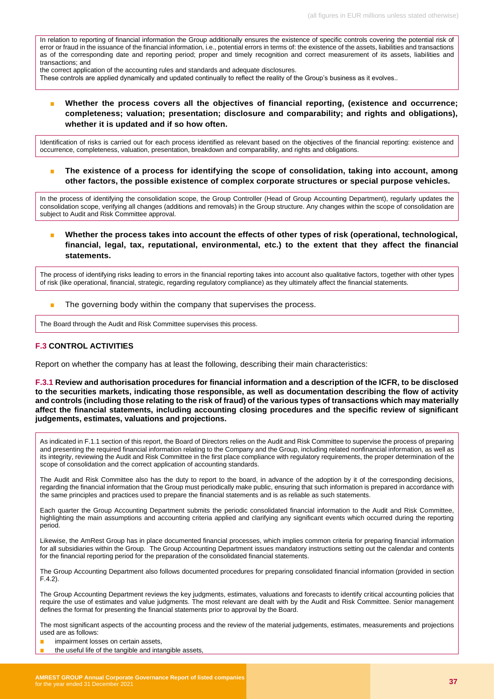In relation to reporting of financial information the Group additionally ensures the existence of specific controls covering the potential risk of error or fraud in the issuance of the financial information, i.e., potential errors in terms of: the existence of the assets, liabilities and transactions as of the corresponding date and reporting period; proper and timely recognition and correct measurement of its assets, liabilities and transactions; and

the correct application of the accounting rules and standards and adequate disclosures.

These controls are applied dynamically and updated continually to reflect the reality of the Group's business as it evolves..

**■**  Whether the process covers all the objectives of financial reporting, (existence and occurrence; **completeness; valuation; presentation; disclosure and comparability; and rights and obligations), whether it is updated and if so how often.**

Identification of risks is carried out for each process identified as relevant based on the objectives of the financial reporting: existence and occurrence, completeness, valuation, presentation, breakdown and comparability, and rights and obligations.

The existence of a process for identifying the scope of consolidation, taking into account, among **other factors, the possible existence of complex corporate structures or special purpose vehicles.**

In the process of identifying the consolidation scope, the Group Controller (Head of Group Accounting Department), regularly updates the consolidation scope, verifying all changes (additions and removals) in the Group structure. Any changes within the scope of consolidation are subject to Audit and Risk Committee approval.

■ **Whether the process takes into account the effects of other types of risk (operational, technological, financial, legal, tax, reputational, environmental, etc.) to the extent that they affect the financial statements.**

The process of identifying risks leading to errors in the financial reporting takes into account also qualitative factors, together with other types of risk (like operational, financial, strategic, regarding regulatory compliance) as they ultimately affect the financial statements.

■ The governing body within the company that supervises the process.

The Board through the Audit and Risk Committee supervises this process.

#### **F.3 CONTROL ACTIVITIES**

Report on whether the company has at least the following, describing their main characteristics:

**F.3.1 Review and authorisation procedures for financial information and a description of the ICFR, to be disclosed to the securities markets, indicating those responsible, as well as documentation describing the flow of activity and controls (including those relating to the risk of fraud) of the various types of transactions which may materially affect the financial statements, including accounting closing procedures and the specific review of significant judgements, estimates, valuations and projections.**

As indicated in F.1.1 section of this report, the Board of Directors relies on the Audit and Risk Committee to supervise the process of preparing and presenting the required financial information relating to the Company and the Group, including related nonfinancial information, as well as its integrity, reviewing the Audit and Risk Committee in the first place compliance with regulatory requirements, the proper determination of the scope of consolidation and the correct application of accounting standards.

The Audit and Risk Committee also has the duty to report to the board, in advance of the adoption by it of the corresponding decisions, regarding the financial information that the Group must periodically make public, ensuring that such information is prepared in accordance with the same principles and practices used to prepare the financial statements and is as reliable as such statements.

Each quarter the Group Accounting Department submits the periodic consolidated financial information to the Audit and Risk Committee, highlighting the main assumptions and accounting criteria applied and clarifying any significant events which occurred during the reporting period.

Likewise, the AmRest Group has in place documented financial processes, which implies common criteria for preparing financial information for all subsidiaries within the Group. The Group Accounting Department issues mandatory instructions setting out the calendar and contents for the financial reporting period for the preparation of the consolidated financial statements.

The Group Accounting Department also follows documented procedures for preparing consolidated financial information (provided in section F.4.2).

The Group Accounting Department reviews the key judgments, estimates, valuations and forecasts to identify critical accounting policies that require the use of estimates and value judgments. The most relevant are dealt with by the Audit and Risk Committee. Senior management defines the format for presenting the financial statements prior to approval by the Board.

The most significant aspects of the accounting process and the review of the material judgements, estimates, measurements and projections used are as follows:

- impairment losses on certain assets,
- the useful life of the tangible and intangible assets,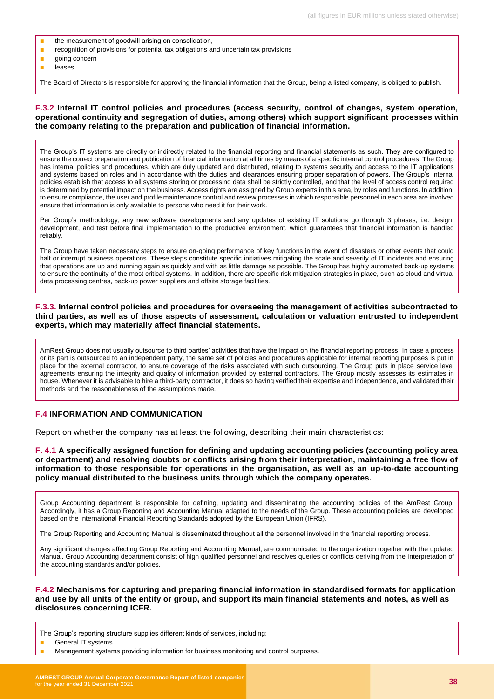- the measurement of goodwill arising on consolidation,
- recognition of provisions for potential tax obligations and uncertain tax provisions
- going concern
- leases.

The Board of Directors is responsible for approving the financial information that the Group, being a listed company, is obliged to publish.

#### **F.3.2 Internal IT control policies and procedures (access security, control of changes, system operation, operational continuity and segregation of duties, among others) which support significant processes within the company relating to the preparation and publication of financial information.**

The Group's IT systems are directly or indirectly related to the financial reporting and financial statements as such. They are configured to ensure the correct preparation and publication of financial information at all times by means of a specific internal control procedures. The Group has internal policies and procedures, which are duly updated and distributed, relating to systems security and access to the IT applications and systems based on roles and in accordance with the duties and clearances ensuring proper separation of powers. The Group's internal policies establish that access to all systems storing or processing data shall be strictly controlled, and that the level of access control required is determined by potential impact on the business. Access rights are assigned by Group experts in this area, by roles and functions. In addition, to ensure compliance, the user and profile maintenance control and review processes in which responsible personnel in each area are involved ensure that information is only available to persons who need it for their work.

Per Group's methodology, any new software developments and any updates of existing IT solutions go through 3 phases, i.e. design, development, and test before final implementation to the productive environment, which guarantees that financial information is handled reliably.

The Group have taken necessary steps to ensure on-going performance of key functions in the event of disasters or other events that could halt or interrupt business operations. These steps constitute specific initiatives mitigating the scale and severity of IT incidents and ensuring that operations are up and running again as quickly and with as little damage as possible. The Group has highly automated back-up systems to ensure the continuity of the most critical systems. In addition, there are specific risk mitigation strategies in place, such as cloud and virtual data processing centres, back-up power suppliers and offsite storage facilities.

#### **F.3.3. Internal control policies and procedures for overseeing the management of activities subcontracted to third parties, as well as of those aspects of assessment, calculation or valuation entrusted to independent experts, which may materially affect financial statements.**

AmRest Group does not usually outsource to third parties' activities that have the impact on the financial reporting process. In case a process or its part is outsourced to an independent party, the same set of policies and procedures applicable for internal reporting purposes is put in place for the external contractor, to ensure coverage of the risks associated with such outsourcing. The Group puts in place service level agreements ensuring the integrity and quality of information provided by external contractors. The Group mostly assesses its estimates in house. Whenever it is advisable to hire a third-party contractor, it does so having verified their expertise and independence, and validated their methods and the reasonableness of the assumptions made.

#### **F.4 INFORMATION AND COMMUNICATION**

Report on whether the company has at least the following, describing their main characteristics:

**F. 4.1 A specifically assigned function for defining and updating accounting policies (accounting policy area or department) and resolving doubts or conflicts arising from their interpretation, maintaining a free flow of information to those responsible for operations in the organisation, as well as an up-to-date accounting policy manual distributed to the business units through which the company operates.**

Group Accounting department is responsible for defining, updating and disseminating the accounting policies of the AmRest Group. Accordingly, it has a Group Reporting and Accounting Manual adapted to the needs of the Group. These accounting policies are developed based on the International Financial Reporting Standards adopted by the European Union (IFRS).

The Group Reporting and Accounting Manual is disseminated throughout all the personnel involved in the financial reporting process.

Any significant changes affecting Group Reporting and Accounting Manual, are communicated to the organization together with the updated Manual. Group Accounting department consist of high qualified personnel and resolves queries or conflicts deriving from the interpretation of the accounting standards and/or policies.

**F.4.2 Mechanisms for capturing and preparing financial information in standardised formats for application and use by all units of the entity or group, and support its main financial statements and notes, as well as disclosures concerning ICFR.**

The Group's reporting structure supplies different kinds of services, including:

General IT systems

Management systems providing information for business monitoring and control purposes.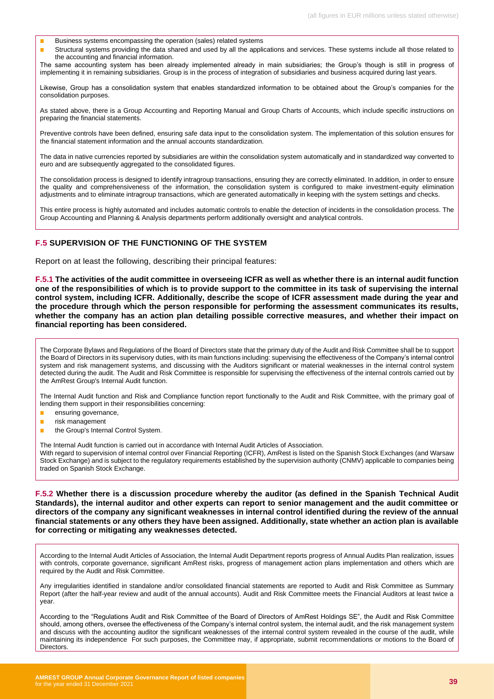- Business systems encompassing the operation (sales) related systems
- Structural systems providing the data shared and used by all the applications and services. These systems include all those related to the accounting and financial information.

The same accounting system has been already implemented already in main subsidiaries; the Group's though is still in progress of implementing it in remaining subsidiaries. Group is in the process of integration of subsidiaries and business acquired during last years.

Likewise, Group has a consolidation system that enables standardized information to be obtained about the Group's companies for the consolidation purposes.

As stated above, there is a Group Accounting and Reporting Manual and Group Charts of Accounts, which include specific instructions on preparing the financial statements.

Preventive controls have been defined, ensuring safe data input to the consolidation system. The implementation of this solution ensures for the financial statement information and the annual accounts standardization.

The data in native currencies reported by subsidiaries are within the consolidation system automatically and in standardized way converted to euro and are subsequently aggregated to the consolidated figures.

The consolidation process is designed to identify intragroup transactions, ensuring they are correctly eliminated. In addition, in order to ensure the quality and comprehensiveness of the information, the consolidation system is configured to make investment-equity elimination adjustments and to eliminate intragroup transactions, which are generated automatically in keeping with the system settings and checks.

This entire process is highly automated and includes automatic controls to enable the detection of incidents in the consolidation process. The Group Accounting and Planning & Analysis departments perform additionally oversight and analytical controls.

#### **F.5 SUPERVISION OF THE FUNCTIONING OF THE SYSTEM**

Report on at least the following, describing their principal features:

**F.5.1 The activities of the audit committee in overseeing ICFR as well as whether there is an internal audit function one of the responsibilities of which is to provide support to the committee in its task of supervising the internal control system, including ICFR. Additionally, describe the scope of ICFR assessment made during the year and the procedure through which the person responsible for performing the assessment communicates its results, whether the company has an action plan detailing possible corrective measures, and whether their impact on financial reporting has been considered.**

The Corporate Bylaws and Regulations of the Board of Directors state that the primary duty of the Audit and Risk Committee shall be to support the Board of Directors in its supervisory duties, with its main functions including: supervising the effectiveness of the Company's internal control system and risk management systems, and discussing with the Auditors significant or material weaknesses in the internal control system detected during the audit. The Audit and Risk Committee is responsible for supervising the effectiveness of the internal controls carried out by the AmRest Group's Internal Audit function.

The Internal Audit function and Risk and Compliance function report functionally to the Audit and Risk Committee, with the primary goal of lending them support in their responsibilities concerning:

- ensuring governance,
- risk management
- the Group's Internal Control System.

The Internal Audit function is carried out in accordance with Internal Audit Articles of Association.

With regard to supervision of internal control over Financial Reporting (ICFR), AmRest is listed on the Spanish Stock Exchanges (and Warsaw Stock Exchange) and is subject to the regulatory requirements established by the supervision authority (CNMV) applicable to companies being traded on Spanish Stock Exchange.

**F.5.2 Whether there is a discussion procedure whereby the auditor (as defined in the Spanish Technical Audit Standards), the internal auditor and other experts can report to senior management and the audit committee or directors of the company any significant weaknesses in internal control identified during the review of the annual financial statements or any others they have been assigned. Additionally, state whether an action plan is available for correcting or mitigating any weaknesses detected.**

According to the Internal Audit Articles of Association, the Internal Audit Department reports progress of Annual Audits Plan realization, issues with controls, corporate governance, significant AmRest risks, progress of management action plans implementation and others which are required by the Audit and Risk Committee.

Any irregularities identified in standalone and/or consolidated financial statements are reported to Audit and Risk Committee as Summary Report (after the half-year review and audit of the annual accounts). Audit and Risk Committee meets the Financial Auditors at least twice a year.

According to the "Regulations Audit and Risk Committee of the Board of Directors of AmRest Holdings SE", the Audit and Risk Committee should, among others, oversee the effectiveness of the Company's internal control system, the internal audit, and the risk management system and discuss with the accounting auditor the significant weaknesses of the internal control system revealed in the course of the audit, while maintaining its independence For such purposes, the Committee may, if appropriate, submit recommendations or motions to the Board of **Directors**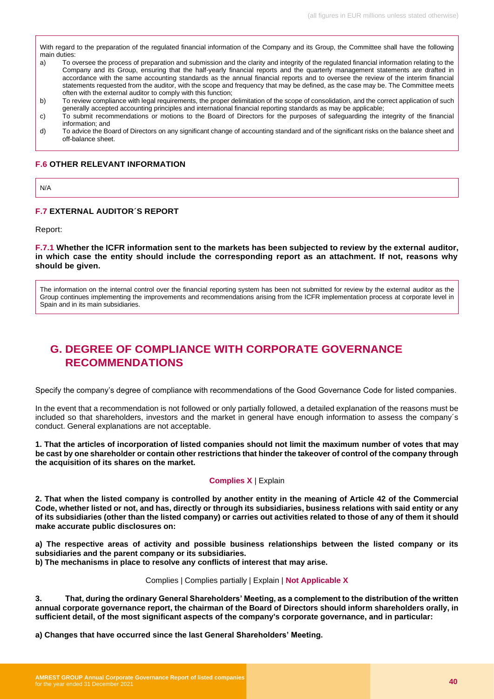With regard to the preparation of the regulated financial information of the Company and its Group, the Committee shall have the following main duties:

- a) To oversee the process of preparation and submission and the clarity and integrity of the regulated financial information relating to the Company and its Group, ensuring that the half-yearly financial reports and the quarterly management statements are drafted in accordance with the same accounting standards as the annual financial reports and to oversee the review of the interim financial statements requested from the auditor, with the scope and frequency that may be defined, as the case may be. The Committee meets often with the external auditor to comply with this function;
- b) To review compliance with legal requirements, the proper delimitation of the scope of consolidation, and the correct application of such generally accepted accounting principles and international financial reporting standards as may be applicable;
- c) To submit recommendations or motions to the Board of Directors for the purposes of safeguarding the integrity of the financial information; and
- d) To advice the Board of Directors on any significant change of accounting standard and of the significant risks on the balance sheet and off-balance sheet.

#### **F.6 OTHER RELEVANT INFORMATION**

N/A

#### **F.7 EXTERNAL AUDITOR´S REPORT**

Report:

**F.7.1 Whether the ICFR information sent to the markets has been subjected to review by the external auditor, in which case the entity should include the corresponding report as an attachment. If not, reasons why should be given.**

The information on the internal control over the financial reporting system has been not submitted for review by the external auditor as the Group continues implementing the improvements and recommendations arising from the ICFR implementation process at corporate level in Spain and in its main subsidiaries.

# <span id="page-39-0"></span>**G. DEGREE OF COMPLIANCE WITH CORPORATE GOVERNANCE RECOMMENDATIONS**

Specify the company's degree of compliance with recommendations of the Good Governance Code for listed companies.

In the event that a recommendation is not followed or only partially followed, a detailed explanation of the reasons must be included so that shareholders, investors and the market in general have enough information to assess the company´s conduct. General explanations are not acceptable.

**1. That the articles of incorporation of listed companies should not limit the maximum number of votes that may be cast by one shareholder or contain other restrictions that hinder the takeover of control of the company through the acquisition of its shares on the market.**

#### **Complies X** | Explain

**2. That when the listed company is controlled by another entity in the meaning of Article 42 of the Commercial Code, whether listed or not, and has, directly or through its subsidiaries, business relations with said entity or any of its subsidiaries (other than the listed company) or carries out activities related to those of any of them it should make accurate public disclosures on:**

**a) The respective areas of activity and possible business relationships between the listed company or its subsidiaries and the parent company or its subsidiaries.**

**b) The mechanisms in place to resolve any conflicts of interest that may arise.** 

#### Complies | Complies partially | Explain | **Not Applicable X**

**3. That, during the ordinary General Shareholders' Meeting, as a complement to the distribution of the written annual corporate governance report, the chairman of the Board of Directors should inform shareholders orally, in sufficient detail, of the most significant aspects of the company's corporate governance, and in particular:**

**a) Changes that have occurred since the last General Shareholders' Meeting.**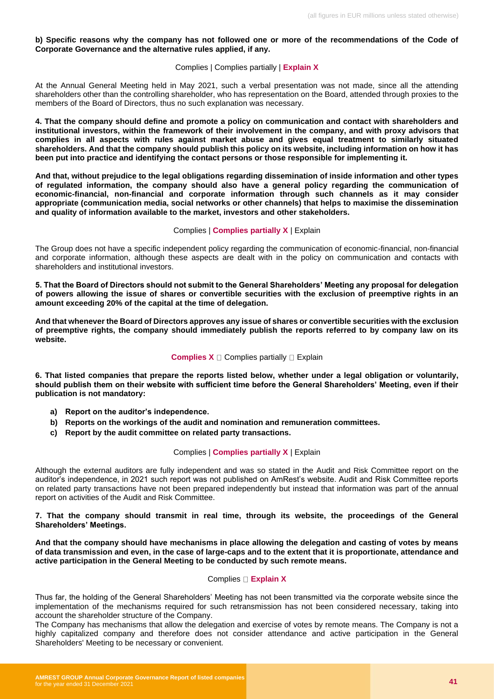#### **b) Specific reasons why the company has not followed one or more of the recommendations of the Code of Corporate Governance and the alternative rules applied, if any.**

#### Complies | Complies partially | **Explain X**

At the Annual General Meeting held in May 2021, such a verbal presentation was not made, since all the attending shareholders other than the controlling shareholder, who has representation on the Board, attended through proxies to the members of the Board of Directors, thus no such explanation was necessary.

**4. That the company should define and promote a policy on communication and contact with shareholders and institutional investors, within the framework of their involvement in the company, and with proxy advisors that complies in all aspects with rules against market abuse and gives equal treatment to similarly situated shareholders. And that the company should publish this policy on its website, including information on how it has been put into practice and identifying the contact persons or those responsible for implementing it.** 

**And that, without prejudice to the legal obligations regarding dissemination of inside information and other types of regulated information, the company should also have a general policy regarding the communication of economic-financial, non-financial and corporate information through such channels as it may consider appropriate (communication media, social networks or other channels) that helps to maximise the dissemination and quality of information available to the market, investors and other stakeholders.**

#### Complies | **Complies partially X** | Explain

The Group does not have a specific independent policy regarding the communication of economic-financial, non-financial and corporate information, although these aspects are dealt with in the policy on communication and contacts with shareholders and institutional investors.

**5. That the Board of Directors should not submit to the General Shareholders' Meeting any proposal for delegation of powers allowing the issue of shares or convertible securities with the exclusion of preemptive rights in an amount exceeding 20% of the capital at the time of delegation.**

**And that whenever the Board of Directors approves any issue of shares or convertible securities with the exclusion of preemptive rights, the company should immediately publish the reports referred to by company law on its website.**

#### **Complies X**  $\Box$  Complies partially  $\Box$  Explain

**6. That listed companies that prepare the reports listed below, whether under a legal obligation or voluntarily, should publish them on their website with sufficient time before the General Shareholders' Meeting, even if their publication is not mandatory:**

- **a) Report on the auditor's independence.**
- **b) Reports on the workings of the audit and nomination and remuneration committees.**
- **c) Report by the audit committee on related party transactions.**

#### Complies | **Complies partially X** | Explain

Although the external auditors are fully independent and was so stated in the Audit and Risk Committee report on the auditor's independence, in 2021 such report was not published on AmRest's website. Audit and Risk Committee reports on related party transactions have not been prepared independently but instead that information was part of the annual report on activities of the Audit and Risk Committee.

**7. That the company should transmit in real time, through its website, the proceedings of the General Shareholders' Meetings.**

**And that the company should have mechanisms in place allowing the delegation and casting of votes by means of data transmission and even, in the case of large-caps and to the extent that it is proportionate, attendance and active participation in the General Meeting to be conducted by such remote means.**

#### Complies **Explain X**

Thus far, the holding of the General Shareholders' Meeting has not been transmitted via the corporate website since the implementation of the mechanisms required for such retransmission has not been considered necessary, taking into account the shareholder structure of the Company.

The Company has mechanisms that allow the delegation and exercise of votes by remote means. The Company is not a highly capitalized company and therefore does not consider attendance and active participation in the General Shareholders' Meeting to be necessary or convenient.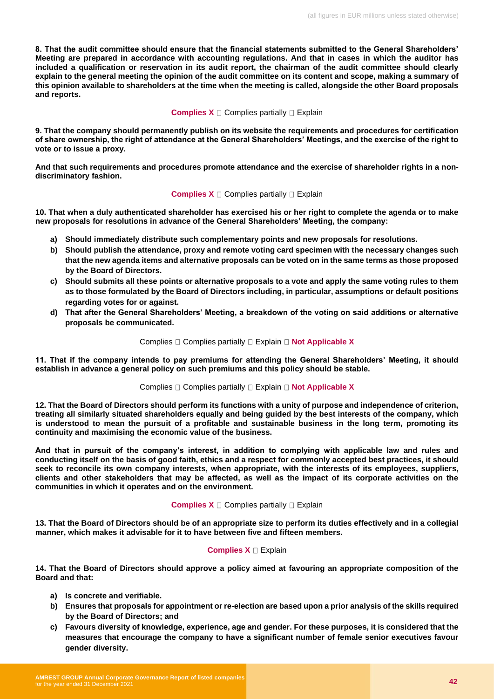**8. That the audit committee should ensure that the financial statements submitted to the General Shareholders' Meeting are prepared in accordance with accounting regulations. And that in cases in which the auditor has included a qualification or reservation in its audit report, the chairman of the audit committee should clearly explain to the general meeting the opinion of the audit committee on its content and scope, making a summary of this opinion available to shareholders at the time when the meeting is called, alongside the other Board proposals and reports.**

#### **Complies X**  $\Box$  Complies partially  $\Box$  Explain

**9. That the company should permanently publish on its website the requirements and procedures for certification of share ownership, the right of attendance at the General Shareholders' Meetings, and the exercise of the right to vote or to issue a proxy.**

**And that such requirements and procedures promote attendance and the exercise of shareholder rights in a nondiscriminatory fashion.**

#### **Complies X**  $\Box$  Complies partially  $\Box$  Explain

**10. That when a duly authenticated shareholder has exercised his or her right to complete the agenda or to make new proposals for resolutions in advance of the General Shareholders' Meeting, the company:**

- **a) Should immediately distribute such complementary points and new proposals for resolutions.**
- **b) Should publish the attendance, proxy and remote voting card specimen with the necessary changes such that the new agenda items and alternative proposals can be voted on in the same terms as those proposed by the Board of Directors.**
- **c) Should submits all these points or alternative proposals to a vote and apply the same voting rules to them as to those formulated by the Board of Directors including, in particular, assumptions or default positions regarding votes for or against.**
- **d) That after the General Shareholders' Meeting, a breakdown of the voting on said additions or alternative proposals be communicated.**

#### Complies  $\Box$  Complies partially  $\Box$  Explain  $\Box$  Not Applicable X

**11. That if the company intends to pay premiums for attending the General Shareholders' Meeting, it should establish in advance a general policy on such premiums and this policy should be stable.**

#### Complies  $\Box$  Complies partially  $\Box$  Explain  $\Box$  Not Applicable X

**12. That the Board of Directors should perform its functions with a unity of purpose and independence of criterion, treating all similarly situated shareholders equally and being guided by the best interests of the company, which is understood to mean the pursuit of a profitable and sustainable business in the long term, promoting its continuity and maximising the economic value of the business.**

**And that in pursuit of the company's interest, in addition to complying with applicable law and rules and conducting itself on the basis of good faith, ethics and a respect for commonly accepted best practices, it should seek to reconcile its own company interests, when appropriate, with the interests of its employees, suppliers, clients and other stakeholders that may be affected, as well as the impact of its corporate activities on the communities in which it operates and on the environment.**

#### **Complies X**  $\Box$  Complies partially  $\Box$  Explain

**13. That the Board of Directors should be of an appropriate size to perform its duties effectively and in a collegial manner, which makes it advisable for it to have between five and fifteen members.**

#### **Complies X Explain**

**14. That the Board of Directors should approve a policy aimed at favouring an appropriate composition of the Board and that:**

- **a) Is concrete and verifiable.**
- **b) Ensures that proposals for appointment or re-election are based upon a prior analysis of the skills required by the Board of Directors; and**
- **c) Favours diversity of knowledge, experience, age and gender. For these purposes, it is considered that the measures that encourage the company to have a significant number of female senior executives favour gender diversity.**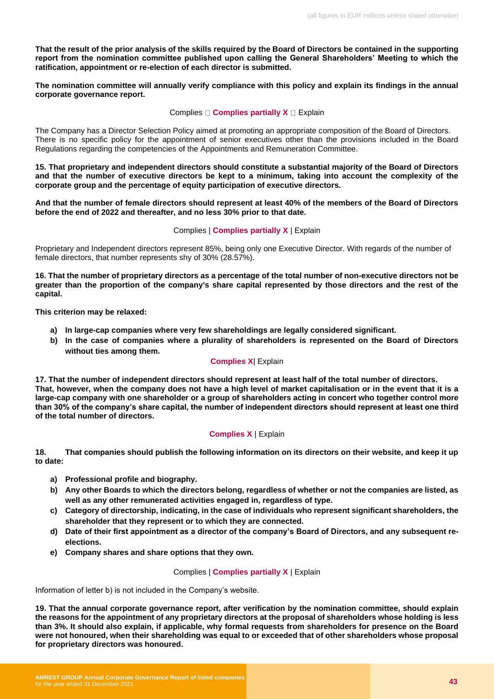**That the result of the prior analysis of the skills required by the Board of Directors be contained in the supporting report from the nomination committee published upon calling the General Shareholders' Meeting to which the ratification, appointment or re-election of each director is submitted.** 

**The nomination committee will annually verify compliance with this policy and explain its findings in the annual corporate governance report.**

#### Complies  $\Box$  **Complies partially X**  $\Box$  Explain

The Company has a Director Selection Policy aimed at promoting an appropriate composition of the Board of Directors. There is no specific policy for the appointment of senior executives other than the provisions included in the Board Regulations regarding the competencies of the Appointments and Remuneration Committee.

**15. That proprietary and independent directors should constitute a substantial majority of the Board of Directors and that the number of executive directors be kept to a minimum, taking into account the complexity of the corporate group and the percentage of equity participation of executive directors.**

**And that the number of female directors should represent at least 40% of the members of the Board of Directors before the end of 2022 and thereafter, and no less 30% prior to that date.**

#### Complies | **Complies partially X** | Explain

Proprietary and Independent directors represent 85%, being only one Executive Director. With regards of the number of female directors, that number represents shy of 30% (28.57%).

**16. That the number of proprietary directors as a percentage of the total number of non-executive directors not be greater than the proportion of the company's share capital represented by those directors and the rest of the capital.**

**This criterion may be relaxed:**

- **a) In large-cap companies where very few shareholdings are legally considered significant.**
- **b) In the case of companies where a plurality of shareholders is represented on the Board of Directors without ties among them.**

#### **Complies X**| Explain

**17. That the number of independent directors should represent at least half of the total number of directors. That, however, when the company does not have a high level of market capitalisation or in the event that it is a large-cap company with one shareholder or a group of shareholders acting in concert who together control more than 30% of the company's share capital, the number of independent directors should represent at least one third of the total number of directors.**

#### **Complies X** | Explain

**18. That companies should publish the following information on its directors on their website, and keep it up to date:**

- **a) Professional profile and biography.**
- **b) Any other Boards to which the directors belong, regardless of whether or not the companies are listed, as well as any other remunerated activities engaged in, regardless of type.**
- **c) Category of directorship, indicating, in the case of individuals who represent significant shareholders, the shareholder that they represent or to which they are connected.**
- **d) Date of their first appointment as a director of the company's Board of Directors, and any subsequent reelections.**
- **e) Company shares and share options that they own.**

#### Complies | **Complies partially X** | Explain

Information of letter b) is not included in the Company's website.

**19. That the annual corporate governance report, after verification by the nomination committee, should explain the reasons for the appointment of any proprietary directors at the proposal of shareholders whose holding is less than 3%. It should also explain, if applicable, why formal requests from shareholders for presence on the Board were not honoured, when their shareholding was equal to or exceeded that of other shareholders whose proposal for proprietary directors was honoured.**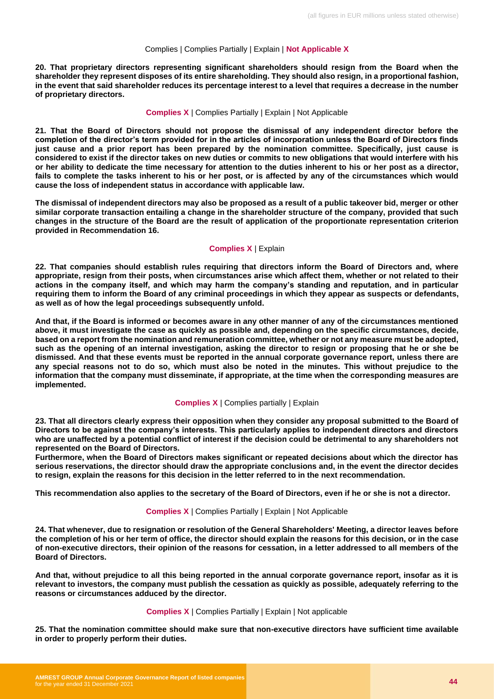#### Complies | Complies Partially | Explain | **Not Applicable X**

**20. That proprietary directors representing significant shareholders should resign from the Board when the shareholder they represent disposes of its entire shareholding. They should also resign, in a proportional fashion, in the event that said shareholder reduces its percentage interest to a level that requires a decrease in the number of proprietary directors.** 

#### **Complies X** | Complies Partially | Explain | Not Applicable

**21. That the Board of Directors should not propose the dismissal of any independent director before the completion of the director's term provided for in the articles of incorporation unless the Board of Directors finds just cause and a prior report has been prepared by the nomination committee. Specifically, just cause is considered to exist if the director takes on new duties or commits to new obligations that would interfere with his or her ability to dedicate the time necessary for attention to the duties inherent to his or her post as a director, fails to complete the tasks inherent to his or her post, or is affected by any of the circumstances which would cause the loss of independent status in accordance with applicable law.**

**The dismissal of independent directors may also be proposed as a result of a public takeover bid, merger or other similar corporate transaction entailing a change in the shareholder structure of the company, provided that such changes in the structure of the Board are the result of application of the proportionate representation criterion provided in Recommendation 16.**

#### **Complies X** | Explain

**22. That companies should establish rules requiring that directors inform the Board of Directors and, where appropriate, resign from their posts, when circumstances arise which affect them, whether or not related to their actions in the company itself, and which may harm the company's standing and reputation, and in particular requiring them to inform the Board of any criminal proceedings in which they appear as suspects or defendants, as well as of how the legal proceedings subsequently unfold.**

**And that, if the Board is informed or becomes aware in any other manner of any of the circumstances mentioned above, it must investigate the case as quickly as possible and, depending on the specific circumstances, decide, based on a report from the nomination and remuneration committee, whether or not any measure must be adopted, such as the opening of an internal investigation, asking the director to resign or proposing that he or she be dismissed. And that these events must be reported in the annual corporate governance report, unless there are any special reasons not to do so, which must also be noted in the minutes. This without prejudice to the information that the company must disseminate, if appropriate, at the time when the corresponding measures are implemented.**

#### **Complies X** | Complies partially | Explain

**23. That all directors clearly express their opposition when they consider any proposal submitted to the Board of Directors to be against the company's interests. This particularly applies to independent directors and directors who are unaffected by a potential conflict of interest if the decision could be detrimental to any shareholders not represented on the Board of Directors.**

**Furthermore, when the Board of Directors makes significant or repeated decisions about which the director has serious reservations, the director should draw the appropriate conclusions and, in the event the director decides to resign, explain the reasons for this decision in the letter referred to in the next recommendation.**

**This recommendation also applies to the secretary of the Board of Directors, even if he or she is not a director.**

#### **Complies X** | Complies Partially | Explain | Not Applicable

**24. That whenever, due to resignation or resolution of the General Shareholders' Meeting, a director leaves before the completion of his or her term of office, the director should explain the reasons for this decision, or in the case of non-executive directors, their opinion of the reasons for cessation, in a letter addressed to all members of the Board of Directors.** 

**And that, without prejudice to all this being reported in the annual corporate governance report, insofar as it is relevant to investors, the company must publish the cessation as quickly as possible, adequately referring to the reasons or circumstances adduced by the director.**

#### **Complies X** | Complies Partially | Explain | Not applicable

**25. That the nomination committee should make sure that non-executive directors have sufficient time available in order to properly perform their duties.**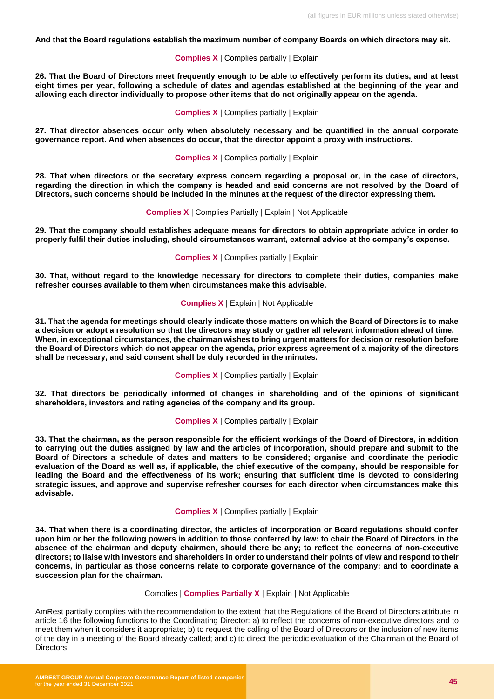**And that the Board regulations establish the maximum number of company Boards on which directors may sit.**

**Complies X** | Complies partially | Explain

**26. That the Board of Directors meet frequently enough to be able to effectively perform its duties, and at least eight times per year, following a schedule of dates and agendas established at the beginning of the year and allowing each director individually to propose other items that do not originally appear on the agenda.** 

**Complies X** | Complies partially | Explain

**27. That director absences occur only when absolutely necessary and be quantified in the annual corporate governance report. And when absences do occur, that the director appoint a proxy with instructions.** 

**Complies X** | Complies partially | Explain

**28. That when directors or the secretary express concern regarding a proposal or, in the case of directors, regarding the direction in which the company is headed and said concerns are not resolved by the Board of Directors, such concerns should be included in the minutes at the request of the director expressing them.**

#### **Complies X** | Complies Partially | Explain | Not Applicable

**29. That the company should establishes adequate means for directors to obtain appropriate advice in order to properly fulfil their duties including, should circumstances warrant, external advice at the company's expense.**

#### **Complies X** | Complies partially | Explain

**30. That, without regard to the knowledge necessary for directors to complete their duties, companies make refresher courses available to them when circumstances make this advisable.**

#### **Complies X** | Explain | Not Applicable

**31. That the agenda for meetings should clearly indicate those matters on which the Board of Directors is to make a decision or adopt a resolution so that the directors may study or gather all relevant information ahead of time. When, in exceptional circumstances, the chairman wishes to bring urgent matters for decision or resolution before the Board of Directors which do not appear on the agenda, prior express agreement of a majority of the directors shall be necessary, and said consent shall be duly recorded in the minutes.** 

#### **Complies X** | Complies partially | Explain

**32. That directors be periodically informed of changes in shareholding and of the opinions of significant shareholders, investors and rating agencies of the company and its group.**

#### **Complies X** | Complies partially | Explain

**33. That the chairman, as the person responsible for the efficient workings of the Board of Directors, in addition to carrying out the duties assigned by law and the articles of incorporation, should prepare and submit to the Board of Directors a schedule of dates and matters to be considered; organise and coordinate the periodic evaluation of the Board as well as, if applicable, the chief executive of the company, should be responsible for leading the Board and the effectiveness of its work; ensuring that sufficient time is devoted to considering strategic issues, and approve and supervise refresher courses for each director when circumstances make this advisable.** 

#### **Complies X** | Complies partially | Explain

**34. That when there is a coordinating director, the articles of incorporation or Board regulations should confer upon him or her the following powers in addition to those conferred by law: to chair the Board of Directors in the absence of the chairman and deputy chairmen, should there be any; to reflect the concerns of non-executive directors; to liaise with investors and shareholders in order to understand their points of view and respond to their concerns, in particular as those concerns relate to corporate governance of the company; and to coordinate a succession plan for the chairman.**

#### Complies | **Complies Partially X** | Explain | Not Applicable

AmRest partially complies with the recommendation to the extent that the Regulations of the Board of Directors attribute in article 16 the following functions to the Coordinating Director: a) to reflect the concerns of non-executive directors and to meet them when it considers it appropriate; b) to request the calling of the Board of Directors or the inclusion of new items of the day in a meeting of the Board already called; and c) to direct the periodic evaluation of the Chairman of the Board of Directors.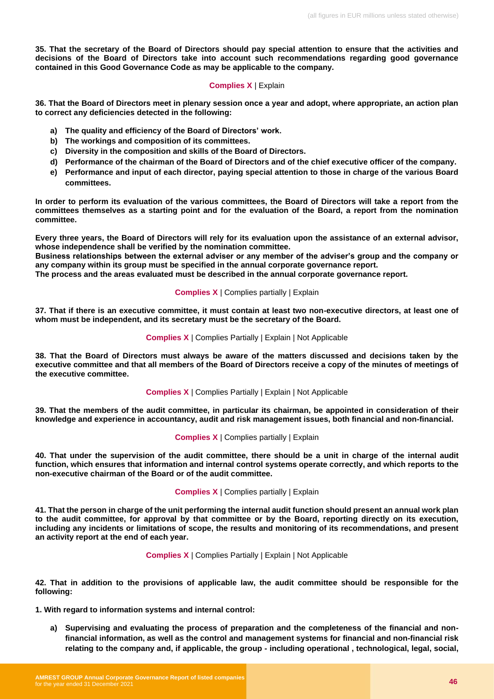**35. That the secretary of the Board of Directors should pay special attention to ensure that the activities and decisions of the Board of Directors take into account such recommendations regarding good governance contained in this Good Governance Code as may be applicable to the company.**

#### **Complies X** | Explain

**36. That the Board of Directors meet in plenary session once a year and adopt, where appropriate, an action plan to correct any deficiencies detected in the following:**

- **a) The quality and efficiency of the Board of Directors' work.**
- **b) The workings and composition of its committees.**
- **c) Diversity in the composition and skills of the Board of Directors.**
- **d) Performance of the chairman of the Board of Directors and of the chief executive officer of the company.**
- **e) Performance and input of each director, paying special attention to those in charge of the various Board committees.**

**In order to perform its evaluation of the various committees, the Board of Directors will take a report from the committees themselves as a starting point and for the evaluation of the Board, a report from the nomination committee.**

**Every three years, the Board of Directors will rely for its evaluation upon the assistance of an external advisor, whose independence shall be verified by the nomination committee.**

**Business relationships between the external adviser or any member of the adviser's group and the company or any company within its group must be specified in the annual corporate governance report.**

**The process and the areas evaluated must be described in the annual corporate governance report.** 

#### **Complies X** | Complies partially | Explain

**37. That if there is an executive committee, it must contain at least two non-executive directors, at least one of whom must be independent, and its secretary must be the secretary of the Board.**

#### **Complies X** | Complies Partially | Explain | Not Applicable

**38. That the Board of Directors must always be aware of the matters discussed and decisions taken by the executive committee and that all members of the Board of Directors receive a copy of the minutes of meetings of the executive committee.** 

#### **Complies X** | Complies Partially | Explain | Not Applicable

**39. That the members of the audit committee, in particular its chairman, be appointed in consideration of their knowledge and experience in accountancy, audit and risk management issues, both financial and non-financial.**

**Complies X** | Complies partially | Explain

**40. That under the supervision of the audit committee, there should be a unit in charge of the internal audit function, which ensures that information and internal control systems operate correctly, and which reports to the non-executive chairman of the Board or of the audit committee.**

#### **Complies X** | Complies partially | Explain

**41. That the person in charge of the unit performing the internal audit function should present an annual work plan to the audit committee, for approval by that committee or by the Board, reporting directly on its execution, including any incidents or limitations of scope, the results and monitoring of its recommendations, and present an activity report at the end of each year.** 

#### **Complies X** | Complies Partially | Explain | Not Applicable

**42. That in addition to the provisions of applicable law, the audit committee should be responsible for the following:**

**1. With regard to information systems and internal control:**

**a) Supervising and evaluating the process of preparation and the completeness of the financial and nonfinancial information, as well as the control and management systems for financial and non-financial risk relating to the company and, if applicable, the group - including operational , technological, legal, social,**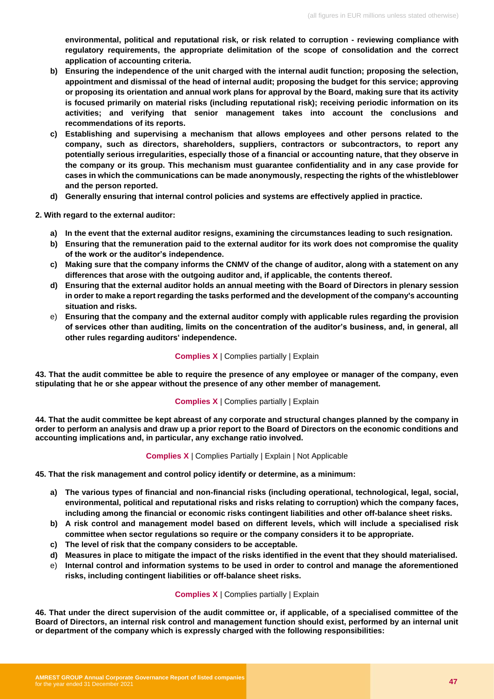**environmental, political and reputational risk, or risk related to corruption - reviewing compliance with regulatory requirements, the appropriate delimitation of the scope of consolidation and the correct application of accounting criteria.**

- **b) Ensuring the independence of the unit charged with the internal audit function; proposing the selection, appointment and dismissal of the head of internal audit; proposing the budget for this service; approving or proposing its orientation and annual work plans for approval by the Board, making sure that its activity is focused primarily on material risks (including reputational risk); receiving periodic information on its activities; and verifying that senior management takes into account the conclusions and recommendations of its reports.**
- **c) Establishing and supervising a mechanism that allows employees and other persons related to the company, such as directors, shareholders, suppliers, contractors or subcontractors, to report any potentially serious irregularities, especially those of a financial or accounting nature, that they observe in the company or its group. This mechanism must guarantee confidentiality and in any case provide for cases in which the communications can be made anonymously, respecting the rights of the whistleblower and the person reported.**
- **d) Generally ensuring that internal control policies and systems are effectively applied in practice.**

**2. With regard to the external auditor:**

- **a) In the event that the external auditor resigns, examining the circumstances leading to such resignation.**
- **b) Ensuring that the remuneration paid to the external auditor for its work does not compromise the quality of the work or the auditor's independence.**
- **c) Making sure that the company informs the CNMV of the change of auditor, along with a statement on any differences that arose with the outgoing auditor and, if applicable, the contents thereof.**
- **d) Ensuring that the external auditor holds an annual meeting with the Board of Directors in plenary session in order to make a report regarding the tasks performed and the development of the company's accounting situation and risks.**
- e) **Ensuring that the company and the external auditor comply with applicable rules regarding the provision of services other than auditing, limits on the concentration of the auditor's business, and, in general, all other rules regarding auditors' independence.**

**Complies X** | Complies partially | Explain

**43. That the audit committee be able to require the presence of any employee or manager of the company, even stipulating that he or she appear without the presence of any other member of management.**

#### **Complies X** | Complies partially | Explain

**44. That the audit committee be kept abreast of any corporate and structural changes planned by the company in order to perform an analysis and draw up a prior report to the Board of Directors on the economic conditions and accounting implications and, in particular, any exchange ratio involved.**

#### **Complies X** | Complies Partially | Explain | Not Applicable

**45. That the risk management and control policy identify or determine, as a minimum:** 

- **a) The various types of financial and non-financial risks (including operational, technological, legal, social, environmental, political and reputational risks and risks relating to corruption) which the company faces, including among the financial or economic risks contingent liabilities and other off-balance sheet risks.**
- **b) A risk control and management model based on different levels, which will include a specialised risk committee when sector regulations so require or the company considers it to be appropriate.**
- **c) The level of risk that the company considers to be acceptable.**
- **d) Measures in place to mitigate the impact of the risks identified in the event that they should materialised.**
- e) **Internal control and information systems to be used in order to control and manage the aforementioned risks, including contingent liabilities or off-balance sheet risks.**

#### **Complies X** | Complies partially | Explain

**46. That under the direct supervision of the audit committee or, if applicable, of a specialised committee of the Board of Directors, an internal risk control and management function should exist, performed by an internal unit or department of the company which is expressly charged with the following responsibilities:**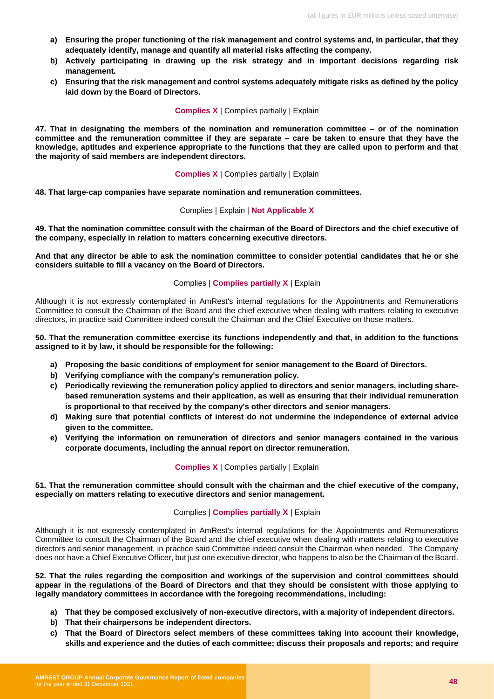- **a) Ensuring the proper functioning of the risk management and control systems and, in particular, that they adequately identify, manage and quantify all material risks affecting the company.**
- **b) Actively participating in drawing up the risk strategy and in important decisions regarding risk management.**
- **c) Ensuring that the risk management and control systems adequately mitigate risks as defined by the policy laid down by the Board of Directors.**

#### **Complies X** | Complies partially | Explain

**47. That in designating the members of the nomination and remuneration committee – or of the nomination committee and the remuneration committee if they are separate – care be taken to ensure that they have the knowledge, aptitudes and experience appropriate to the functions that they are called upon to perform and that the majority of said members are independent directors.**

#### **Complies X** | Complies partially | Explain

**48. That large-cap companies have separate nomination and remuneration committees.**

#### Complies | Explain | **Not Applicable X**

**49. That the nomination committee consult with the chairman of the Board of Directors and the chief executive of the company, especially in relation to matters concerning executive directors.** 

**And that any director be able to ask the nomination committee to consider potential candidates that he or she considers suitable to fill a vacancy on the Board of Directors.**

#### Complies | **Complies partially X** | Explain

Although it is not expressly contemplated in AmRest's internal regulations for the Appointments and Remunerations Committee to consult the Chairman of the Board and the chief executive when dealing with matters relating to executive directors, in practice said Committee indeed consult the Chairman and the Chief Executive on those matters.

#### **50. That the remuneration committee exercise its functions independently and that, in addition to the functions assigned to it by law, it should be responsible for the following:**

- **a) Proposing the basic conditions of employment for senior management to the Board of Directors.**
- **b) Verifying compliance with the company's remuneration policy.**
- **c) Periodically reviewing the remuneration policy applied to directors and senior managers, including sharebased remuneration systems and their application, as well as ensuring that their individual remuneration is proportional to that received by the company's other directors and senior managers.**
- **d) Making sure that potential conflicts of interest do not undermine the independence of external advice given to the committee.**
- **e) Verifying the information on remuneration of directors and senior managers contained in the various corporate documents, including the annual report on director remuneration.**

#### **Complies X** | Complies partially | Explain

#### **51. That the remuneration committee should consult with the chairman and the chief executive of the company, especially on matters relating to executive directors and senior management.**

#### Complies | **Complies partially X** | Explain

Although it is not expressly contemplated in AmRest's internal regulations for the Appointments and Remunerations Committee to consult the Chairman of the Board and the chief executive when dealing with matters relating to executive directors and senior management, in practice said Committee indeed consult the Chairman when needed. The Company does not have a Chief Executive Officer, but just one executive director, who happens to also be the Chairman of the Board.

**52. That the rules regarding the composition and workings of the supervision and control committees should appear in the regulations of the Board of Directors and that they should be consistent with those applying to legally mandatory committees in accordance with the foregoing recommendations, including:**

- **a) That they be composed exclusively of non-executive directors, with a majority of independent directors.**
- **b) That their chairpersons be independent directors.**
- **c) That the Board of Directors select members of these committees taking into account their knowledge, skills and experience and the duties of each committee; discuss their proposals and reports; and require**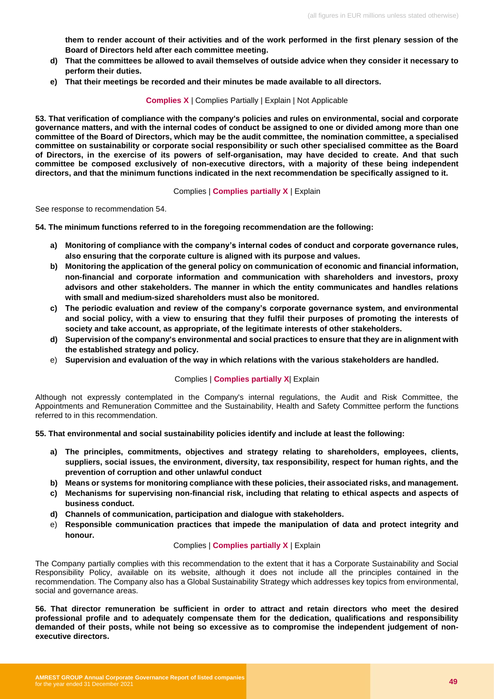**them to render account of their activities and of the work performed in the first plenary session of the Board of Directors held after each committee meeting.** 

- **d) That the committees be allowed to avail themselves of outside advice when they consider it necessary to perform their duties.**
- **e) That their meetings be recorded and their minutes be made available to all directors.**

**Complies X** | Complies Partially | Explain | Not Applicable

**53. That verification of compliance with the company's policies and rules on environmental, social and corporate governance matters, and with the internal codes of conduct be assigned to one or divided among more than one committee of the Board of Directors, which may be the audit committee, the nomination committee, a specialised committee on sustainability or corporate social responsibility or such other specialised committee as the Board of Directors, in the exercise of its powers of self-organisation, may have decided to create. And that such committee be composed exclusively of non-executive directors, with a majority of these being independent directors, and that the minimum functions indicated in the next recommendation be specifically assigned to it.**

#### Complies | **Complies partially X** | Explain

See response to recommendation 54.

**54. The minimum functions referred to in the foregoing recommendation are the following:**

- **a) Monitoring of compliance with the company's internal codes of conduct and corporate governance rules, also ensuring that the corporate culture is aligned with its purpose and values.**
- **b) Monitoring the application of the general policy on communication of economic and financial information, non-financial and corporate information and communication with shareholders and investors, proxy advisors and other stakeholders. The manner in which the entity communicates and handles relations with small and medium-sized shareholders must also be monitored.**
- **c) The periodic evaluation and review of the company's corporate governance system, and environmental and social policy, with a view to ensuring that they fulfil their purposes of promoting the interests of society and take account, as appropriate, of the legitimate interests of other stakeholders.**
- **d) Supervision of the company's environmental and social practices to ensure that they are in alignment with the established strategy and policy.**
- e) **Supervision and evaluation of the way in which relations with the various stakeholders are handled.**

#### Complies | **Complies partially X**| Explain

Although not expressly contemplated in the Company's internal regulations, the Audit and Risk Committee, the Appointments and Remuneration Committee and the Sustainability, Health and Safety Committee perform the functions referred to in this recommendation.

**55. That environmental and social sustainability policies identify and include at least the following:**

- **a) The principles, commitments, objectives and strategy relating to shareholders, employees, clients, suppliers, social issues, the environment, diversity, tax responsibility, respect for human rights, and the prevention of corruption and other unlawful conduct**
- **b) Means or systems for monitoring compliance with these policies, their associated risks, and management.**
- **c) Mechanisms for supervising non-financial risk, including that relating to ethical aspects and aspects of business conduct.**
- **d) Channels of communication, participation and dialogue with stakeholders.**
- e) **Responsible communication practices that impede the manipulation of data and protect integrity and honour.**

#### Complies | **Complies partially X** | Explain

The Company partially complies with this recommendation to the extent that it has a Corporate Sustainability and Social Responsibility Policy, available on its website, although it does not include all the principles contained in the recommendation. The Company also has a Global Sustainability Strategy which addresses key topics from environmental, social and governance areas.

**56. That director remuneration be sufficient in order to attract and retain directors who meet the desired professional profile and to adequately compensate them for the dedication, qualifications and responsibility demanded of their posts, while not being so excessive as to compromise the independent judgement of nonexecutive directors.**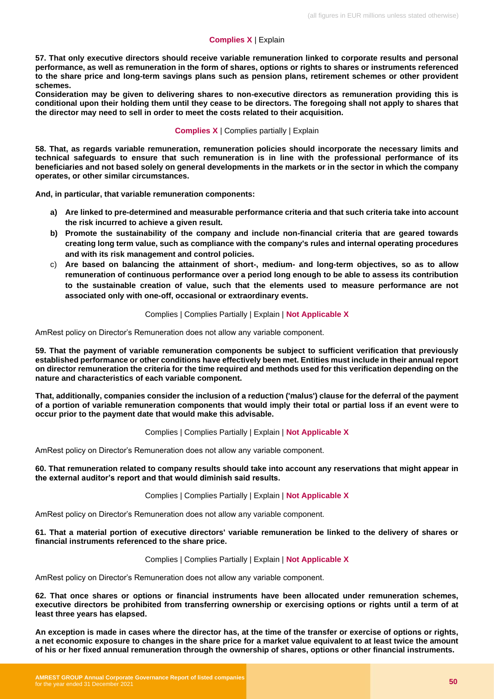#### **Complies X** | Explain

**57. That only executive directors should receive variable remuneration linked to corporate results and personal performance, as well as remuneration in the form of shares, options or rights to shares or instruments referenced to the share price and long-term savings plans such as pension plans, retirement schemes or other provident schemes.** 

**Consideration may be given to delivering shares to non-executive directors as remuneration providing this is conditional upon their holding them until they cease to be directors. The foregoing shall not apply to shares that the director may need to sell in order to meet the costs related to their acquisition.**

#### **Complies X** | Complies partially | Explain

**58. That, as regards variable remuneration, remuneration policies should incorporate the necessary limits and technical safeguards to ensure that such remuneration is in line with the professional performance of its beneficiaries and not based solely on general developments in the markets or in the sector in which the company operates, or other similar circumstances.** 

**And, in particular, that variable remuneration components:**

- **a) Are linked to pre-determined and measurable performance criteria and that such criteria take into account the risk incurred to achieve a given result.**
- **b) Promote the sustainability of the company and include non-financial criteria that are geared towards creating long term value, such as compliance with the company's rules and internal operating procedures and with its risk management and control policies.**
- c) **Are based on balancing the attainment of short-, medium- and long-term objectives, so as to allow remuneration of continuous performance over a period long enough to be able to assess its contribution to the sustainable creation of value, such that the elements used to measure performance are not associated only with one-off, occasional or extraordinary events.**

#### Complies | Complies Partially | Explain | **Not Applicable X**

AmRest policy on Director's Remuneration does not allow any variable component.

**59. That the payment of variable remuneration components be subject to sufficient verification that previously established performance or other conditions have effectively been met. Entities must include in their annual report on director remuneration the criteria for the time required and methods used for this verification depending on the nature and characteristics of each variable component.**

**That, additionally, companies consider the inclusion of a reduction ('malus') clause for the deferral of the payment of a portion of variable remuneration components that would imply their total or partial loss if an event were to occur prior to the payment date that would make this advisable.**

#### Complies | Complies Partially | Explain | **Not Applicable X**

AmRest policy on Director's Remuneration does not allow any variable component.

**60. That remuneration related to company results should take into account any reservations that might appear in the external auditor's report and that would diminish said results.** 

#### Complies | Complies Partially | Explain | **Not Applicable X**

AmRest policy on Director's Remuneration does not allow any variable component.

#### **61. That a material portion of executive directors' variable remuneration be linked to the delivery of shares or financial instruments referenced to the share price.**

#### Complies | Complies Partially | Explain | **Not Applicable X**

AmRest policy on Director's Remuneration does not allow any variable component.

**62. That once shares or options or financial instruments have been allocated under remuneration schemes, executive directors be prohibited from transferring ownership or exercising options or rights until a term of at least three years has elapsed.** 

**An exception is made in cases where the director has, at the time of the transfer or exercise of options or rights, a net economic exposure to changes in the share price for a market value equivalent to at least twice the amount of his or her fixed annual remuneration through the ownership of shares, options or other financial instruments.**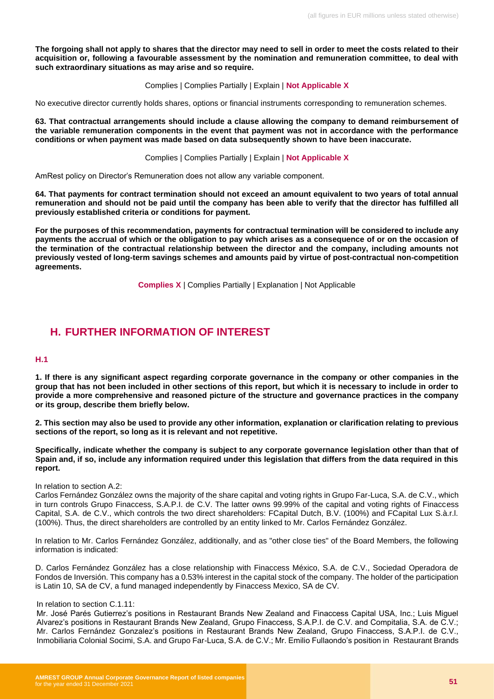**The forgoing shall not apply to shares that the director may need to sell in order to meet the costs related to their acquisition or, following a favourable assessment by the nomination and remuneration committee, to deal with such extraordinary situations as may arise and so require.**

Complies | Complies Partially | Explain | **Not Applicable X**

No executive director currently holds shares, options or financial instruments corresponding to remuneration schemes.

**63. That contractual arrangements should include a clause allowing the company to demand reimbursement of the variable remuneration components in the event that payment was not in accordance with the performance conditions or when payment was made based on data subsequently shown to have been inaccurate.**

Complies | Complies Partially | Explain | **Not Applicable X**

AmRest policy on Director's Remuneration does not allow any variable component.

**64. That payments for contract termination should not exceed an amount equivalent to two years of total annual remuneration and should not be paid until the company has been able to verify that the director has fulfilled all previously established criteria or conditions for payment.** 

**For the purposes of this recommendation, payments for contractual termination will be considered to include any payments the accrual of which or the obligation to pay which arises as a consequence of or on the occasion of the termination of the contractual relationship between the director and the company, including amounts not previously vested of long-term savings schemes and amounts paid by virtue of post-contractual non-competition agreements.** 

**Complies X** | Complies Partially | Explanation | Not Applicable

## <span id="page-50-0"></span>**H. FURTHER INFORMATION OF INTEREST**

#### **H.1**

**1. If there is any significant aspect regarding corporate governance in the company or other companies in the group that has not been included in other sections of this report, but which it is necessary to include in order to provide a more comprehensive and reasoned picture of the structure and governance practices in the company or its group, describe them briefly below.**

**2. This section may also be used to provide any other information, explanation or clarification relating to previous sections of the report, so long as it is relevant and not repetitive.** 

**Specifically, indicate whether the company is subject to any corporate governance legislation other than that of Spain and, if so, include any information required under this legislation that differs from the data required in this report.**

#### In relation to section A.2:

Carlos Fernández González owns the majority of the share capital and voting rights in Grupo Far-Luca, S.A. de C.V., which in turn controls Grupo Finaccess, S.A.P.I. de C.V. The latter owns 99.99% of the capital and voting rights of Finaccess Capital, S.A. de C.V., which controls the two direct shareholders: FCapital Dutch, B.V. (100%) and FCapital Lux S.à.r.l. (100%). Thus, the direct shareholders are controlled by an entity linked to Mr. Carlos Fernández González.

In relation to Mr. Carlos Fernández González, additionally, and as "other close ties" of the Board Members, the following information is indicated:

D. Carlos Fernández González has a close relationship with Finaccess México, S.A. de C.V., Sociedad Operadora de Fondos de Inversión. This company has a 0.53% interest in the capital stock of the company. The holder of the participation is Latin 10, SA de CV, a fund managed independently by Finaccess Mexico, SA de CV.

#### In relation to section C.1.11:

Mr. José Parés Gutierrez's positions in Restaurant Brands New Zealand and Finaccess Capital USA, Inc.; Luis Miguel Alvarez's positions in Restaurant Brands New Zealand, Grupo Finaccess, S.A.P.I. de C.V. and Compitalia, S.A. de C.V.; Mr. Carlos Fernández Gonzalez's positions in Restaurant Brands New Zealand, Grupo Finaccess, S.A.P.I. de C.V., Inmobiliaria Colonial Socimi, S.A. and Grupo Far-Luca, S.A. de C.V.; Mr. Emilio Fullaondo's position in Restaurant Brands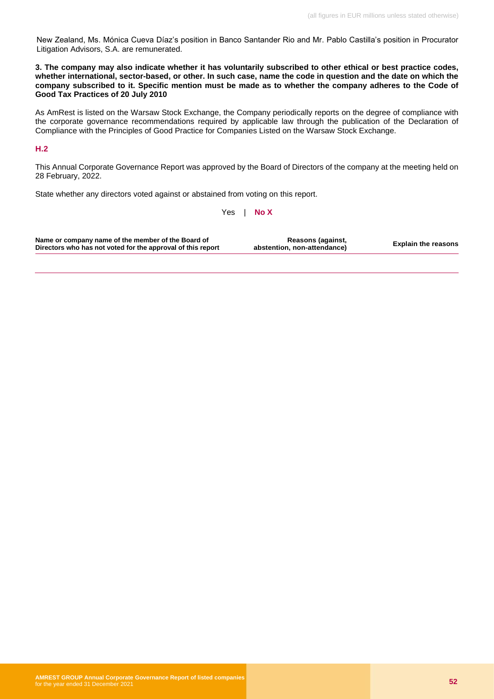New Zealand, Ms. Mónica Cueva Díaz's position in Banco Santander Rio and Mr. Pablo Castilla's position in Procurator Litigation Advisors, S.A. are remunerated.

**3. The company may also indicate whether it has voluntarily subscribed to other ethical or best practice codes, whether international, sector-based, or other. In such case, name the code in question and the date on which the company subscribed to it. Specific mention must be made as to whether the company adheres to the Code of Good Tax Practices of 20 July 2010**

As AmRest is listed on the Warsaw Stock Exchange, the Company periodically reports on the degree of compliance with the corporate governance recommendations required by applicable law through the publication of the Declaration of Compliance with the Principles of Good Practice for Companies Listed on the Warsaw Stock Exchange.

#### **H.2**

This Annual Corporate Governance Report was approved by the Board of Directors of the company at the meeting held on 28 February, 2022.

State whether any directors voted against or abstained from voting on this report.

Yes | **No X**

| Name or company name of the member of the Board of<br>Directors who has not voted for the approval of this report | Reasons (against,<br>abstention, non-attendance) | <b>Explain the reasons</b> |
|-------------------------------------------------------------------------------------------------------------------|--------------------------------------------------|----------------------------|
|-------------------------------------------------------------------------------------------------------------------|--------------------------------------------------|----------------------------|